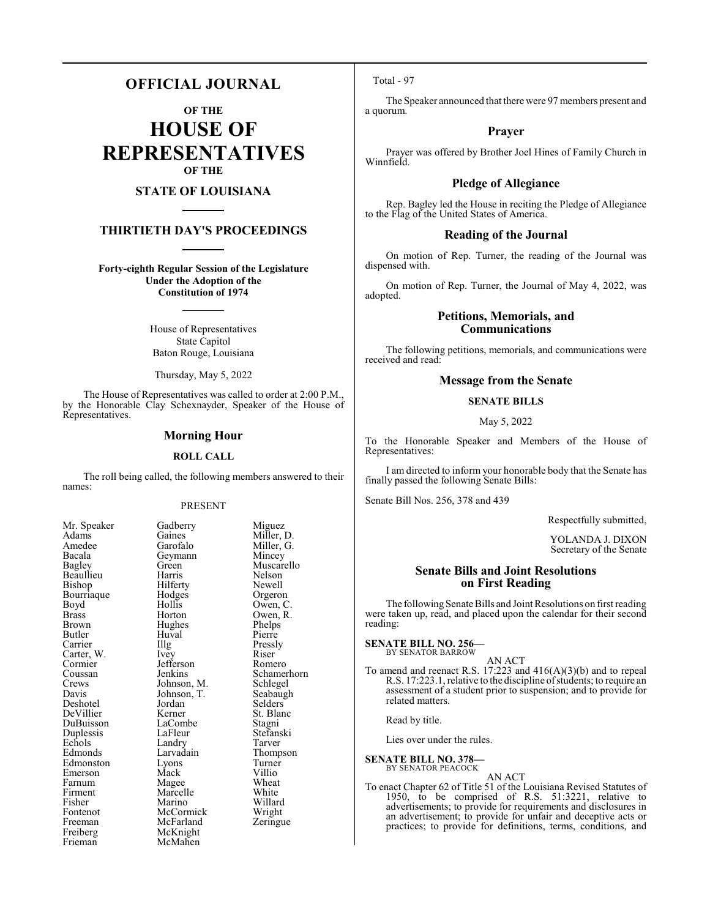# **OFFICIAL JOURNAL**

**OF THE**

**HOUSE OF REPRESENTATIVES OF THE**

# **STATE OF LOUISIANA**

# **THIRTIETH DAY'S PROCEEDINGS**

**Forty-eighth Regular Session of the Legislature Under the Adoption of the Constitution of 1974**

> House of Representatives State Capitol Baton Rouge, Louisiana

Thursday, May 5, 2022

The House of Representatives was called to order at 2:00 P.M., by the Honorable Clay Schexnayder, Speaker of the House of Representatives.

### **Morning Hour**

#### **ROLL CALL**

The roll being called, the following members answered to their names:

#### PRESENT

Bacala Geymann<br>Bagley Green Bourriaque Hodge<br>Boyd Hollis Brown Hughes<br>Butler Huyal Cormier Jefferson<br>Coussan Jenkins Echols Landry<br>Edmonds Larvadain Firment Marcelle<br>
Fisher Marino Freeman McFarland<br>
Freiberg McKnight Freiberg McKnight<br>Frieman McMahen

Mr. Speaker Gadberry Miguez<br>Adams Gaines Miller, 1 Adams Gaines Miller, D.<br>Amedee Garofalo Miller, G. Amedee Garofalo Miller, G.<br>Bacala Geymann Mincey Green Muscarello<br>Harris Nelson Beaullieu Harris Nelson<br>Bishop Hilferty Newell Bishop Hilferty Newell<br>Bourriaque Hodges Orgeron Boyd Hollis Owen, C.<br>Brass Horton Owen, R. Brass Horton Owen, R. Butler Huval Pierre<br>
Carrier Hug Pressl The Pressly<br>
Ivey Riser Carter, W. Ivey Riser Cormier Jefferson Romero Coussan Jenkins Schamerhorn<br>Crews Johnson, M. Schlegel Crews Johnson, M. Schlegel<br>Davis Johnson, T. Seabaugh Johnson, T.<br>Jordan Selders Deshotel Jordan Selders<br>
DeVillier Kerner St. Blanc DeVillier Kerner St. Blanch<br>DuBuisson LaCombe Stagni LaCombe Stagni<br>LaFleur Stefanski Duplessis LaFleur Stefans<br>Echols Landry Tarver Larvadain Thompson<br>Lyons Turner Edmonston Lyons Turne<sup>r</sup><br>Emerson Mack Villio Emerson Mack Villio<br>
Farnum Magee Wheat Farnum Magee Wheat<br>
Firment Marcelle White Fontenot McCormick Wright<br>
Freeman McFarland Zeringue McMahen

Willard<br>Wright

# Total - 97

The Speaker announced that there were 97 members present and a quorum.

# **Prayer**

Prayer was offered by Brother Joel Hines of Family Church in Winnfield.

# **Pledge of Allegiance**

Rep. Bagley led the House in reciting the Pledge of Allegiance to the Flag of the United States of America.

#### **Reading of the Journal**

On motion of Rep. Turner, the reading of the Journal was dispensed with.

On motion of Rep. Turner, the Journal of May 4, 2022, was adopted.

# **Petitions, Memorials, and Communications**

The following petitions, memorials, and communications were received and read:

# **Message from the Senate**

# **SENATE BILLS**

#### May 5, 2022

To the Honorable Speaker and Members of the House of Representatives:

I am directed to inform your honorable body that the Senate has finally passed the following Senate Bills:

Senate Bill Nos. 256, 378 and 439

Respectfully submitted,

YOLANDA J. DIXON Secretary of the Senate

# **Senate Bills and Joint Resolutions on First Reading**

The following Senate Bills and Joint Resolutions on first reading were taken up, read, and placed upon the calendar for their second reading:

# **SENATE BILL NO. 256—** BY SENATOR BARROW

AN ACT

To amend and reenact R.S. 17:223 and 416(A)(3)(b) and to repeal R.S. 17:223.1, relative to the discipline of students; to require an assessment of a student prior to suspension; and to provide for related matters.

Read by title.

Lies over under the rules.

#### **SENATE BILL NO. 378—** BY SENATOR PEACOCK

AN ACT To enact Chapter 62 of Title 51 of the Louisiana Revised Statutes of 1950, to be comprised of R.S. 51:3221, relative to advertisements; to provide for requirements and disclosures in an advertisement; to provide for unfair and deceptive acts or practices; to provide for definitions, terms, conditions, and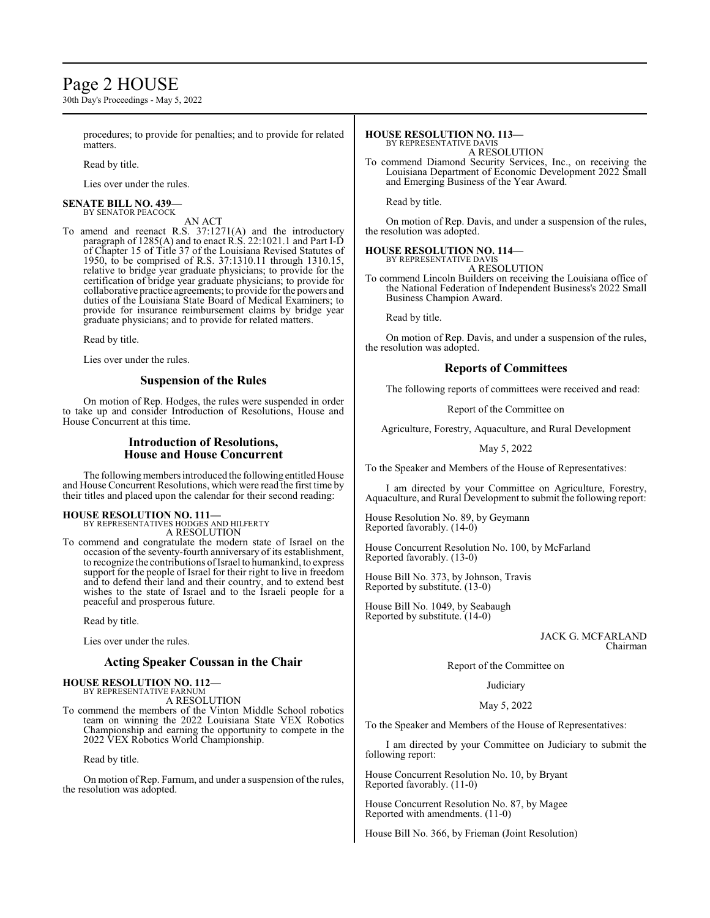# Page 2 HOUSE

30th Day's Proceedings - May 5, 2022

procedures; to provide for penalties; and to provide for related **matters** 

Read by title.

Lies over under the rules.

#### **SENATE BILL NO. 439—** BY SENATOR PEACOCK

AN ACT

To amend and reenact R.S. 37:1271(A) and the introductory paragraph of 1285(A) and to enact R.S. 22:1021.1 and Part I-D of Chapter 15 of Title 37 of the Louisiana Revised Statutes of 1950, to be comprised of R.S. 37:1310.11 through 1310.15, relative to bridge year graduate physicians; to provide for the certification of bridge year graduate physicians; to provide for collaborative practice agreements; to provide for the powers and duties of the Louisiana State Board of Medical Examiners; to provide for insurance reimbursement claims by bridge year graduate physicians; and to provide for related matters.

Read by title.

Lies over under the rules.

# **Suspension of the Rules**

On motion of Rep. Hodges, the rules were suspended in order to take up and consider Introduction of Resolutions, House and House Concurrent at this time.

# **Introduction of Resolutions, House and House Concurrent**

The following members introduced the following entitled House and House Concurrent Resolutions, which were read the first time by their titles and placed upon the calendar for their second reading:

#### **HOUSE RESOLUTION NO. 111—** BY REPRESENTATIVES HODGES AND HILFERTY

A RESOLUTION

To commend and congratulate the modern state of Israel on the occasion of the seventy-fourth anniversary of its establishment, to recognize the contributions ofIsrael to humankind, to express support for the people of Israel for their right to live in freedom and to defend their land and their country, and to extend best wishes to the state of Israel and to the Israeli people for a peaceful and prosperous future.

Read by title.

Lies over under the rules.

# **Acting Speaker Coussan in the Chair**

#### **HOUSE RESOLUTION NO. 112—** BY REPRESENTATIVE FARNUM A RESOLUTION

To commend the members of the Vinton Middle School robotics team on winning the 2022 Louisiana State VEX Robotics Championship and earning the opportunity to compete in the 2022 VEX Robotics World Championship.

Read by title.

On motion of Rep. Farnum, and under a suspension of the rules, the resolution was adopted.

#### **HOUSE RESOLUTION NO. 113—** BY REPRESENTATIVE DAVIS

A RESOLUTION

To commend Diamond Security Services, Inc., on receiving the Louisiana Department of Economic Development 2022 Small and Emerging Business of the Year Award.

Read by title.

On motion of Rep. Davis, and under a suspension of the rules, the resolution was adopted.

#### **HOUSE RESOLUTION NO. 114—**

BY REPRESENTATIVE DAVIS

A RESOLUTION To commend Lincoln Builders on receiving the Louisiana office of the National Federation of Independent Business's 2022 Small Business Champion Award.

Read by title.

On motion of Rep. Davis, and under a suspension of the rules, the resolution was adopted.

### **Reports of Committees**

The following reports of committees were received and read:

Report of the Committee on

Agriculture, Forestry, Aquaculture, and Rural Development

May 5, 2022

To the Speaker and Members of the House of Representatives:

I am directed by your Committee on Agriculture, Forestry, Aquaculture, and Rural Development to submit the following report:

House Resolution No. 89, by Geymann Reported favorably. (14-0)

House Concurrent Resolution No. 100, by McFarland Reported favorably. (13-0)

House Bill No. 373, by Johnson, Travis Reported by substitute. (13-0)

House Bill No. 1049, by Seabaugh Reported by substitute. (14-0)

> JACK G. MCFARLAND Chairman

Report of the Committee on

Judiciary

### May 5, 2022

To the Speaker and Members of the House of Representatives:

I am directed by your Committee on Judiciary to submit the following report:

House Concurrent Resolution No. 10, by Bryant Reported favorably. (11-0)

House Concurrent Resolution No. 87, by Magee Reported with amendments. (11-0)

House Bill No. 366, by Frieman (Joint Resolution)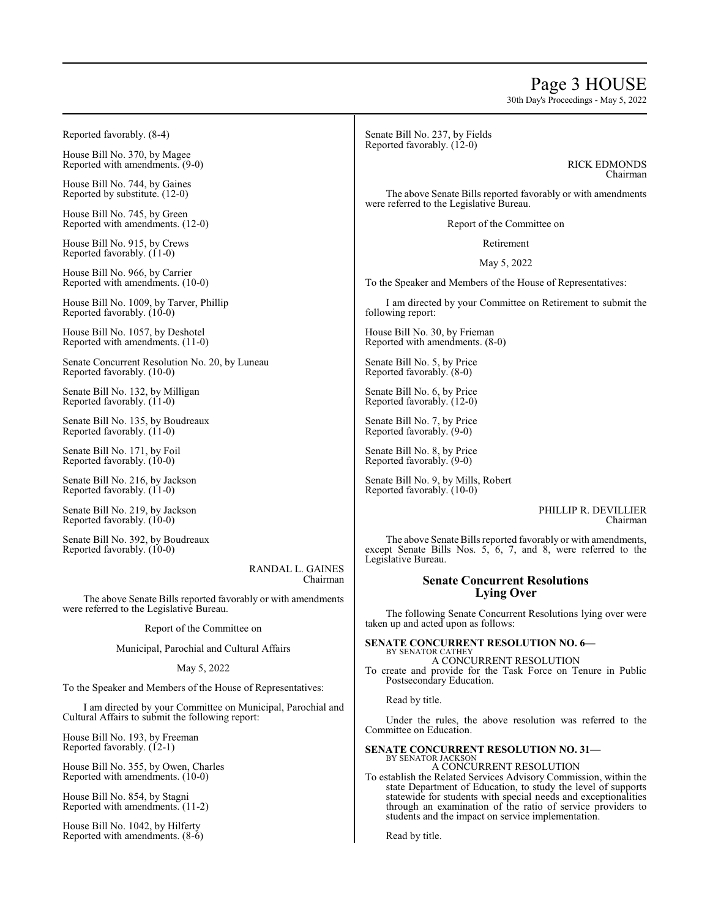# Page 3 HOUSE

30th Day's Proceedings - May 5, 2022

Reported favorably. (8-4)

House Bill No. 370, by Magee Reported with amendments. (9-0)

House Bill No. 744, by Gaines Reported by substitute. (12-0)

House Bill No. 745, by Green Reported with amendments. (12-0)

House Bill No. 915, by Crews Reported favorably.  $(11-0)$ 

House Bill No. 966, by Carrier Reported with amendments. (10-0)

House Bill No. 1009, by Tarver, Phillip Reported favorably. (10-0)

House Bill No. 1057, by Deshotel Reported with amendments. (11-0)

Senate Concurrent Resolution No. 20, by Luneau Reported favorably. (10-0)

Senate Bill No. 132, by Milligan Reported favorably. (11-0)

Senate Bill No. 135, by Boudreaux Reported favorably. (11-0)

Senate Bill No. 171, by Foil Reported favorably. (10-0)

Senate Bill No. 216, by Jackson Reported favorably. (11-0)

Senate Bill No. 219, by Jackson Reported favorably. (10-0)

Senate Bill No. 392, by Boudreaux Reported favorably. (10-0)

> RANDAL L. GAINES Chairman

The above Senate Bills reported favorably or with amendments were referred to the Legislative Bureau.

#### Report of the Committee on

#### Municipal, Parochial and Cultural Affairs

### May 5, 2022

To the Speaker and Members of the House of Representatives:

I am directed by your Committee on Municipal, Parochial and Cultural Affairs to submit the following report:

House Bill No. 193, by Freeman Reported favorably. (12-1)

House Bill No. 355, by Owen, Charles Reported with amendments. (10-0)

House Bill No. 854, by Stagni Reported with amendments. (11-2)

House Bill No. 1042, by Hilferty Reported with amendments. (8-6) Senate Bill No. 237, by Fields Reported favorably. (12-0)

> RICK EDMONDS Chairman

The above Senate Bills reported favorably or with amendments were referred to the Legislative Bureau.

Report of the Committee on

Retirement

May 5, 2022

To the Speaker and Members of the House of Representatives:

I am directed by your Committee on Retirement to submit the following report:

House Bill No. 30, by Frieman Reported with amendments. (8-0)

Senate Bill No. 5, by Price Reported favorably. (8-0)

Senate Bill No. 6, by Price Reported favorably. (12-0)

Senate Bill No. 7, by Price Reported favorably. (9-0)

Senate Bill No. 8, by Price Reported favorably. (9-0)

Senate Bill No. 9, by Mills, Robert Reported favorably. (10-0)

> PHILLIP R. DEVILLIER Chairman

The above Senate Bills reported favorably or with amendments, except Senate Bills Nos. 5, 6, 7, and 8, were referred to the Legislative Bureau.

# **Senate Concurrent Resolutions Lying Over**

The following Senate Concurrent Resolutions lying over were taken up and acted upon as follows:

#### **SENATE CONCURRENT RESOLUTION NO. 6—** BY SENATOR CATHEY

A CONCURRENT RESOLUTION To create and provide for the Task Force on Tenure in Public Postsecondary Education.

Read by title.

Under the rules, the above resolution was referred to the Committee on Education.

#### **SENATE CONCURRENT RESOLUTION NO. 31—** BY SENATOR JACKSON

A CONCURRENT RESOLUTION

To establish the Related Services Advisory Commission, within the state Department of Education, to study the level of supports statewide for students with special needs and exceptionalities through an examination of the ratio of service providers to students and the impact on service implementation.

Read by title.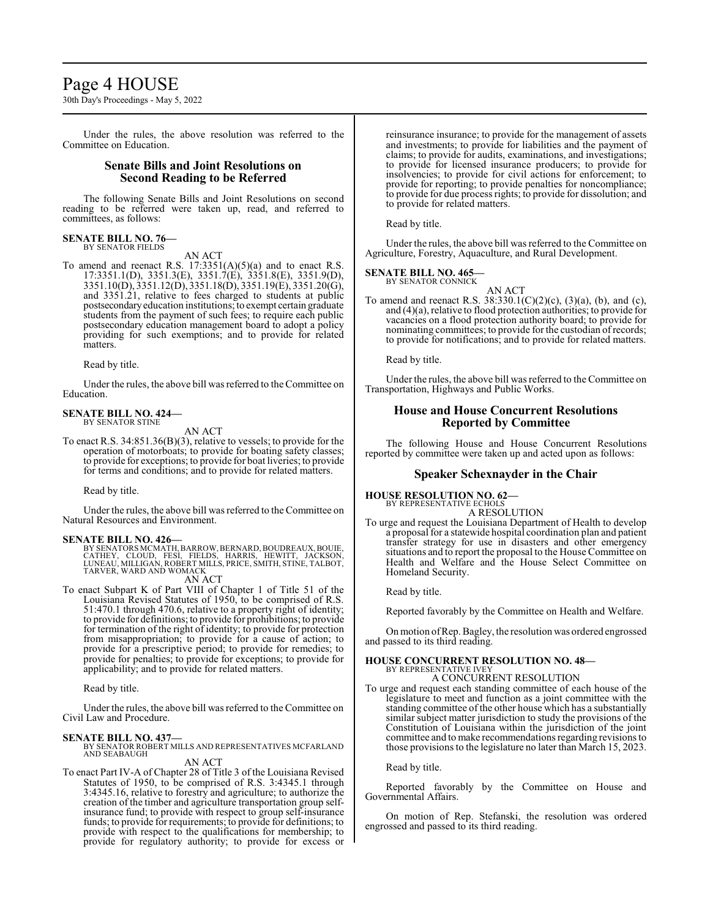# Page 4 HOUSE

30th Day's Proceedings - May 5, 2022

Under the rules, the above resolution was referred to the Committee on Education.

# **Senate Bills and Joint Resolutions on Second Reading to be Referred**

The following Senate Bills and Joint Resolutions on second reading to be referred were taken up, read, and referred to committees, as follows:

#### **SENATE BILL NO. 76—** BY SENATOR FIELDS

AN ACT

To amend and reenact R.S.  $17:3351(A)(5)(a)$  and to enact R.S. 17:3351.1(D), 3351.3(E), 3351.7(E), 3351.8(E), 3351.9(D), 3351.10(D), 3351.12(D), 3351.18(D), 3351.19(E), 3351.20(G), and 3351.21, relative to fees charged to students at public postsecondaryeducation institutions; to exempt certain graduate students from the payment of such fees; to require each public postsecondary education management board to adopt a policy providing for such exemptions; and to provide for related matters.

Read by title.

Under the rules, the above bill was referred to the Committee on Education.

# **SENATE BILL NO. 424—**

BY SENATOR STINE

AN ACT To enact R.S. 34:851.36(B)(3), relative to vessels; to provide for the operation of motorboats; to provide for boating safety classes; to provide for exceptions; to provide for boat liveries; to provide for terms and conditions; and to provide for related matters.

Read by title.

Under the rules, the above bill was referred to theCommittee on Natural Resources and Environment.

**SENATE BILL NO. 426—**<br>BY SENATORS MCMATH, BARROW, BERNARD, BOUDREAUX, BOUIE,<br>CATHEY, CLOUD, FESI, FIELDS, HARRIS, HEWITT, JACKSON,<br>LUNEAU, MILLIGAN, ROBERT MILLS, PRICE, SMITH, STINE, TALBOT, TARVER, WARD AND WOMACK

# AN ACT

To enact Subpart K of Part VIII of Chapter 1 of Title 51 of the Louisiana Revised Statutes of 1950, to be comprised of R.S. 51:470.1 through 470.6, relative to a property right of identity; to provide for definitions; to provide for prohibitions; to provide for termination of the right of identity; to provide for protection from misappropriation; to provide for a cause of action; to provide for a prescriptive period; to provide for remedies; to provide for penalties; to provide for exceptions; to provide for applicability; and to provide for related matters.

Read by title.

Under the rules, the above bill was referred to the Committee on Civil Law and Procedure.

**SENATE BILL NO. 437—**<br>BY SENATOR ROBERT MILLS AND REPRESENTATIVES MCFARLAND<br>AND SEABAUGH

AN ACT

To enact Part IV-A of Chapter 28 of Title 3 of the Louisiana Revised Statutes of 1950, to be comprised of R.S. 3:4345.1 through 3:4345.16, relative to forestry and agriculture; to authorize the creation of the timber and agriculture transportation group selfinsurance fund; to provide with respect to group self-insurance funds; to provide for requirements; to provide for definitions; to provide with respect to the qualifications for membership; to provide for regulatory authority; to provide for excess or

reinsurance insurance; to provide for the management of assets and investments; to provide for liabilities and the payment of claims; to provide for audits, examinations, and investigations; to provide for licensed insurance producers; to provide for insolvencies; to provide for civil actions for enforcement; to provide for reporting; to provide penalties for noncompliance; to provide for due process rights; to provide for dissolution; and to provide for related matters.

Read by title.

Under the rules, the above bill was referred to the Committee on Agriculture, Forestry, Aquaculture, and Rural Development.

**SENATE BILL NO. 465—** BY SENATOR CONNICK

AN ACT

To amend and reenact R.S. 38:330.1(C)(2)(c), (3)(a), (b), and (c), and (4)(a), relative to flood protection authorities; to provide for vacancies on a flood protection authority board; to provide for nominating committees; to provide for the custodian ofrecords; to provide for notifications; and to provide for related matters.

Read by title.

Under the rules, the above bill was referred to the Committee on Transportation, Highways and Public Works.

# **House and House Concurrent Resolutions Reported by Committee**

The following House and House Concurrent Resolutions reported by committee were taken up and acted upon as follows:

# **Speaker Schexnayder in the Chair**

# **HOUSE RESOLUTION NO. 62—**

BY REPRESENTATIVE ECHOLS

A RESOLUTION To urge and request the Louisiana Department of Health to develop a proposal for a statewide hospital coordination plan and patient transfer strategy for use in disasters and other emergency situations and to report the proposal to the House Committee on Health and Welfare and the House Select Committee on Homeland Security.

Read by title.

Reported favorably by the Committee on Health and Welfare.

Onmotion ofRep. Bagley, the resolution was ordered engrossed and passed to its third reading.

#### **HOUSE CONCURRENT RESOLUTION NO. 48—** BY REPRESENTATIVE IVEY

A CONCURRENT RESOLUTION

To urge and request each standing committee of each house of the legislature to meet and function as a joint committee with the standing committee of the other house which has a substantially similar subject matter jurisdiction to study the provisions of the Constitution of Louisiana within the jurisdiction of the joint committee and to make recommendations regarding revisions to those provisions to the legislature no later than March 15, 2023.

Read by title.

Reported favorably by the Committee on House and Governmental Affairs.

On motion of Rep. Stefanski, the resolution was ordered engrossed and passed to its third reading.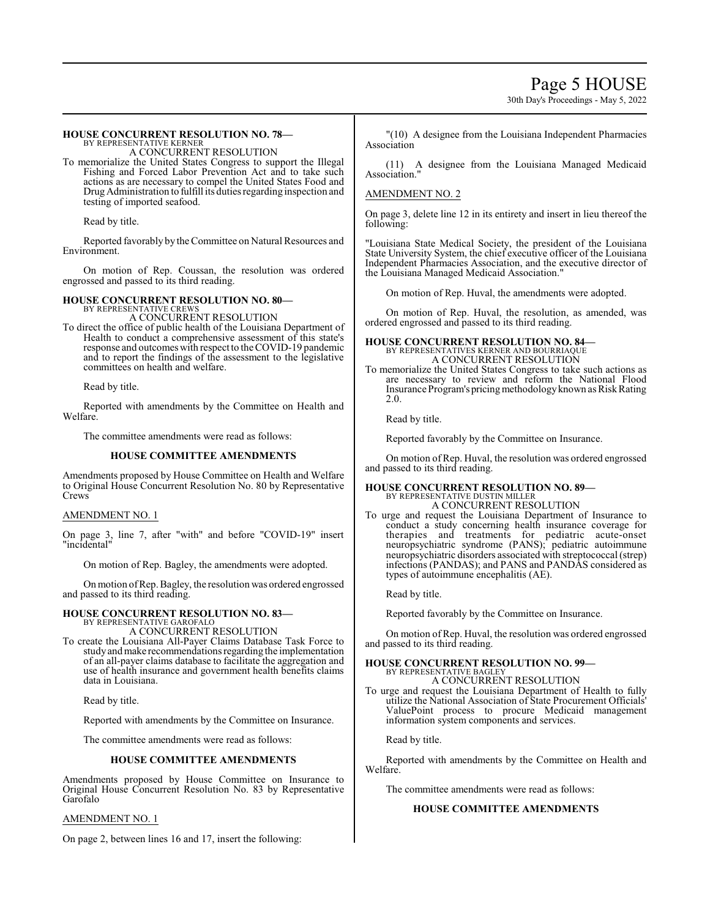# Page 5 HOUSE

30th Day's Proceedings - May 5, 2022

#### **HOUSE CONCURRENT RESOLUTION NO. 78—** BY REPRESENTATIVE KERNER

A CONCURRENT RESOLUTION

To memorialize the United States Congress to support the Illegal Fishing and Forced Labor Prevention Act and to take such actions as are necessary to compel the United States Food and Drug Administration to fulfill its duties regarding inspection and testing of imported seafood.

Read by title.

Reported favorably by the Committee on Natural Resources and Environment.

On motion of Rep. Coussan, the resolution was ordered engrossed and passed to its third reading.

# **HOUSE CONCURRENT RESOLUTION NO. 80—**

BY REPRESENTATIVE CREW A CONCURRENT RESOLUTION

To direct the office of public health of the Louisiana Department of Health to conduct a comprehensive assessment of this state's response and outcomes with respect to the COVID-19 pandemic and to report the findings of the assessment to the legislative committees on health and welfare.

Read by title.

Reported with amendments by the Committee on Health and Welfare.

The committee amendments were read as follows:

#### **HOUSE COMMITTEE AMENDMENTS**

Amendments proposed by House Committee on Health and Welfare to Original House Concurrent Resolution No. 80 by Representative Crews

#### AMENDMENT NO. 1

On page 3, line 7, after "with" and before "COVID-19" insert "incidental"

On motion of Rep. Bagley, the amendments were adopted.

Onmotion ofRep. Bagley, the resolution was ordered engrossed and passed to its third reading.

# **HOUSE CONCURRENT RESOLUTION NO. 83—** BY REPRESENTATIVE GAROFALO

A CONCURRENT RESOLUTION

To create the Louisiana All-Payer Claims Database Task Force to study and make recommendations regarding the implementation of an all-payer claims database to facilitate the aggregation and use of health insurance and government health benefits claims data in Louisiana.

Read by title.

Reported with amendments by the Committee on Insurance.

The committee amendments were read as follows:

# **HOUSE COMMITTEE AMENDMENTS**

Amendments proposed by House Committee on Insurance to Original House Concurrent Resolution No. 83 by Representative Garofalo

#### AMENDMENT NO. 1

On page 2, between lines 16 and 17, insert the following:

"(10) A designee from the Louisiana Independent Pharmacies Association

(11) A designee from the Louisiana Managed Medicaid Association."

#### AMENDMENT NO. 2

On page 3, delete line 12 in its entirety and insert in lieu thereof the following:

"Louisiana State Medical Society, the president of the Louisiana State University System, the chief executive officer of the Louisiana Independent Pharmacies Association, and the executive director of the Louisiana Managed Medicaid Association."

On motion of Rep. Huval, the amendments were adopted.

On motion of Rep. Huval, the resolution, as amended, was ordered engrossed and passed to its third reading.

#### **HOUSE CONCURRENT RESOLUTION NO. 84—** BY REPRESENTATIVES KERNER AND BOURRIAQUE A CONCURRENT RESOLUTION

To memorialize the United States Congress to take such actions as are necessary to review and reform the National Flood Insurance Program's pricing methodology known as Risk Rating 2.0.

Read by title.

Reported favorably by the Committee on Insurance.

On motion of Rep. Huval, the resolution was ordered engrossed and passed to its third reading.

# **HOUSE CONCURRENT RESOLUTION NO. 89—** BY REPRESENTATIVE DUSTIN MILLER

A CONCURRENT RESOLUTION

To urge and request the Louisiana Department of Insurance to conduct a study concerning health insurance coverage for therapies and treatments for pediatric acute-onset neuropsychiatric syndrome (PANS); pediatric autoimmune neuropsychiatric disorders associated with streptococcal (strep) infections (PANDAS); and PANS and PANDAS considered as types of autoimmune encephalitis (AE).

Read by title.

Reported favorably by the Committee on Insurance.

On motion of Rep. Huval, the resolution was ordered engrossed and passed to its third reading.

#### **HOUSE CONCURRENT RESOLUTION NO. 99—** BY REPRESENTATIVE BAGLEY

A CONCURRENT RESOLUTION

To urge and request the Louisiana Department of Health to fully utilize the National Association of State Procurement Officials' ValuePoint process to procure Medicaid management information system components and services.

Read by title.

Reported with amendments by the Committee on Health and Welfare.

The committee amendments were read as follows:

### **HOUSE COMMITTEE AMENDMENTS**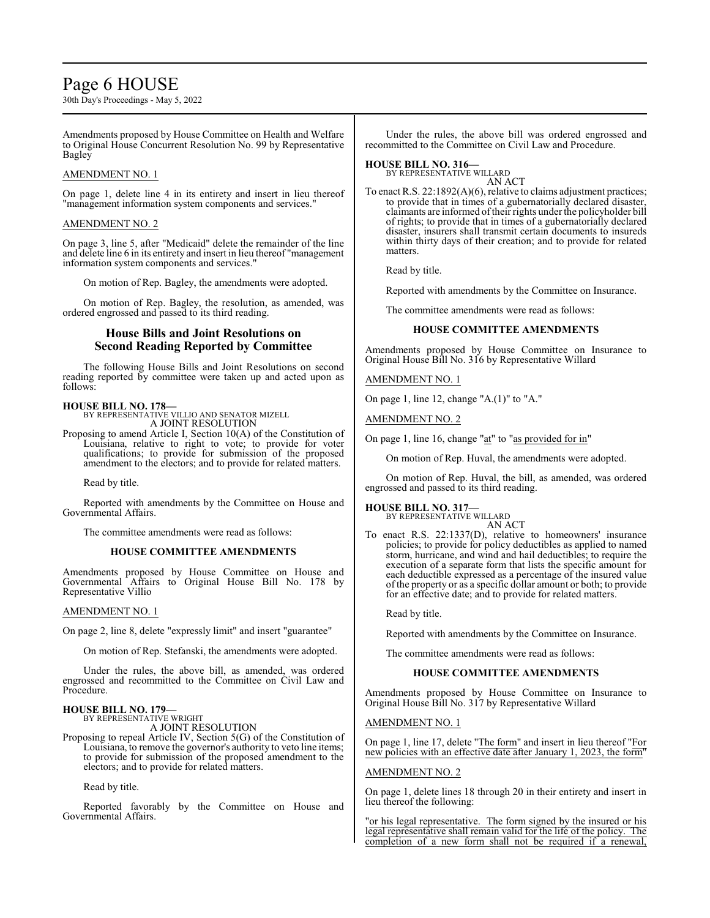# Page 6 HOUSE

30th Day's Proceedings - May 5, 2022

Amendments proposed by House Committee on Health and Welfare to Original House Concurrent Resolution No. 99 by Representative Bagley

#### AMENDMENT NO. 1

On page 1, delete line 4 in its entirety and insert in lieu thereof "management information system components and services."

### AMENDMENT NO. 2

On page 3, line 5, after "Medicaid" delete the remainder of the line and delete line 6 in its entirety and insert in lieu thereof "management information system components and services."

On motion of Rep. Bagley, the amendments were adopted.

On motion of Rep. Bagley, the resolution, as amended, was ordered engrossed and passed to its third reading.

# **House Bills and Joint Resolutions on Second Reading Reported by Committee**

The following House Bills and Joint Resolutions on second reading reported by committee were taken up and acted upon as follows:

**HOUSE BILL NO. 178—** BY REPRESENTATIVE VILLIO AND SENATOR MIZELL A JOINT RESOLUTION

Proposing to amend Article I, Section 10(A) of the Constitution of Louisiana, relative to right to vote; to provide for voter qualifications; to provide for submission of the proposed amendment to the electors; and to provide for related matters.

Read by title.

Reported with amendments by the Committee on House and Governmental Affairs.

The committee amendments were read as follows:

#### **HOUSE COMMITTEE AMENDMENTS**

Amendments proposed by House Committee on House and Governmental Affairs to Original House Bill No. 178 by Representative Villio

#### AMENDMENT NO. 1

On page 2, line 8, delete "expressly limit" and insert "guarantee"

On motion of Rep. Stefanski, the amendments were adopted.

Under the rules, the above bill, as amended, was ordered engrossed and recommitted to the Committee on Civil Law and Procedure.

#### **HOUSE BILL NO. 179—**

BY REPRESENTATIVE WRIGHT A JOINT RESOLUTION

Proposing to repeal Article IV, Section 5(G) of the Constitution of Louisiana, to remove the governor's authority to veto line items; to provide for submission of the proposed amendment to the

electors; and to provide for related matters.

Read by title.

Reported favorably by the Committee on House and Governmental Affairs.

Under the rules, the above bill was ordered engrossed and recommitted to the Committee on Civil Law and Procedure.

# **HOUSE BILL NO. 316—** BY REPRESENTATIVE WILLARD

AN ACT

To enact R.S. 22:1892(A)(6), relative to claims adjustment practices; to provide that in times of a gubernatorially declared disaster, claimants are informed oftheir rights under the policyholder bill of rights; to provide that in times of a gubernatorially declared disaster, insurers shall transmit certain documents to insureds within thirty days of their creation; and to provide for related matters.

Read by title.

Reported with amendments by the Committee on Insurance.

The committee amendments were read as follows:

### **HOUSE COMMITTEE AMENDMENTS**

Amendments proposed by House Committee on Insurance to Original House Bill No. 316 by Representative Willard

AMENDMENT NO. 1

On page 1, line 12, change "A.(1)" to "A."

AMENDMENT NO. 2

On page 1, line 16, change "at" to "as provided for in"

On motion of Rep. Huval, the amendments were adopted.

On motion of Rep. Huval, the bill, as amended, was ordered engrossed and passed to its third reading.

# **HOUSE BILL NO. 317—** BY REPRESENTATIVE WILLARD

AN ACT

To enact R.S. 22:1337(D), relative to homeowners' insurance policies; to provide for policy deductibles as applied to named storm, hurricane, and wind and hail deductibles; to require the execution of a separate form that lists the specific amount for each deductible expressed as a percentage of the insured value of the property or as a specific dollar amount or both; to provide for an effective date; and to provide for related matters.

Read by title.

Reported with amendments by the Committee on Insurance.

The committee amendments were read as follows:

#### **HOUSE COMMITTEE AMENDMENTS**

Amendments proposed by House Committee on Insurance to Original House Bill No. 317 by Representative Willard

AMENDMENT NO. 1

On page 1, line 17, delete "The form" and insert in lieu thereof "For new policies with an effective date after January 1, 2023, the form"

# AMENDMENT NO. 2

On page 1, delete lines 18 through 20 in their entirety and insert in lieu thereof the following:

"or his legal representative. The form signed by the insured or his legal representative shall remain valid for the life of the policy. The completion of a new form shall not be required if a renewal,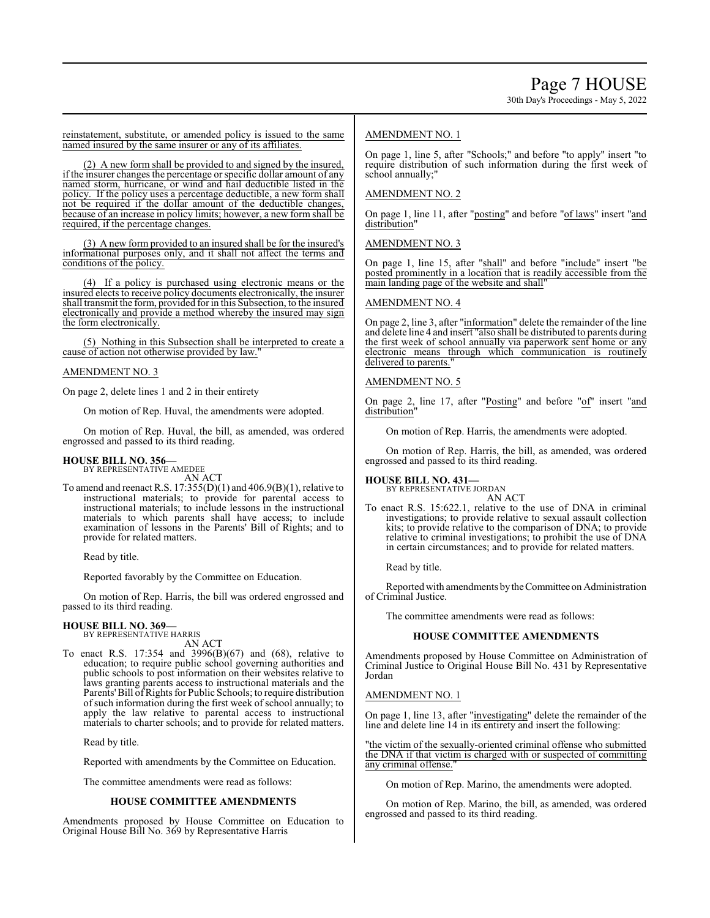reinstatement, substitute, or amended policy is issued to the same named insured by the same insurer or any of its affiliates.

(2) A new form shall be provided to and signed by the insured, if the insurer changes the percentage or specific dollar amount of any named storm, hurricane, or wind and hail deductible listed in the policy. If the policy uses a percentage deductible, a new form shall not be required if the dollar amount of the deductible changes, because of an increase in policy limits; however, a new form shall be required, if the percentage changes.

(3) A new form provided to an insured shall be for the insured's informational purposes only, and it shall not affect the terms and conditions of the policy.

(4) If a policy is purchased using electronic means or the insured elects to receive policy documents electronically, the insurer shall transmit the form, provided for in this Subsection, to the insured electronically and provide a method whereby the insured may sign the form electronically.

(5) Nothing in this Subsection shall be interpreted to create a cause of action not otherwise provided by law.

### AMENDMENT NO. 3

On page 2, delete lines 1 and 2 in their entirety

On motion of Rep. Huval, the amendments were adopted.

On motion of Rep. Huval, the bill, as amended, was ordered engrossed and passed to its third reading.

# **HOUSE BILL NO. 356—**

BY REPRESENTATIVE AMEDEE AN ACT

To amend and reenact R.S. 17:355(D)(1) and 406.9(B)(1), relative to instructional materials; to provide for parental access to instructional materials; to include lessons in the instructional materials to which parents shall have access; to include examination of lessons in the Parents' Bill of Rights; and to provide for related matters.

Read by title.

Reported favorably by the Committee on Education.

On motion of Rep. Harris, the bill was ordered engrossed and passed to its third reading.

# **HOUSE BILL NO. 369—** BY REPRESENTATIVE HARRIS

AN ACT

To enact R.S. 17:354 and 3996(B)(67) and (68), relative to education; to require public school governing authorities and public schools to post information on their websites relative to laws granting parents access to instructional materials and the Parents' Bill of Rights for Public Schools; to require distribution of such information during the first week of school annually; to apply the law relative to parental access to instructional materials to charter schools; and to provide for related matters.

Read by title.

Reported with amendments by the Committee on Education.

The committee amendments were read as follows:

#### **HOUSE COMMITTEE AMENDMENTS**

Amendments proposed by House Committee on Education to Original House Bill No. 369 by Representative Harris

# AMENDMENT NO. 1

On page 1, line 5, after "Schools;" and before "to apply" insert "to require distribution of such information during the first week of school annually;"

### AMENDMENT NO. 2

On page 1, line 11, after "posting" and before "of laws" insert "and distribution'

AMENDMENT NO. 3

On page 1, line 15, after "shall" and before "include" insert "be posted prominently in a location that is readily accessible from the main landing page of the website and shall"

#### AMENDMENT NO. 4

On page 2, line 3, after "information" delete the remainder of the line and delete line 4 and insert "also shall be distributed to parents during the first week of school annually via paperwork sent home or any electronic means through which communication is routinely delivered to parents.

#### AMENDMENT NO. 5

On page 2, line 17, after "Posting" and before "of" insert "and distribution"

On motion of Rep. Harris, the amendments were adopted.

On motion of Rep. Harris, the bill, as amended, was ordered engrossed and passed to its third reading.

**HOUSE BILL NO. 431—** BY REPRESENTATIVE JORDAN

AN ACT

To enact R.S. 15:622.1, relative to the use of DNA in criminal investigations; to provide relative to sexual assault collection kits; to provide relative to the comparison of DNA; to provide relative to criminal investigations; to prohibit the use of DNA in certain circumstances; and to provide for related matters.

Read by title.

Reported with amendments bytheCommittee on Administration of Criminal Justice.

The committee amendments were read as follows:

# **HOUSE COMMITTEE AMENDMENTS**

Amendments proposed by House Committee on Administration of Criminal Justice to Original House Bill No. 431 by Representative Jordan

#### AMENDMENT NO. 1

On page 1, line 13, after "investigating" delete the remainder of the line and delete line 14 in its entirety and insert the following:

the victim of the sexually-oriented criminal offense who submitted the DNA if that victim is charged with or suspected of committing any criminal offense."

On motion of Rep. Marino, the amendments were adopted.

On motion of Rep. Marino, the bill, as amended, was ordered engrossed and passed to its third reading.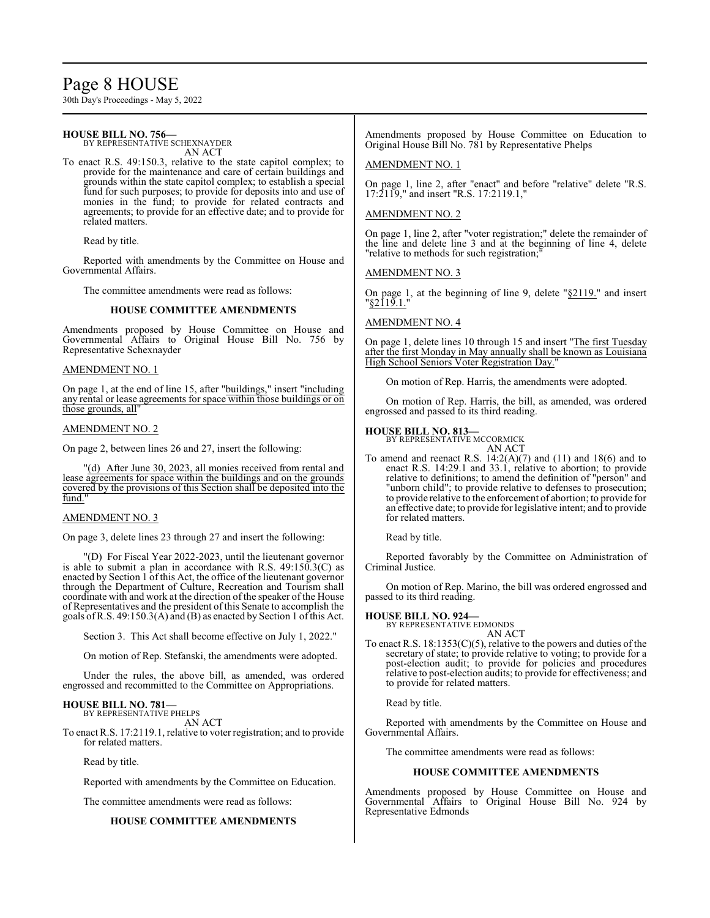# Page 8 HOUSE

30th Day's Proceedings - May 5, 2022

#### **HOUSE BILL NO. 756—** BY REPRESENTATIVE SCHEXNAYDER AN ACT To enact R.S. 49:150.3, relative to the state capitol complex; to provide for the maintenance and care of certain buildings and grounds within the state capitol complex; to establish a special fund for such purposes; to provide for deposits into and use of monies in the fund; to provide for related contracts and agreements; to provide for an effective date; and to provide for related matters. Read by title. Reported with amendments by the Committee on House and Governmental Affairs. The committee amendments were read as follows: **HOUSE COMMITTEE AMENDMENTS** Amendments proposed by House Committee on House and Governmental Affairs to Original House Bill No. 756 by Representative Schexnayder AMENDMENT NO. 1 On page 1, at the end of line 15, after "buildings," insert "including any rental or lease agreements for space within those buildings or on those grounds, all AMENDMENT NO. 2 On page 2, between lines 26 and 27, insert the following: Original House Bill No. 781 by Representative Phelps AMENDMENT NO. 1 17:2119," and insert "R.S. 17:2119.1," AMENDMENT NO. 2 On page 1, line 2, after "voter registration;" delete the remainder of "relative to methods for such registration; AMENDMENT NO. 3 "<u>§2119.1.</u>" AMENDMENT NO. 4 High School Seniors Voter Registration Day." On motion of Rep. Harris, the amendments were adopted. On motion of Rep. Harris, the bill, as amended, was ordered engrossed and passed to its third reading. **HOUSE BILL NO. 813—** BY REPRESENTATIVE MCCORMICK AN ACT

"(d) After June 30, 2023, all monies received from rental and lease agreements for space within the buildings and on the grounds covered by the provisions of this Section shall be deposited into the fund."

#### AMENDMENT NO. 3

On page 3, delete lines 23 through 27 and insert the following:

"(D) For Fiscal Year 2022-2023, until the lieutenant governor is able to submit a plan in accordance with R.S. 49:150.3(C) as enacted by Section 1 of this Act, the office of the lieutenant governor through the Department of Culture, Recreation and Tourism shall coordinate with and work at the direction of the speaker of the House of Representatives and the president of this Senate to accomplish the goals ofR.S. 49:150.3(A) and (B) as enacted by Section 1 ofthis Act.

Section 3. This Act shall become effective on July 1, 2022."

On motion of Rep. Stefanski, the amendments were adopted.

Under the rules, the above bill, as amended, was ordered engrossed and recommitted to the Committee on Appropriations.

# **HOUSE BILL NO. 781—** BY REPRESENTATIVE PHELPS

AN ACT

To enact R.S. 17:2119.1, relative to voter registration; and to provide for related matters.

Read by title.

Reported with amendments by the Committee on Education.

The committee amendments were read as follows:

# **HOUSE COMMITTEE AMENDMENTS**

**HOUSE BILL NO. 924—** BY REPRESENTATIVE EDMONDS AN ACT To enact R.S. 18:1353(C)(5), relative to the powers and duties of the

secretary of state; to provide relative to voting; to provide for a post-election audit; to provide for policies and procedures relative to post-election audits; to provide for effectiveness; and to provide for related matters.

Read by title.

Reported with amendments by the Committee on House and Governmental Affairs.

The committee amendments were read as follows:

# **HOUSE COMMITTEE AMENDMENTS**

Amendments proposed by House Committee on House and Governmental Affairs to Original House Bill No. 924 by Representative Edmonds

Amendments proposed by House Committee on Education to

On page 1, line 2, after "enact" and before "relative" delete "R.S.

the line and delete line 3 and at the beginning of line 4, delete

On page 1, at the beginning of line 9, delete "§2119." and insert

On page 1, delete lines 10 through 15 and insert "The first Tuesday after the first Monday in May annually shall be known as Louisiana

To amend and reenact R.S.  $14:2(A)(7)$  and  $(11)$  and  $18(6)$  and to enact R.S. 14:29.1 and 33.1, relative to abortion; to provide relative to definitions; to amend the definition of "person" and "unborn child"; to provide relative to defenses to prosecution; to provide relative to the enforcement of abortion; to provide for an effective date; to provide for legislative intent; and to provide for related matters.

Read by title.

Reported favorably by the Committee on Administration of Criminal Justice.

On motion of Rep. Marino, the bill was ordered engrossed and passed to its third reading.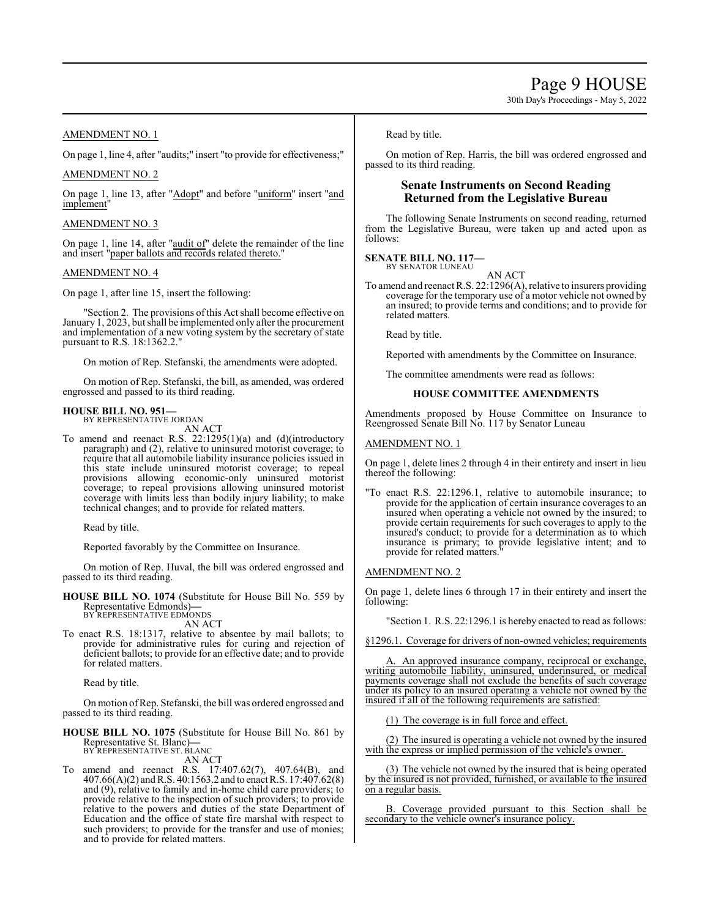# AMENDMENT NO. 1

On page 1, line 4, after "audits;" insert "to provide for effectiveness;"

# AMENDMENT NO. 2

On page 1, line 13, after "Adopt" and before "uniform" insert "and implement"

#### AMENDMENT NO. 3

On page 1, line 14, after "audit of" delete the remainder of the line and insert "paper ballots and records related thereto."

### AMENDMENT NO. 4

On page 1, after line 15, insert the following:

"Section 2. The provisions ofthis Act shall become effective on January 1, 2023, but shall be implemented only after the procurement and implementation of a new voting system by the secretary of state pursuant to R.S. 18:1362.2."

On motion of Rep. Stefanski, the amendments were adopted.

On motion of Rep. Stefanski, the bill, as amended, was ordered engrossed and passed to its third reading.

# **HOUSE BILL NO. 951—** BY REPRESENTATIVE JORDAN

AN ACT

To amend and reenact R.S. 22:1295(1)(a) and (d)(introductory paragraph) and (2), relative to uninsured motorist coverage; to require that all automobile liability insurance policies issued in this state include uninsured motorist coverage; to repeal provisions allowing economic-only uninsured motorist coverage; to repeal provisions allowing uninsured motorist coverage with limits less than bodily injury liability; to make technical changes; and to provide for related matters.

Read by title.

Reported favorably by the Committee on Insurance.

On motion of Rep. Huval, the bill was ordered engrossed and passed to its third reading.

**HOUSE BILL NO. 1074** (Substitute for House Bill No. 559 by Representative Edmonds)**—** BY REPRESENTATIVE EDMONDS

AN ACT

To enact R.S. 18:1317, relative to absentee by mail ballots; to provide for administrative rules for curing and rejection of deficient ballots; to provide for an effective date; and to provide for related matters.

Read by title.

On motion ofRep. Stefanski, the bill was ordered engrossed and passed to its third reading.

**HOUSE BILL NO. 1075** (Substitute for House Bill No. 861 by Representative St. Blanc)**—** BY REPRESENTATIVE ST. BLANC

AN ACT

To amend and reenact R.S. 17:407.62(7), 407.64(B), and 407.66(A)(2) and R.S. 40:1563.2 and to enact R.S. 17:407.62(8) and (9), relative to family and in-home child care providers; to provide relative to the inspection of such providers; to provide relative to the powers and duties of the state Department of Education and the office of state fire marshal with respect to such providers; to provide for the transfer and use of monies; and to provide for related matters.

Read by title.

On motion of Rep. Harris, the bill was ordered engrossed and passed to its third reading.

# **Senate Instruments on Second Reading Returned from the Legislative Bureau**

The following Senate Instruments on second reading, returned from the Legislative Bureau, were taken up and acted upon as follows:

# **SENATE BILL NO. 117—** BY SENATOR LUNEAU

AN ACT

To amend and reenact R.S. 22:1296(A), relative to insurers providing coverage for the temporary use of a motor vehicle not owned by an insured; to provide terms and conditions; and to provide for related matters.

Read by title.

Reported with amendments by the Committee on Insurance.

The committee amendments were read as follows:

#### **HOUSE COMMITTEE AMENDMENTS**

Amendments proposed by House Committee on Insurance to Reengrossed Senate Bill No. 117 by Senator Luneau

#### AMENDMENT NO. 1

On page 1, delete lines 2 through 4 in their entirety and insert in lieu thereof the following:

"To enact R.S. 22:1296.1, relative to automobile insurance; to provide for the application of certain insurance coverages to an insured when operating a vehicle not owned by the insured; to provide certain requirements for such coverages to apply to the insured's conduct; to provide for a determination as to which insurance is primary; to provide legislative intent; and to provide for related matters."

#### AMENDMENT NO. 2

On page 1, delete lines 6 through 17 in their entirety and insert the following:

"Section 1. R.S. 22:1296.1 is hereby enacted to read as follows:

§1296.1. Coverage for drivers of non-owned vehicles; requirements

An approved insurance company, reciprocal or exchange writing automobile liability, uninsured, underinsured, or medical payments coverage shall not exclude the benefits of such coverage under its policy to an insured operating a vehicle not owned by the insured if all of the following requirements are satisfied:

(1) The coverage is in full force and effect.

(2) The insured is operating a vehicle not owned by the insured with the express or implied permission of the vehicle's owner.

(3) The vehicle not owned by the insured that is being operated by the insured is not provided, furnished, or available to the insured on a regular basis.

B. Coverage provided pursuant to this Section shall be secondary to the vehicle owner's insurance policy.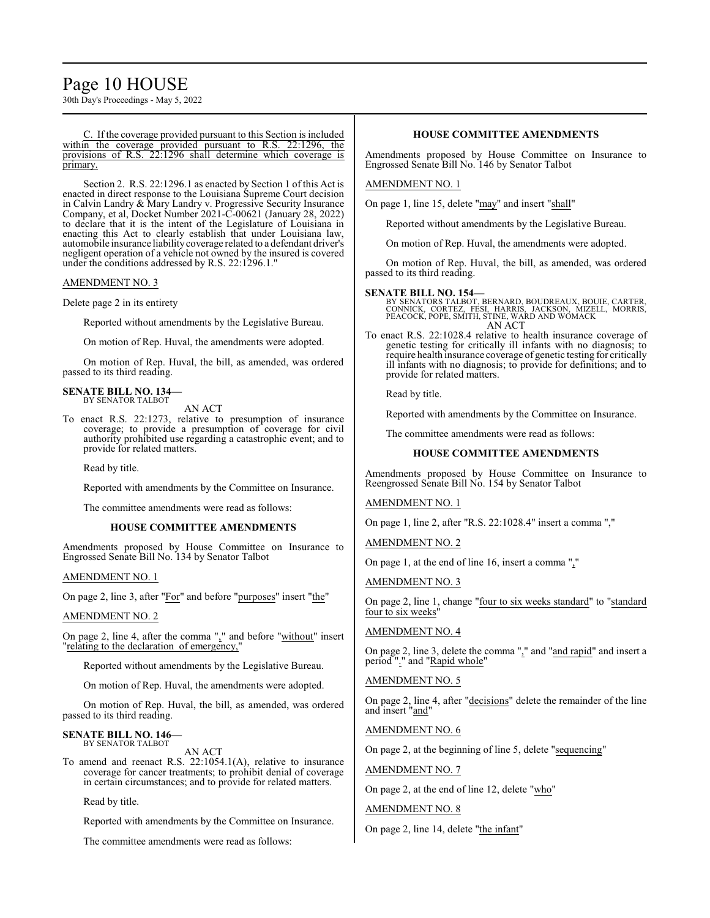# Page 10 HOUSE

30th Day's Proceedings - May 5, 2022

C. If the coverage provided pursuant to this Section is included within the coverage provided pursuant to R.S. 22:1296, the provisions of R.S. 22:1296 shall determine which coverage is primary.

Section 2. R.S. 22:1296.1 as enacted by Section 1 of this Act is enacted in direct response to the Louisiana Supreme Court decision in Calvin Landry & Mary Landry v. Progressive Security Insurance Company, et al, Docket Number 2021-C-00621 (January 28, 2022) to declare that it is the intent of the Legislature of Louisiana in enacting this Act to clearly establish that under Louisiana law, automobile insurance liabilitycoverage related to a defendant driver's negligent operation of a vehicle not owned by the insured is covered under the conditions addressed by R.S. 22:1296.1."

### AMENDMENT NO. 3

Delete page 2 in its entirety

Reported without amendments by the Legislative Bureau.

On motion of Rep. Huval, the amendments were adopted.

On motion of Rep. Huval, the bill, as amended, was ordered passed to its third reading.

#### **SENATE BILL NO. 134—** BY SENATOR TALBOT

AN ACT

To enact R.S. 22:1273, relative to presumption of insurance coverage; to provide a presumption of coverage for civil authority prohibited use regarding a catastrophic event; and to provide for related matters.

Read by title.

Reported with amendments by the Committee on Insurance.

The committee amendments were read as follows:

#### **HOUSE COMMITTEE AMENDMENTS**

Amendments proposed by House Committee on Insurance to Engrossed Senate Bill No. 134 by Senator Talbot

#### AMENDMENT NO. 1

On page 2, line 3, after "For" and before "purposes" insert "the"

#### AMENDMENT NO. 2

On page 2, line 4, after the comma "," and before "without" insert "relating to the declaration of emergency,"

Reported without amendments by the Legislative Bureau.

On motion of Rep. Huval, the amendments were adopted.

On motion of Rep. Huval, the bill, as amended, was ordered passed to its third reading.

#### **SENATE BILL NO. 146—** BY SENATOR TALBOT

AN ACT

To amend and reenact R.S. 22:1054.1(A), relative to insurance coverage for cancer treatments; to prohibit denial of coverage in certain circumstances; and to provide for related matters.

Read by title.

Reported with amendments by the Committee on Insurance.

The committee amendments were read as follows:

### **HOUSE COMMITTEE AMENDMENTS**

Amendments proposed by House Committee on Insurance to Engrossed Senate Bill No. 146 by Senator Talbot

#### AMENDMENT NO. 1

On page 1, line 15, delete "may" and insert "shall"

Reported without amendments by the Legislative Bureau.

On motion of Rep. Huval, the amendments were adopted.

On motion of Rep. Huval, the bill, as amended, was ordered passed to its third reading.

**SENATE BILL NO. 154—**<br>BY SENATORS TALBOT, BERNARD, BOUDREAUX, BOUIE, CARTER,<br>CONNICK, CORTEZ, FÉSI, HARRIS, JACKSON, MIZELL, MORRIS,<br>PEACOCK, POPE, SMITH, STINE, WARD AND WOMACK AN ACT

To enact R.S. 22:1028.4 relative to health insurance coverage of genetic testing for critically ill infants with no diagnosis; to require health insurance coverage of genetic testing for critically ill infants with no diagnosis; to provide for definitions; and to provide for related matters.

Read by title.

Reported with amendments by the Committee on Insurance.

The committee amendments were read as follows:

#### **HOUSE COMMITTEE AMENDMENTS**

Amendments proposed by House Committee on Insurance to Reengrossed Senate Bill No. 154 by Senator Talbot

AMENDMENT NO. 1

On page 1, line 2, after "R.S. 22:1028.4" insert a comma ","

AMENDMENT NO. 2

On page 1, at the end of line 16, insert a comma ","

AMENDMENT NO. 3

On page 2, line 1, change "four to six weeks standard" to "standard four to six weeks"

### AMENDMENT NO. 4

On page 2, line 3, delete the comma "," and "and rapid" and insert a period "." and "Rapid whole"

### AMENDMENT NO. 5

On page 2, line 4, after "decisions" delete the remainder of the line and insert "and"

#### AMENDMENT NO. 6

On page 2, at the beginning of line 5, delete "sequencing"

#### AMENDMENT NO. 7

On page 2, at the end of line 12, delete "who"

#### AMENDMENT NO. 8

On page 2, line 14, delete "the infant"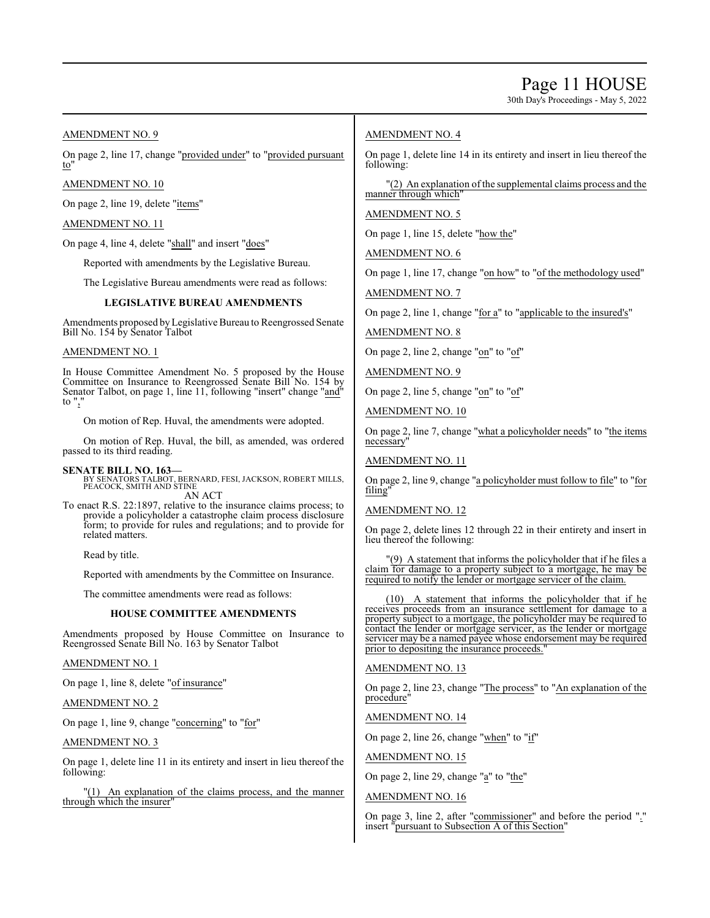# Page 11 HOUSE

30th Day's Proceedings - May 5, 2022

AMENDMENT NO. 9

On page 2, line 17, change "provided under" to "provided pursuant to"

AMENDMENT NO. 10

On page 2, line 19, delete "items"

AMENDMENT NO. 11

On page 4, line 4, delete "shall" and insert "does"

Reported with amendments by the Legislative Bureau.

The Legislative Bureau amendments were read as follows:

#### **LEGISLATIVE BUREAU AMENDMENTS**

Amendments proposed byLegislative Bureau to Reengrossed Senate Bill No. 154 by Senator Talbot

#### AMENDMENT NO. 1

In House Committee Amendment No. 5 proposed by the House Committee on Insurance to Reengrossed Senate Bill No. 154 by Senator Talbot, on page 1, line 11, following "insert" change "and" to ","

On motion of Rep. Huval, the amendments were adopted.

On motion of Rep. Huval, the bill, as amended, was ordered passed to its third reading.

**SENATE BILL NO. 163—** BY SENATORS TALBOT, BERNARD, FESI, JACKSON, ROBERT MILLS, PEACOCK, SMITH AND STINE AN ACT

To enact R.S. 22:1897, relative to the insurance claims process; to provide a policyholder a catastrophe claim process disclosure form; to provide for rules and regulations; and to provide for related matters.

Read by title.

Reported with amendments by the Committee on Insurance.

The committee amendments were read as follows:

#### **HOUSE COMMITTEE AMENDMENTS**

Amendments proposed by House Committee on Insurance to Reengrossed Senate Bill No. 163 by Senator Talbot

### AMENDMENT NO. 1

On page 1, line 8, delete "of insurance"

#### AMENDMENT NO. 2

On page 1, line 9, change "concerning" to "for"

#### AMENDMENT NO. 3

On page 1, delete line 11 in its entirety and insert in lieu thereof the following:

"(1) An explanation of the claims process, and the manner through which the insurer

### AMENDMENT NO. 4

On page 1, delete line 14 in its entirety and insert in lieu thereof the following:

"(2) An explanation of the supplemental claims process and the manner through which"

#### AMENDMENT NO. 5

On page 1, line 15, delete "how the"

AMENDMENT NO. 6

On page 1, line 17, change "on how" to "of the methodology used"

AMENDMENT NO. 7

On page 2, line 1, change "for a" to "applicable to the insured's"

AMENDMENT NO. 8

On page 2, line 2, change "on" to "of"

AMENDMENT NO. 9

On page 2, line 5, change "on" to "of"

AMENDMENT NO. 10

On page 2, line 7, change "what a policyholder needs" to "the items necessary"

AMENDMENT NO. 11

On page 2, line 9, change "a policyholder must follow to file" to "for filing"

#### AMENDMENT NO. 12

On page 2, delete lines 12 through 22 in their entirety and insert in lieu thereof the following:

(9) A statement that informs the policyholder that if he files a claim for damage to a property subject to a mortgage, he may be required to notify the lender or mortgage servicer of the claim.

(10) A statement that informs the policyholder that if he receives proceeds from an insurance settlement for damage to a property subject to a mortgage, the policyholder may be required to contact the lender or mortgage servicer, as the lender or mortgage servicer may be a named payee whose endorsement may be required prior to depositing the insurance proceeds.

# AMENDMENT NO. 13

On page 2, line 23, change "The process" to "An explanation of the procedure"

AMENDMENT NO. 14

On page 2, line 26, change "when" to "if"

AMENDMENT NO. 15

On page 2, line 29, change "a" to "the"

# AMENDMENT NO. 16

On page 3, line 2, after "commissioner" and before the period "." insert "pursuant to Subsection A of this Section"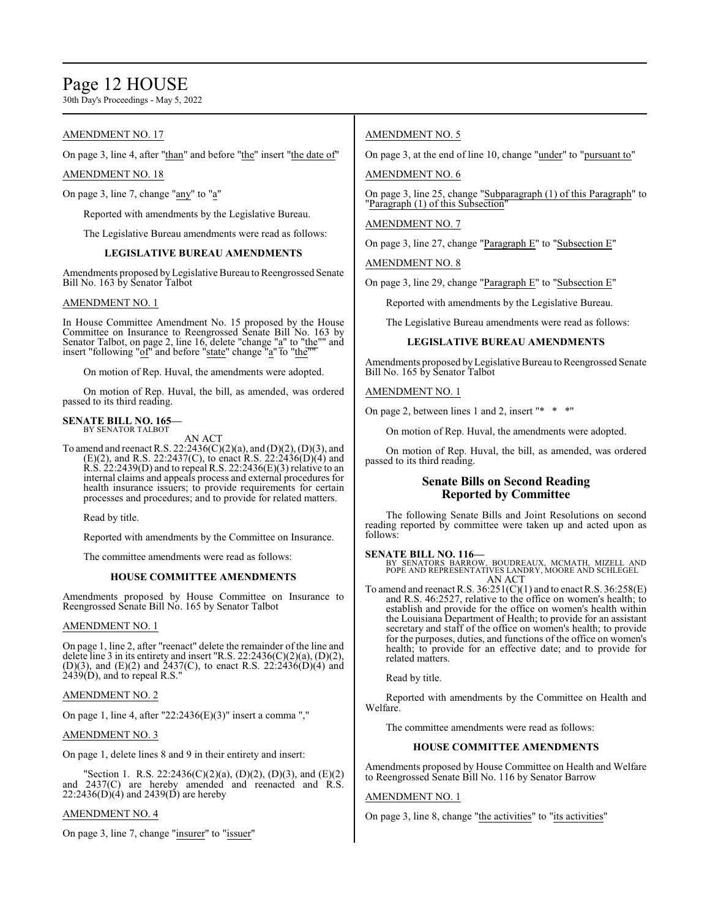# Page 12 HOUSE

30th Day's Proceedings - May 5, 2022

# AMENDMENT NO. 17

On page 3, line 4, after "than" and before "the" insert "the date of"

### AMENDMENT NO. 18

On page 3, line 7, change "any" to "a"

Reported with amendments by the Legislative Bureau.

The Legislative Bureau amendments were read as follows:

# **LEGISLATIVE BUREAU AMENDMENTS**

Amendments proposed by Legislative Bureau to Reengrossed Senate Bill No. 163 by Senator Talbot

## AMENDMENT NO. 1

In House Committee Amendment No. 15 proposed by the House Committee on Insurance to Reengrossed Senate Bill No. 163 by Senator Talbot, on page 2, line 16, delete "change "a" to "the"" and insert "following "of" and before "state" change "a" to "the ""

On motion of Rep. Huval, the amendments were adopted.

On motion of Rep. Huval, the bill, as amended, was ordered passed to its third reading.

#### **SENATE BILL NO. 165—** BY SENATOR TALBOT

AN ACT

To amend and reenact R.S. 22:2436(C)(2)(a), and (D)(2), (D)(3), and (E)(2), and R.S. 22:2437(C), to enact R.S. 22:2436(D)(4) and  $R.S. 22:2439(D)$  and to repeal R.S. 22:2436(E)(3) relative to an internal claims and appeals process and external procedures for health insurance issuers; to provide requirements for certain processes and procedures; and to provide for related matters.

Read by title.

Reported with amendments by the Committee on Insurance.

The committee amendments were read as follows:

#### **HOUSE COMMITTEE AMENDMENTS**

Amendments proposed by House Committee on Insurance to Reengrossed Senate Bill No. 165 by Senator Talbot

#### AMENDMENT NO. 1

On page 1, line 2, after "reenact" delete the remainder of the line and delete line 3 in its entirety and insert "R.S.  $22:2436(C)(2)(a)$ ,  $(D)(2)$ , (D)(3), and (E)(2) and 2437(C), to enact R.S. 22:2436(D)(4) and  $2439(D)$ , and to repeal R.S."

### AMENDMENT NO. 2

On page 1, line 4, after "22:2436(E)(3)" insert a comma ","

#### AMENDMENT NO. 3

On page 1, delete lines 8 and 9 in their entirety and insert:

"Section 1. R.S. 22:2436(C)(2)(a), (D)(2), (D)(3), and (E)(2) and 2437(C) are hereby amended and reenacted and R.S.  $22:2436(D)(4)$  and  $2439(D)$  are hereby

#### AMENDMENT NO. 4

On page 3, line 7, change "insurer" to "issuer"

# AMENDMENT NO. 5

On page 3, at the end of line 10, change "under" to "pursuant to"

AMENDMENT NO. 6

On page 3, line 25, change "Subparagraph (1) of this Paragraph" to "Paragraph (1) of this Subsection"

## AMENDMENT NO. 7

On page 3, line 27, change "Paragraph E" to "Subsection E"

AMENDMENT NO. 8

On page 3, line 29, change "Paragraph E" to "Subsection E"

Reported with amendments by the Legislative Bureau.

The Legislative Bureau amendments were read as follows:

# **LEGISLATIVE BUREAU AMENDMENTS**

Amendments proposed by Legislative Bureau to Reengrossed Senate Bill No. 165 by Senator Talbot

AMENDMENT NO. 1

On page 2, between lines 1 and 2, insert "\* \* \*"

On motion of Rep. Huval, the amendments were adopted.

On motion of Rep. Huval, the bill, as amended, was ordered passed to its third reading.

# **Senate Bills on Second Reading Reported by Committee**

The following Senate Bills and Joint Resolutions on second reading reported by committee were taken up and acted upon as follows:

**SENATE BILL NO. 116—** BY SENATORS BARROW, BOUDREAUX, MCMATH, MIZELL AND POPE AND REPRESENTATIVES LANDRY, MOORE AND SCHLEGEL AN ACT

To amend and reenact R.S.  $36:251(C)(1)$  and to enact R.S.  $36:258(E)$ and R.S. 46:2527, relative to the office on women's health; to establish and provide for the office on women's health within the Louisiana Department of Health; to provide for an assistant secretary and staff of the office on women's health; to provide for the purposes, duties, and functions of the office on women's health; to provide for an effective date; and to provide for related matters.

Read by title.

Reported with amendments by the Committee on Health and Welfare.

The committee amendments were read as follows:

#### **HOUSE COMMITTEE AMENDMENTS**

Amendments proposed by House Committee on Health and Welfare to Reengrossed Senate Bill No. 116 by Senator Barrow

#### AMENDMENT NO. 1

On page 3, line 8, change "the activities" to "its activities"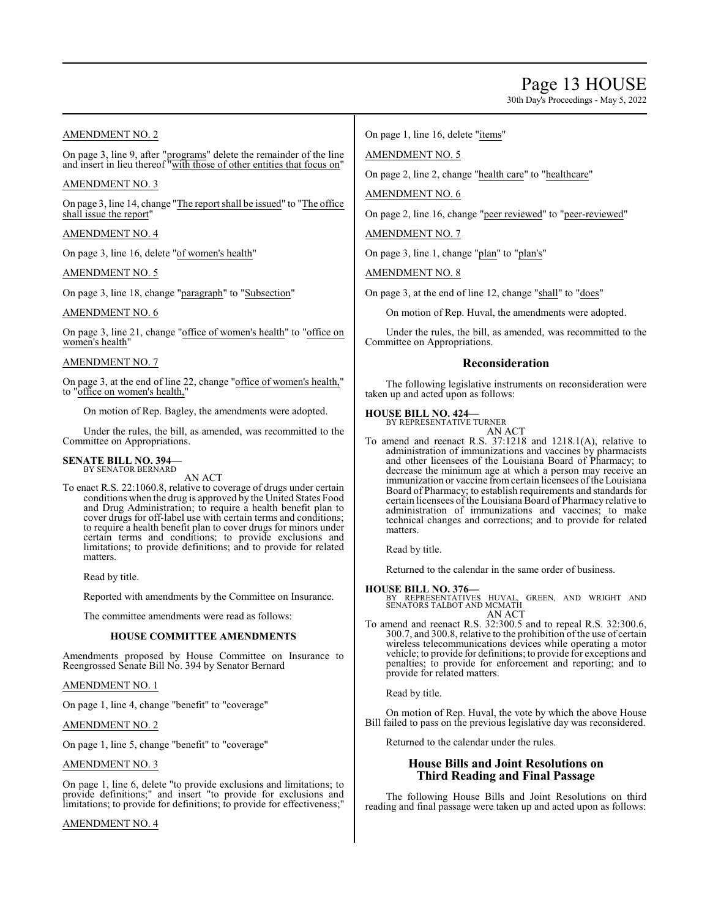# Page 13 HOUSE

30th Day's Proceedings - May 5, 2022

# AMENDMENT NO. 2

On page 3, line 9, after "programs" delete the remainder of the line and insert in lieu thereof "with those of other entities that focus on"

# AMENDMENT NO. 3

On page 3, line 14, change "The report shall be issued" to "The office shall issue the report"

# AMENDMENT NO. 4

On page 3, line 16, delete "of women's health"

### AMENDMENT NO. 5

On page 3, line 18, change "paragraph" to "Subsection"

# AMENDMENT NO. 6

On page 3, line 21, change "office of women's health" to "office on women's health"

# AMENDMENT NO. 7

On page 3, at the end of line 22, change "office of women's health," to "office on women's health,

On motion of Rep. Bagley, the amendments were adopted.

Under the rules, the bill, as amended, was recommitted to the Committee on Appropriations.

#### **SENATE BILL NO. 394—** BY SENATOR BERNARD

AN ACT

To enact R.S. 22:1060.8, relative to coverage of drugs under certain conditions when the drug is approved by the United States Food and Drug Administration; to require a health benefit plan to cover drugs for off-label use with certain terms and conditions; to require a health benefit plan to cover drugs for minors under certain terms and conditions; to provide exclusions and limitations; to provide definitions; and to provide for related matters.

Read by title.

Reported with amendments by the Committee on Insurance.

The committee amendments were read as follows:

### **HOUSE COMMITTEE AMENDMENTS**

Amendments proposed by House Committee on Insurance to Reengrossed Senate Bill No. 394 by Senator Bernard

#### AMENDMENT NO. 1

On page 1, line 4, change "benefit" to "coverage"

# AMENDMENT NO. 2

On page 1, line 5, change "benefit" to "coverage"

# AMENDMENT NO. 3

On page 1, line 6, delete "to provide exclusions and limitations; to provide definitions;" and insert "to provide for exclusions and limitations; to provide for definitions; to provide for effectiveness;"

### AMENDMENT NO. 4

On page 1, line 16, delete "items"

## AMENDMENT NO. 5

On page 2, line 2, change "health care" to "healthcare"

AMENDMENT NO. 6

On page 2, line 16, change "peer reviewed" to "peer-reviewed"

AMENDMENT NO. 7

On page 3, line 1, change "plan" to "plan's"

AMENDMENT NO. 8

On page 3, at the end of line 12, change "shall" to "does"

On motion of Rep. Huval, the amendments were adopted.

Under the rules, the bill, as amended, was recommitted to the Committee on Appropriations.

# **Reconsideration**

The following legislative instruments on reconsideration were taken up and acted upon as follows:

# **HOUSE BILL NO. 424—**

BY REPRESENTATIVE TURNER AN ACT

To amend and reenact R.S. 37:1218 and 1218.1(A), relative to administration of immunizations and vaccines by pharmacists and other licensees of the Louisiana Board of Pharmacy; to decrease the minimum age at which a person may receive an immunization or vaccine from certain licensees of the Louisiana Board of Pharmacy; to establish requirements and standards for certain licensees of the Louisiana Board of Pharmacy relative to administration of immunizations and vaccines; to make technical changes and corrections; and to provide for related matters.

Read by title.

Returned to the calendar in the same order of business.

**HOUSE BILL NO. 376—** BY REPRESENTATIVES HUVAL, GREEN, AND WRIGHT AND SENATORS TALBOT AND MCMATH AN ACT

To amend and reenact R.S. 32:300.5 and to repeal R.S. 32:300.6, 300.7, and 300.8, relative to the prohibition of the use of certain wireless telecommunications devices while operating a motor vehicle; to provide for definitions; to provide for exceptions and penalties; to provide for enforcement and reporting; and to provide for related matters.

Read by title.

On motion of Rep. Huval, the vote by which the above House Bill failed to pass on the previous legislative day was reconsidered.

Returned to the calendar under the rules.

# **House Bills and Joint Resolutions on Third Reading and Final Passage**

The following House Bills and Joint Resolutions on third reading and final passage were taken up and acted upon as follows: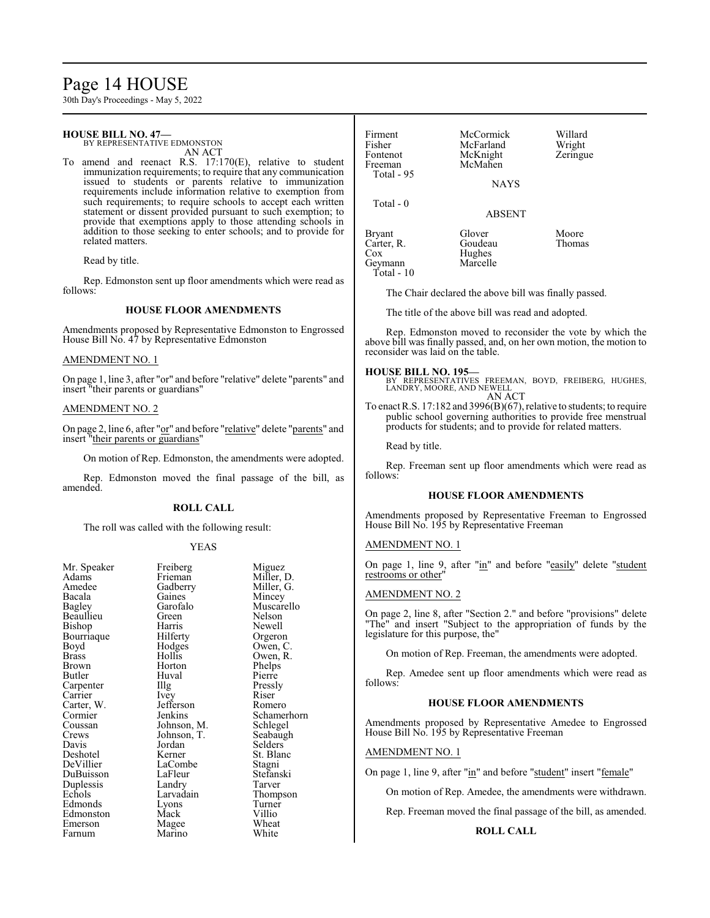# Page 14 HOUSE

30th Day's Proceedings - May 5, 2022

# **HOUSE BILL NO. 47—**

BY REPRESENTATIVE EDMONSTON AN ACT

To amend and reenact R.S. 17:170(E), relative to student immunization requirements; to require that any communication issued to students or parents relative to immunization requirements include information relative to exemption from such requirements; to require schools to accept each written statement or dissent provided pursuant to such exemption; to provide that exemptions apply to those attending schools in addition to those seeking to enter schools; and to provide for related matters.

Read by title.

Rep. Edmonston sent up floor amendments which were read as follows:

#### **HOUSE FLOOR AMENDMENTS**

Amendments proposed by Representative Edmonston to Engrossed House Bill No. 47 by Representative Edmonston

#### AMENDMENT NO. 1

On page 1, line 3, after "or" and before "relative" delete "parents" and insert "their parents or guardians"

#### AMENDMENT NO. 2

On page 2, line 6, after "or" and before "relative" delete "parents" and insert "their parents or guardians"

On motion of Rep. Edmonston, the amendments were adopted.

Rep. Edmonston moved the final passage of the bill, as amended.

#### **ROLL CALL**

The roll was called with the following result:

#### YEAS

| Mr. Speaker  | Freiberg    | Migue   |
|--------------|-------------|---------|
| Adams        | Frieman     | Miller, |
| Amedee       | Gadberry    | Miller, |
| Bacala       | Gaines      | Mince   |
| Bagley       | Garofalo    | Musca   |
| Beaullieu    | Green       | Nelsor  |
| Bishop       | Harris      | Newel   |
| Bourriaque   | Hilferty    | Orgero  |
| Boyd         | Hodges      | Owen,   |
| <b>Brass</b> | Hollis      | Owen,   |
| Brown        | Horton      | Phelps  |
| Butler       | Huval       | Pierre  |
| Carpenter    | Illg        | Pressly |
| Carrier      | Ivey        | Riser   |
| Carter, W.   | Jefferson   | Romer   |
| Cormier      | Jenkins     | Scham   |
| Coussan      | Johnson, M. | Schleg  |
| Crews        | Johnson, T. | Seabau  |
| Davis        | Jordan      | Selder  |
| Deshotel     | Kerner      | St. Bla |
| DeVillier    | LaCombe     | Stagni  |
| DuBuisson    | LaFleur     | Stefan  |
| Duplessis    | Landry      | Tarver  |
| Echols       | Larvadain   | Thomp   |
| Edmonds      | Lyons       | Turner  |
| Edmonston    | Mack        | Villio  |
| Emerson      | Magee       | Wheat   |
| Farnum       | Marino      | White   |
|              |             |         |

Miguez Miller, D. Miller, G. Mincey Muscarello Nelson Newell Orgeron Owen, C. Owen, R. Phelps Pierre Pressly<br>Riser Romero Schamerhorn<br>
M. Schlegel M. Schlegel<br>T. Seabaugh Seabaugh Selders<sup>1</sup> St. Blanc Stagni Stefanski n Thompson Turner<br>Villio

| Firment<br>Fisher<br>Fontenot<br>Freeman<br>Total - 95 | McCormick<br>McFarland<br>McKnight<br>McMahen | Willard<br>Wright<br>Zeringue |
|--------------------------------------------------------|-----------------------------------------------|-------------------------------|
|                                                        | <b>NAYS</b>                                   |                               |
| Total $-0$                                             | <b>ABSENT</b>                                 |                               |
| <b>Bryant</b><br>Carter, R.<br>$\cos$<br>Geymann       | Glover<br>Goudeau<br>Hughes<br>Marcelle       | Moore<br>Thomas               |

The Chair declared the above bill was finally passed.

The title of the above bill was read and adopted.

Rep. Edmonston moved to reconsider the vote by which the above bill was finally passed, and, on her own motion, the motion to reconsider was laid on the table.

Geymann Total - 10

**HOUSE BILL NO. 195—** BY REPRESENTATIVES FREEMAN, BOYD, FREIBERG, HUGHES, LANDRY, MOORE, AND NEWELL AN ACT

To enact R.S. 17:182 and 3996(B)(67), relative to students; to require public school governing authorities to provide free menstrual products for students; and to provide for related matters.

Read by title.

Rep. Freeman sent up floor amendments which were read as follows:

# **HOUSE FLOOR AMENDMENTS**

Amendments proposed by Representative Freeman to Engrossed House Bill No. 195 by Representative Freeman

#### AMENDMENT NO. 1

On page 1, line 9, after "in" and before "easily" delete "student restrooms or other"

### AMENDMENT NO. 2

On page 2, line 8, after "Section 2." and before "provisions" delete "The" and insert "Subject to the appropriation of funds by the legislature for this purpose, the"

On motion of Rep. Freeman, the amendments were adopted.

Rep. Amedee sent up floor amendments which were read as follows:

#### **HOUSE FLOOR AMENDMENTS**

Amendments proposed by Representative Amedee to Engrossed House Bill No. 195 by Representative Freeman

### AMENDMENT NO. 1

On page 1, line 9, after "in" and before "student" insert "female"

On motion of Rep. Amedee, the amendments were withdrawn.

Rep. Freeman moved the final passage of the bill, as amended.

#### **ROLL CALL**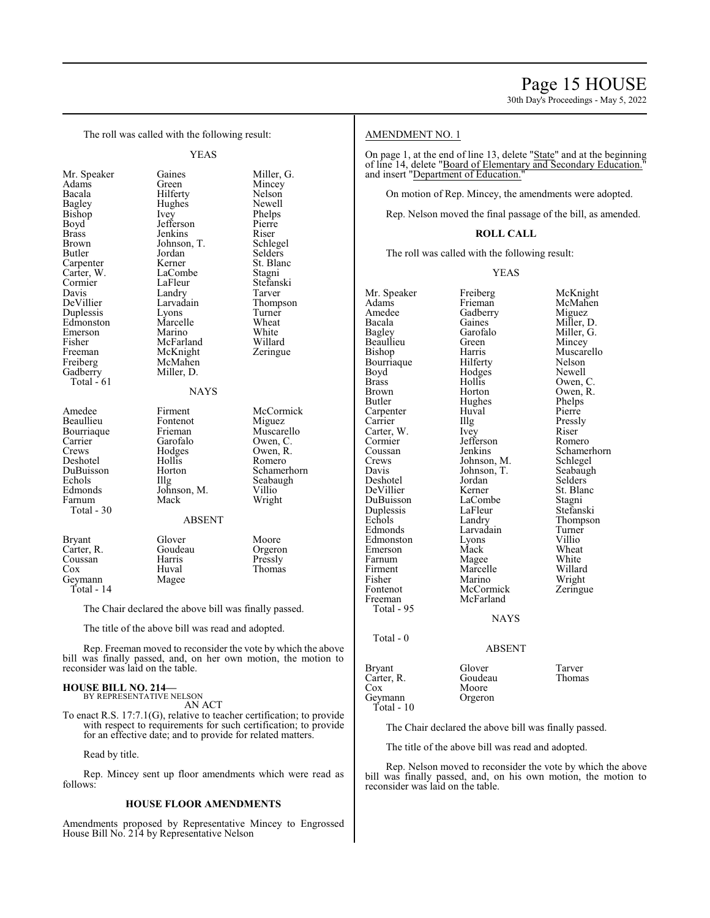30th Day's Proceedings - May 5, 2022

The roll was called with the following result:

YEAS

| Mr. Speaker   |
|---------------|
| Adams         |
| Bacala        |
| <b>Bagley</b> |
| <b>Bishop</b> |
| Boyd          |
| <b>Brass</b>  |
| Brown         |
| Butler        |
| Carpenter     |
| Carter, W.    |
| Cormier       |
| Davis         |
| DeVillier     |
| Duplessis     |
| Edmonston     |
| Emerson       |
| Fisher        |
| Freeman       |
| Freiberg      |
| Gadberry      |
| Total $-61$   |
|               |
|               |
| Amedee        |

Total - 30

Geymann Total - 14

Gaines Miller, G.<br>Green Mincey Mincey Hilferty Nelson<br>Hughes Newell Hughes Ivey Phelps<br>Pierre Jefferson Pierre<br>Jenkins Riser Jenkins Riser<br>Johnson, T. Schlegel Johnson, T.<br>Jordan Jordan Selders<br>Kerner St. Blar St. Blanc<br>Stagni LaCombe<br>LaFleur Stefanski<br>Tarver Landry<br>Larvadain Thompson<br>Turner Lyons Turner<br>Marcelle Wheat Marcelle Wheat<br>
Marino White Marino White<br>
McFarland Willard McFarland Willard<br>
McKnight Zeringue McKnight McMahen Miller, D. **NAYS** Firment McCormick<br>Fontenot Miguez Beaullieu Fontenot Miguez<br>Bourriaque Frieman Muscarello Bourriaque Frieman<br>Carrier Garofalo Carrier Garofalo Owen, C.<br>Crews Hodges Owen, R. Hodges Owen, R.<br>Hollis Romero Deshotel Hollis<br>DuBuisson Horton DuBuisson Horton Schamerhorn Echols Illg Seabaugh<br>Edmonds Johnson, M. Villio Johnson, M. Farnum Mack Wright ABSENT Bryant Glover Moore<br>Carter, R. Goudeau Orgeron Carter, R. Goudeau Coussan<br>
Coussan Harris Pressly Coussan Harris<br>Cox Huval Huval Thomas<br>Magee

The Chair declared the above bill was finally passed.

The title of the above bill was read and adopted.

Rep. Freeman moved to reconsider the vote by which the above bill was finally passed, and, on her own motion, the motion to reconsider was laid on the table.

#### **HOUSE BILL NO. 214—** BY REPRESENTATIVE NELSON

AN ACT

To enact R.S. 17:7.1(G), relative to teacher certification; to provide with respect to requirements for such certification; to provide for an effective date; and to provide for related matters.

Read by title.

Rep. Mincey sent up floor amendments which were read as follows:

#### **HOUSE FLOOR AMENDMENTS**

Amendments proposed by Representative Mincey to Engrossed House Bill No. 214 by Representative Nelson

#### AMENDMENT NO. 1

On page 1, at the end of line 13, delete "State" and at the beginning of line 14, delete "Board of Elementary and Secondary Education." and insert "Department of Education."

On motion of Rep. Mincey, the amendments were adopted.

Rep. Nelson moved the final passage of the bill, as amended.

### **ROLL CALL**

The roll was called with the following result:

YEAS

| Mr. Speaker<br>Adams<br>Amedee<br>Bacala<br>Bagley<br>Beaullieu<br>Bishop<br>Bourriaque<br>Boyd<br><b>Brass</b><br><b>Brown</b><br>Butler<br>Carpenter<br>Carrier<br>Carter, W.<br>Cormier<br>Coussan<br>Crews<br>Davis<br>Deshotel<br>DeVillier<br>DuBuisson<br>Duplessis<br>Echols<br>Edmonds<br>Edmonston<br>Emerson<br>Farnum<br>Firment<br>Fisher<br>Fontenot<br>Freeman<br>Total - 95 | Freiberg<br>Frieman<br>Gadberry<br>Gaines<br>Garofalo<br>Green<br>Harris<br>Hilferty<br>Hodges<br>Hollis<br>Horton<br>Hughes<br>Huval<br>Illg<br>Ivey<br>Jefferson<br>Jenkins<br>Johnson, M.<br>Johnson, T.<br>Jordan<br>Kerner<br>LaCombe<br>LaFleur<br>Landry<br>Larvadain<br>Lyons<br>Mack<br>Magee<br>Marcelle<br>Marino<br>McCormick<br>McFarland<br><b>NAYS</b> | McKnight<br>McMahen<br>Miguez<br>Miller, D.<br>Miller, G.<br>Mincey<br>Muscarello<br>Nelson<br>Newell<br>Owen, C.<br>Owen, R.<br>Phelps<br>Pierre<br>Pressly<br>Riser<br>Romero<br>Schamerhorn<br>Schlegel<br>Seabaugh<br>Selders<br>St. Blanc<br>Stagni<br>Stefanski<br>Thompson<br>Turner<br>Villio<br>Wheat<br>White<br>Willard<br>Wright<br>Zeringue |
|---------------------------------------------------------------------------------------------------------------------------------------------------------------------------------------------------------------------------------------------------------------------------------------------------------------------------------------------------------------------------------------------|-----------------------------------------------------------------------------------------------------------------------------------------------------------------------------------------------------------------------------------------------------------------------------------------------------------------------------------------------------------------------|----------------------------------------------------------------------------------------------------------------------------------------------------------------------------------------------------------------------------------------------------------------------------------------------------------------------------------------------------------|
| $Total - 0$                                                                                                                                                                                                                                                                                                                                                                                 | <b>ABSENT</b>                                                                                                                                                                                                                                                                                                                                                         |                                                                                                                                                                                                                                                                                                                                                          |
| Bryant<br>Carter, R.<br>Cox                                                                                                                                                                                                                                                                                                                                                                 | Glover<br>Goudeau<br>Moore                                                                                                                                                                                                                                                                                                                                            | Tarver<br>Thomas                                                                                                                                                                                                                                                                                                                                         |

Geymann Orgeron Total - 10

The Chair declared the above bill was finally passed.

The title of the above bill was read and adopted.

Rep. Nelson moved to reconsider the vote by which the above bill was finally passed, and, on his own motion, the motion to reconsider was laid on the table.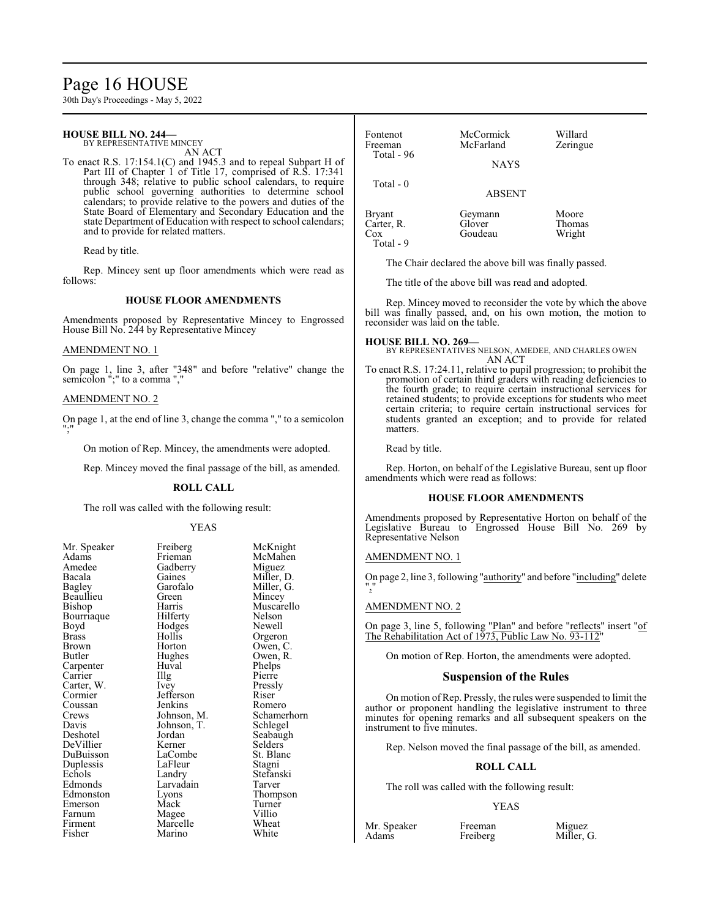# Page 16 HOUSE

30th Day's Proceedings - May 5, 2022

# **HOUSE BILL NO. 244—**

BY REPRESENTATIVE MINCEY AN ACT

To enact R.S. 17:154.1(C) and 1945.3 and to repeal Subpart H of Part III of Chapter 1 of Title 17, comprised of R.S. 17:341 through 348; relative to public school calendars, to require public school governing authorities to determine school calendars; to provide relative to the powers and duties of the State Board of Elementary and Secondary Education and the state Department of Education with respect to school calendars; and to provide for related matters.

Read by title.

Rep. Mincey sent up floor amendments which were read as follows:

#### **HOUSE FLOOR AMENDMENTS**

Amendments proposed by Representative Mincey to Engrossed House Bill No. 244 by Representative Mincey

### AMENDMENT NO. 1

On page 1, line 3, after "348" and before "relative" change the semicolon ";" to a comma ","

#### AMENDMENT NO. 2

On page 1, at the end of line 3, change the comma "," to a semicolon ";"

On motion of Rep. Mincey, the amendments were adopted.

Rep. Mincey moved the final passage of the bill, as amended.

#### **ROLL CALL**

The roll was called with the following result:

#### YEAS

| Mr. Speaker | Freiberg    | McKnight    |
|-------------|-------------|-------------|
| Adams       | Frieman     | McMahen     |
| Amedee      | Gadberry    | Miguez      |
| Bacala      | Gaines      | Miller, D.  |
| Bagley      | Garofalo    | Miller, G.  |
| Beaullieu   | Green       | Mincey      |
| Bishop      | Harris      | Muscarello  |
| Bourriaque  | Hilferty    | Nelson      |
| Boyd        | Hodges      | Newell      |
| Brass       | Hollis      | Orgeron     |
| Brown       | Horton      | Owen, C.    |
| Butler      | Hughes      | Owen, R.    |
| Carpenter   | Huval       | Phelps      |
| Carrier     | Illg        | Pierre      |
| Carter, W.  | <i>lvey</i> | Pressly     |
| Cormier     | Jefferson   | Riser       |
| Coussan     | Jenkins     | Romero      |
| Crews       | Johnson, M. | Schamerhorn |
| Davis       | Johnson, T. | Schlegel    |
| Deshotel    | Jordan      | Seabaugh    |
| DeVillier   | Kerner      | Selders     |
| DuBuisson   | LaCombe     | St. Blanc   |
| Duplessis   | LaFleur     | Stagni      |
| Echols      | Landry      | Stefanski   |
| Edmonds     | Larvadain   | Tarver      |
| Edmonston   | Lyons       | Thompson    |
| Emerson     | Mack        | Turner      |
| Farnum      | Magee       | Villio      |
| Firment     | Marcelle    | Wheat       |
| Fisher      | Marino      | White       |
|             |             |             |

| Fontenot<br>Freeman<br>Total - $96$ | McCormick<br>McFarland       | Willard<br>Zeringue              |
|-------------------------------------|------------------------------|----------------------------------|
|                                     | <b>NAYS</b>                  |                                  |
| Total $-0$                          | <b>ABSENT</b>                |                                  |
| <b>Bryant</b><br>Carter, R.<br>Cox  | Geymann<br>Glover<br>Goudeau | Moore<br><b>Thomas</b><br>Wright |

The Chair declared the above bill was finally passed.

The title of the above bill was read and adopted.

Rep. Mincey moved to reconsider the vote by which the above bill was finally passed, and, on his own motion, the motion to reconsider was laid on the table.

# **HOUSE BILL NO. 269—**

Total - 9

BY REPRESENTATIVES NELSON, AMEDEE, AND CHARLES OWEN AN ACT

To enact R.S. 17:24.11, relative to pupil progression; to prohibit the promotion of certain third graders with reading deficiencies to the fourth grade; to require certain instructional services for retained students; to provide exceptions for students who meet certain criteria; to require certain instructional services for students granted an exception; and to provide for related matters.

Read by title.

Rep. Horton, on behalf of the Legislative Bureau, sent up floor amendments which were read as follows:

#### **HOUSE FLOOR AMENDMENTS**

Amendments proposed by Representative Horton on behalf of the Legislative Bureau to Engrossed House Bill No. 269 by Representative Nelson

#### AMENDMENT NO. 1

On page 2, line 3, following "authority" and before "including" delete ","

#### AMENDMENT NO. 2

On page 3, line 5, following "Plan" and before "reflects" insert "of The Rehabilitation Act of 1973, Public Law No. 93-112'

On motion of Rep. Horton, the amendments were adopted.

#### **Suspension of the Rules**

On motion of Rep. Pressly, the rules were suspended to limit the author or proponent handling the legislative instrument to three minutes for opening remarks and all subsequent speakers on the instrument to five minutes.

Rep. Nelson moved the final passage of the bill, as amended.

#### **ROLL CALL**

The roll was called with the following result:

Freiberg

#### YEAS

Mr. Speaker Freeman Miguez<br>Adams Freiberg Miller. G.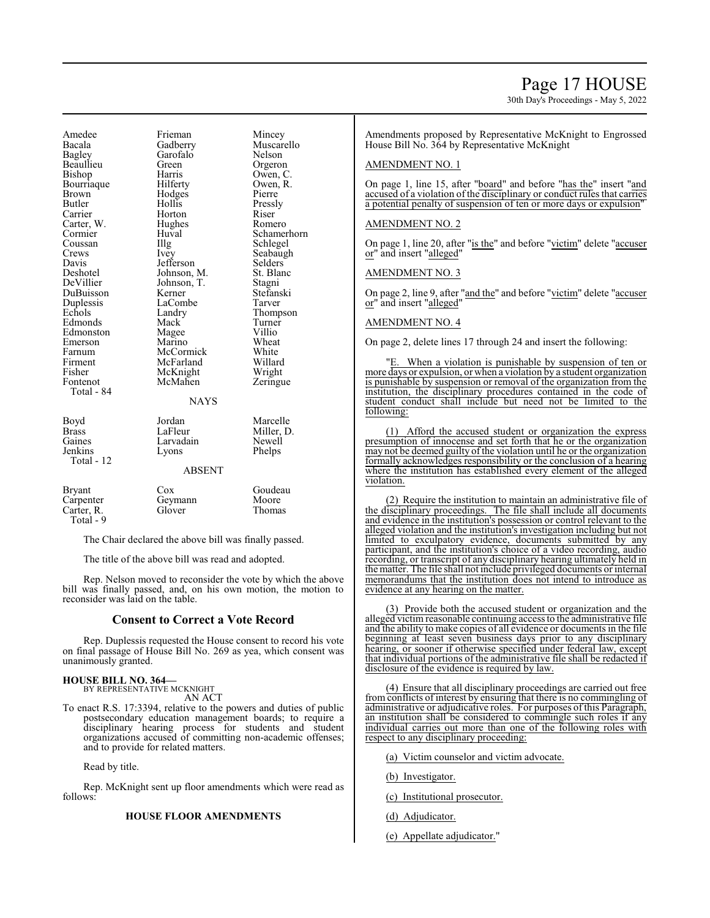# Page 17 HOUSE

30th Day's Proceedings - May 5, 2022

Beaullieu Green<br>Bishop Harris Bourriaque Carter, W. Hughe<br>Cormier Huval Deshotel Johnson, M.<br>DeVillier Johnson. T. Duplessis LaCombe<br>Echols Landry Total - 84 Gaines Larvadain<br>Jenkins Lyons Total - 12

Amedee Frieman Mincey<br>Bacala Gadberry Muscar Bacala Gadberry Muscarello Garofalo Nelson<br>Green Orgeron Harris Owen, C.<br>Hilferty Owen, R. Brown Hodges Pierre<br>Butler Hollis Pressl Butler Hollis Pressly Horton Riser<br>
Hughes Romero Cormier Huval Schamerhorn<br>
Coussan Illg Schlegel Coussan Illg Schlegel<br>Crews Ivey Seabaugl Crews Ivey Seabaugh<br>
Davis Jefferson Selders Davis Jefferson Selders Johnson, T. Stagni<br>Kerner Stefanski DuBuisson Kerner Stefans<br>Duplessis LaCombe Tarver Example 12 Landry Thompson<br>
Mack Turner Edmonds Mack Turner<br>Edmonston Magee Villio Edmonston Magee Villio<br>
Emerson Marino Wheat Emerson Marino Wheat<br>
Farnum McCormick White Farnum McCormick White<br>Firment McFarland Willard Firment McFarland Willard<br>Fisher McKnight Wright Fisher McKnight Wright<br>Fontenot McMahen Zeringue McMahen **NAYS** Boyd Jordan Marcelle<br>Brass LaFleur Miller. D Brass LaFleur Miller, D.<br>Gaines Larvadain Newell Phelps ABSENT

| Bryant     | Cox     | Goudeau |
|------------|---------|---------|
| Carpenter  | Geymann | Moore   |
| Carter, R. | Glover  | Thomas  |
| Total - 9  |         |         |

The Chair declared the above bill was finally passed.

The title of the above bill was read and adopted.

Rep. Nelson moved to reconsider the vote by which the above bill was finally passed, and, on his own motion, the motion to reconsider was laid on the table.

#### **Consent to Correct a Vote Record**

Rep. Duplessis requested the House consent to record his vote on final passage of House Bill No. 269 as yea, which consent was unanimously granted.

# **HOUSE BILL NO. 364—** BY REPRESENTATIVE MCKNIGHT

AN ACT

To enact R.S. 17:3394, relative to the powers and duties of public postsecondary education management boards; to require a disciplinary hearing process for students and student organizations accused of committing non-academic offenses; and to provide for related matters.

Read by title.

Rep. McKnight sent up floor amendments which were read as follows:

### **HOUSE FLOOR AMENDMENTS**

Amendments proposed by Representative McKnight to Engrossed House Bill No. 364 by Representative McKnight

#### AMENDMENT NO. 1

On page 1, line 15, after "board" and before "has the" insert "and accused of a violation of the disciplinary or conduct rules that carries a potential penalty of suspension of ten or more days or expulsion"

### AMENDMENT NO. 2

On page 1, line 20, after "is the" and before "victim" delete "accuser or" and insert "alleged"

#### AMENDMENT NO. 3

On page 2, line 9, after "and the" and before "victim" delete "accuser or" and insert "alleged"

### AMENDMENT NO. 4

On page 2, delete lines 17 through 24 and insert the following:

"E. When a violation is punishable by suspension of ten or more days or expulsion, or when a violation by a student organization is punishable by suspension or removal of the organization from the institution, the disciplinary procedures contained in the code of student conduct shall include but need not be limited to the following:

(1) Afford the accused student or organization the express presumption of innocense and set forth that he or the organization may not be deemed guilty of the violation until he or the organization formally acknowledges responsibility or the conclusion of a hearing where the institution has established every element of the alleged violation.

(2) Require the institution to maintain an administrative file of the disciplinary proceedings. The file shall include all documents and evidence in the institution's possession or control relevant to the alleged violation and the institution's investigation including but not limited to exculpatory evidence, documents submitted by any participant, and the institution's choice of a video recording, audio recording, or transcript of any disciplinary hearing ultimately held in the matter. The file shall not include privileged documents or internal memorandums that the institution does not intend to introduce as evidence at any hearing on the matter.

(3) Provide both the accused student or organization and the alleged victim reasonable continuing access to the administrative file and the ability to make copies of all evidence or documents in the file beginning at least seven business days prior to any disciplinary hearing, or sooner if otherwise specified under federal law, except that individual portions of the administrative file shall be redacted if disclosure of the evidence is required by law.

(4) Ensure that all disciplinary proceedings are carried out free from conflicts of interest by ensuring that there is no commingling of administrative or adjudicative roles. For purposes of this Paragraph, an institution shall be considered to commingle such roles if any individual carries out more than one of the following roles with respect to any disciplinary proceeding:

(a) Victim counselor and victim advocate.

(b) Investigator.

(c) Institutional prosecutor.

- (d) Adjudicator.
- (e) Appellate adjudicator."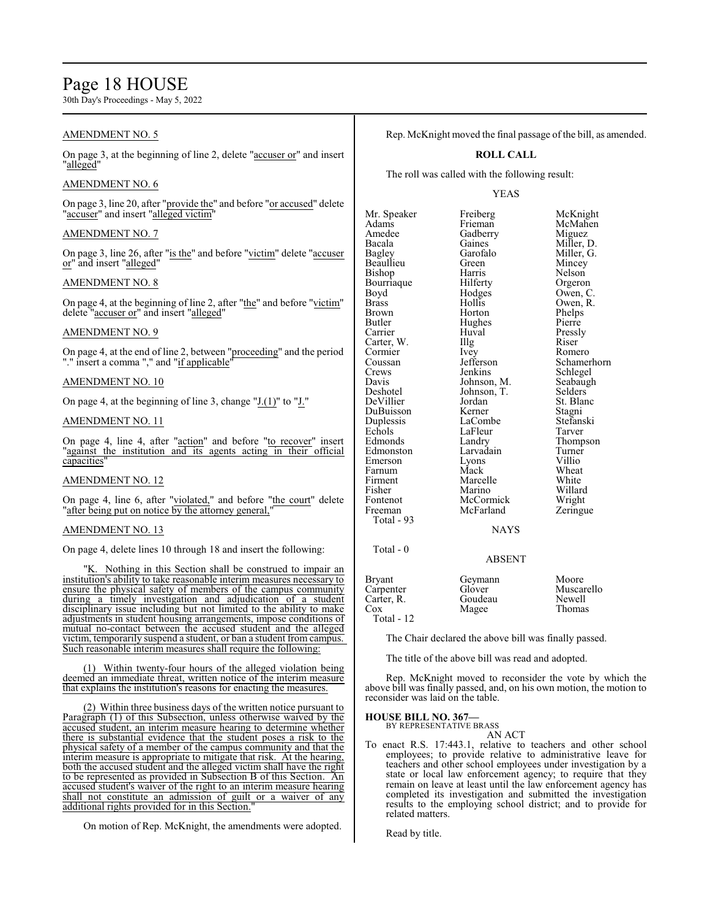# Page 18 HOUSE

30th Day's Proceedings - May 5, 2022

# AMENDMENT NO. 5

On page 3, at the beginning of line 2, delete "accuser or" and insert "alleged"

# AMENDMENT NO. 6

On page 3, line 20, after "provide the" and before "or accused" delete "accuser" and insert "alleged victim"

# AMENDMENT NO. 7

On page 3, line 26, after "is the" and before "victim" delete "accuser or" and insert "alleged"

### AMENDMENT NO. 8

On page 4, at the beginning of line 2, after "the" and before "victim" delete "accuser or" and insert "alleged"

# AMENDMENT NO. 9

On page 4, at the end of line 2, between "proceeding" and the period "." insert a comma "," and "if applicable"

# AMENDMENT NO. 10

On page 4, at the beginning of line 3, change " $J(1)$ " to " $J''$ ."

# AMENDMENT NO. 11

On page 4, line 4, after "action" and before "to recover" insert "against the institution and its agents acting in their official capacities"

#### AMENDMENT NO. 12

On page 4, line 6, after "violated," and before "the court" delete "after being put on notice by the attorney general,"

# AMENDMENT NO. 13

On page 4, delete lines 10 through 18 and insert the following:

"K. Nothing in this Section shall be construed to impair an institution's ability to take reasonable interim measures necessary to ensure the physical safety of members of the campus community during a timely investigation and adjudication of a student disciplinary issue including but not limited to the ability to make adjustments in student housing arrangements, impose conditions of mutual no-contact between the accused student and the alleged victim, temporarily suspend a student, or ban a student from campus. Such reasonable interim measures shall require the following:

(1) Within twenty-four hours of the alleged violation being deemed an immediate threat, written notice of the interim measure that explains the institution's reasons for enacting the measures.

(2) Within three business days of the written notice pursuant to Paragraph (1) of this Subsection, unless otherwise waived by the accused student, an interim measure hearing to determine whether there is substantial evidence that the student poses a risk to the physical safety of a member of the campus community and that the interim measure is appropriate to mitigate that risk. At the hearing, both the accused student and the alleged victim shall have the right to be represented as provided in Subsection B of this Section. An accused student's waiver of the right to an interim measure hearing shall not constitute an admission of guilt or a waiver of any additional rights provided for in this Section.

On motion of Rep. McKnight, the amendments were adopted.

Rep. McKnight moved the final passage of the bill, as amended.

#### **ROLL CALL**

The roll was called with the following result:

### YEAS

Mr. Speaker Freiberg McKnight<br>
Adams Frieman McMahen Adams Frieman McMahen Amedee Gadberry<br>Bacala Gaines Bacala Gaines Miller, D. Garofalo Miller, G.<br>Green Mincey Beaullieu Green Mincey<br>Bishon Harris Nelson Bishop Harris<br>Bourriaque Hilferty Bourriaque Hilferty Orgeron<br>Boyd Hodges Owen, C Boyd Hodges Owen, C.<br>Brass Hollis Owen, R. Brass Hollis Owen, R. Brown Horton Phelps<br>Butler Hughes Pierre Butler Hughes<br>Carrier Huval Huval Pressly<br>Illg Riser Carter, W. Illg<br>Cormier Ivev Cormier Ivey Romero<br>Coussan Jefferson Schamer Coussan Jefferson Schamerhorn<br>Crews Jenkins Schlegel Crews Jenkins Schlegel<br>
Davis Johnson, M. Seabaugh Davis Johnson, M. Seabaughter Seabaughter Seabaughter Seabaughter Seabaughter Seabaughter Seabaughter Seabaughter<br>
1990 - Johnson, T. Selders Johnson, T. Selders<br>Jordan St. Blanc DeVillier Jordan St. Blanck<br>DuBuisson Kerner Stagni DuBuisson Kerner Stagni<br>
Duplessis LaCombe Stefanski Duplessis LaCombe Stefans<br>Echols LaFleur Tarver Echols LaFleur<br>Edmonds Landry Landry Thompson<br>
Larvadain Turner Edmonston Larvadain Turner<br>Emerson Lyons Villio Emerson Lyons Villio Farnum Mack Wheat<br>Firment Marcelle White Firment Marcelle White<br>
Fisher Marino Willard Fisher Marino Willard<br>Fontenot McCormick Wright Fontenot McCormick Wright<br>
Freeman McFarland Zeringue McFarland Total - 93 **NAYS**  Total - 0 ABSENT Bryant Geymann Moore<br>Carpenter Glover Musca Carpenter Glover Muscarello<br>Carter, R. Goudeau Newell Carter, R. Goudeau Newell<br>
Cox Magee Thomas

The Chair declared the above bill was finally passed.

The title of the above bill was read and adopted.

Magee

Rep. McKnight moved to reconsider the vote by which the above bill was finally passed, and, on his own motion, the motion to reconsider was laid on the table.

# **HOUSE BILL NO. 367—** BY REPRESENTATIVE BRASS

Total - 12

AN ACT

To enact R.S. 17:443.1, relative to teachers and other school employees; to provide relative to administrative leave for teachers and other school employees under investigation by a state or local law enforcement agency; to require that they remain on leave at least until the law enforcement agency has completed its investigation and submitted the investigation results to the employing school district; and to provide for related matters.

Read by title.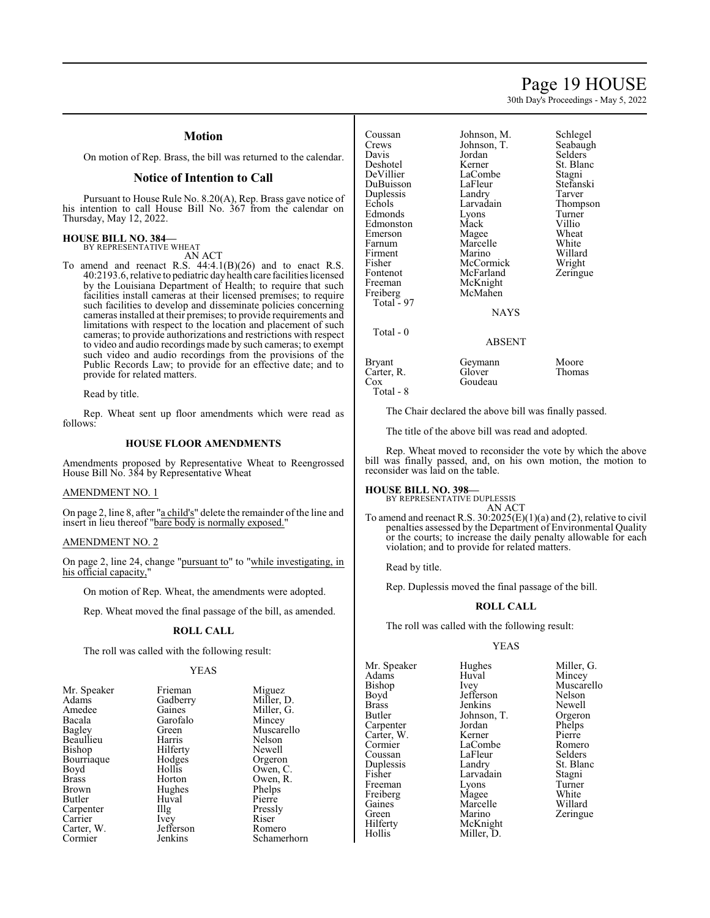# Page 19 HOUSE

30th Day's Proceedings - May 5, 2022

# **Motion**

On motion of Rep. Brass, the bill was returned to the calendar.

# **Notice of Intention to Call**

Pursuant to House Rule No. 8.20(A), Rep. Brass gave notice of his intention to call House Bill No. 367 from the calendar on Thursday, May 12, 2022.

# **HOUSE BILL NO. 384—** BY REPRESENTATIVE WHEAT

AN ACT

To amend and reenact R.S. 44:4.1(B)(26) and to enact R.S. 40:2193.6, relative to pediatric dayhealth care facilities licensed by the Louisiana Department of Health; to require that such facilities install cameras at their licensed premises; to require such facilities to develop and disseminate policies concerning cameras installed at their premises; to provide requirements and limitations with respect to the location and placement of such cameras; to provide authorizations and restrictions with respect to video and audio recordings made by such cameras; to exempt such video and audio recordings from the provisions of the Public Records Law; to provide for an effective date; and to provide for related matters.

Read by title.

Rep. Wheat sent up floor amendments which were read as follows:

#### **HOUSE FLOOR AMENDMENTS**

Amendments proposed by Representative Wheat to Reengrossed House Bill No. 384 by Representative Wheat

# AMENDMENT NO. 1

On page 2, line 8, after "a child's" delete the remainder of the line and insert in lieu thereof "bare body is normally exposed."

### AMENDMENT NO. 2

On page 2, line 24, change "pursuant to" to "while investigating, in his official capacity,"

On motion of Rep. Wheat, the amendments were adopted.

Rep. Wheat moved the final passage of the bill, as amended.

#### **ROLL CALL**

The roll was called with the following result:

#### YEAS

| Mr. Speaker  | Frieman   | Miguez    |
|--------------|-----------|-----------|
| Adams        | Gadberry  | Miller, l |
| Amedee       | Gaines    | Miller,   |
| Bacala       | Garofalo  | Mincey    |
| Bagley       | Green     | Muscar    |
| Beaullieu    | Harris    | Nelson    |
| Bishop       | Hilferty  | Newell    |
| Bourriaque   | Hodges    | Orgeror   |
| Boyd         | Hollis    | Owen, O   |
| <b>Brass</b> | Horton    | Owen, I   |
| Brown        | Hughes    | Phelps    |
| Butler       | Huval     | Pierre    |
| Carpenter    | Illg      | Pressly   |
| Carrier      | Ivey      | Riser     |
| Carter, W.   | Jefferson | Romero    |
| Cormier      | Jenkins   | Schame    |

Gadberry Miller, D.<br>Gaines Miller, G. Green Muscarello<br>
Harris Nelson Hodges Orgeron<br>Hollis Owen Hollis Owen, C.<br>Horton Owen, R. Hughes Phelps<br>Huval Pierre The Pressly<br>
Ivey Riser Jefferson Romero<br>Jenkins Schamer

Miller, G.<br>Mincey

Owen, R.<br>Phelps

Schamerhorn

Coussan Johnson, M. Schlegel<br>Crews Johnson T. Seabaugh Crews Johnson, T. Seabaugh Davis Jordan Selders<br>Deshotel Kerner St. Blan Deshotel Kerner St. Blanc<br>DeVillier LaCombe Stagni Duplessis Landry Tarver<br>
Echols Larvadain Thomp Edmonds Lyons Turner<br>
Edmonston Mack Villio Edmonston Mack Villio<br>Emerson Magee Wheat Emerson Magee Wheat<br>
Farnum Marcelle White Firment Marino Willard<br>Fisher McCormick Wright Fisher McCormick Wright<br>Fontenot McFarland Zeringue Fontenot McFarland<br>Freeman McKnight Freeman McKnight<br>Freiberg McMahen McMahen

DuBuisson

Total  $-97$ 

Total - 0

Carter, R.<br>Cox

Total - 8

LaCombe<br>
LaFleur Stefanski Larvadain Thompson<br>Lyons Turner Marcelle White<br>
Marino Willard

NAYS

ABSENT

| Moore<br>Thomas |
|-----------------|
|                 |

The Chair declared the above bill was finally passed.

The title of the above bill was read and adopted.

**Goudeau** 

Rep. Wheat moved to reconsider the vote by which the above bill was finally passed, and, on his own motion, the motion to reconsider was laid on the table.

# **HOUSE BILL NO. 398—**

Bryant Geymann<br>Carter, R. Glover

BY REPRESENTATIVE DUPLESSIS AN ACT

To amend and reenact R.S.  $30:2025(E)(1)(a)$  and (2), relative to civil penalties assessed by the Department of Environmental Quality or the courts; to increase the daily penalty allowable for each violation; and to provide for related matters.

Read by title.

Rep. Duplessis moved the final passage of the bill.

#### **ROLL CALL**

The roll was called with the following result:

Miller, D.

#### YEAS

Mr. Speaker Hughes Miller, G.<br>Adams Huval Mincey Adams Huval Huval Mince Gaines Marcelle<br>Green Marino Hilferty McKnight<br>
Hollis Miller, D.

Bishop Ivey Muscarello<br>Boyd Jefferson Nelson Boyd Jefferson Nelson<br>Brass Jenkins Newell Brass Jenkins Newell<br>Butler Johnson, T. Orgeron Johnson, T. Orgeron<br>
Jordan Phelps Carpenter Jordan Phelps<br>Carter, W. Kerner Pierre Carter, W. Kerner Pierre LaCombe<br>
LaFleur Selders Coussan LaFleur Selders<br>
Duplessis Landry St. Blanc Duplessis Landry St. Bla<br>
Fisher Larvadain Stagni Fisher Larvadain Stagni Freeman Lyons Turner<br>
Freiberg Magee White Freiberg Magee White<br>Gaines Marcelle Willard Green Marino Zeringue<br>Hilferty McKnight Zeringue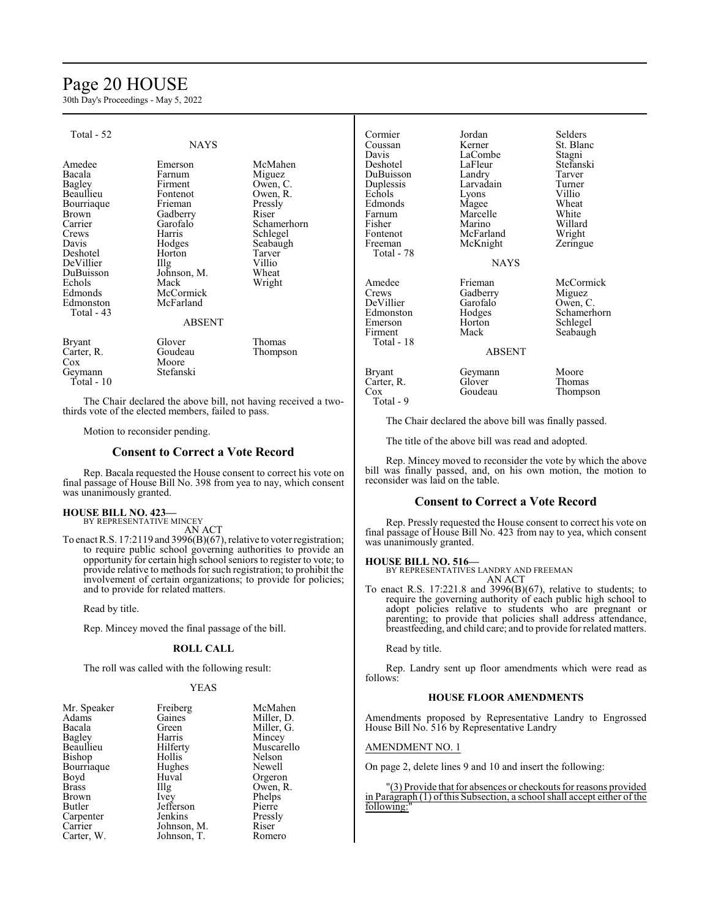# Page 20 HOUSE

30th Day's Proceedings - May 5, 2022

| Total - 52    |                   |             | Cormier       | Jordan        | Selders     |
|---------------|-------------------|-------------|---------------|---------------|-------------|
|               | <b>NAYS</b>       |             | Coussan       | Kerner        | St. Blanc   |
|               |                   |             | Davis         | LaCombe       | Stagni      |
| Amedee        | Emerson           | McMahen     | Deshotel      | LaFleur       | Stefanski   |
| Bacala        | Farnum            | Miguez      | DuBuisson     | Landry        | Tarver      |
| <b>Bagley</b> | Firment           | Owen, C.    | Duplessis     | Larvadain     | Turner      |
| Beaullieu     | Fontenot          | Owen, R.    | Echols        | Lyons         | Villio      |
| Bourriaque    | Frieman           | Pressly     | Edmonds       | Magee         | Wheat       |
| Brown         | Gadberry          | Riser       | Farnum        | Marcelle      | White       |
| Carrier       | Garofalo          | Schamerhorn | Fisher        | Marino        | Willard     |
| Crews         | Harris            | Schlegel    | Fontenot      | McFarland     | Wright      |
| Davis         | Hodges            | Seabaugh    | Freeman       | McKnight      | Zeringue    |
| Deshotel      | Horton            | Tarver      | Total - 78    |               |             |
| DeVillier     | $\prod_{i=1}^{n}$ | Villio      |               | <b>NAYS</b>   |             |
| DuBuisson     | Johnson, M.       | Wheat       |               |               |             |
| Echols        | Mack              | Wright      | Amedee        | Frieman       | McCormick   |
| Edmonds       | McCormick         |             | Crews         | Gadberry      | Miguez      |
| Edmonston     | McFarland         |             | DeVillier     | Garofalo      | Owen, C.    |
| Total - 43    |                   |             | Edmonston     | Hodges        | Schamerhorn |
|               | <b>ABSENT</b>     |             | Emerson       | Horton        | Schlegel    |
|               |                   |             | Firment       | Mack          | Seabaugh    |
| <b>Bryant</b> | Glover            | Thomas      | Total - 18    |               |             |
| Carter, R.    | Goudeau           | Thompson    |               | <b>ABSENT</b> |             |
| Cox           | Moore             |             |               |               |             |
| Geymann       | Stefanski         |             | <b>Bryant</b> | Geymann       | Moore       |
| Total - 10    |                   |             | Carter, R.    | Glover        | Thomas      |
|               |                   |             | $\cos$        | Goudeau       | Thompson    |

The Chair declared the above bill, not having received a twothirds vote of the elected members, failed to pass.

Motion to reconsider pending.

### **Consent to Correct a Vote Record**

Rep. Bacala requested the House consent to correct his vote on final passage of House Bill No. 398 from yea to nay, which consent was unanimously granted.

# **HOUSE BILL NO. 423—**

BY REPRESENTATIVE MINCEY AN ACT

To enact R.S. 17:2119 and 3996(B)(67), relative to voter registration; to require public school governing authorities to provide an opportunity for certain high school seniors to register to vote; to provide relative to methods for such registration; to prohibit the involvement of certain organizations; to provide for policies; and to provide for related matters.

Read by title.

Rep. Mincey moved the final passage of the bill.

# **ROLL CALL**

The roll was called with the following result:

#### YEAS

| Mr. Speaker  | Freiberg    | McMahen    |
|--------------|-------------|------------|
| Adams        | Gaines      | Miller, D. |
| Bacala       | Green       | Miller, G. |
| Bagley       | Harris      | Mincey     |
| Beaullieu    | Hilferty    | Muscarello |
| Bishop       | Hollis      | Nelson     |
| Bourriaque   | Hughes      | Newell     |
| Boyd         | Huval       | Orgeron    |
| <b>Brass</b> | Illg        | Owen, R.   |
| Brown        | <i>lvey</i> | Phelps     |
| Butler       | Jefferson   | Pierre     |
| Carpenter    | Jenkins     | Pressly    |
| Carrier      | Johnson, M. | Riser      |
| Carter, W.   | Johnson, T. | Romero     |

The Chair declared the above bill was finally passed. The title of the above bill was read and adopted.

Rep. Mincey moved to reconsider the vote by which the above bill was finally passed, and, on his own motion, the motion to reconsider was laid on the table.

#### **Consent to Correct a Vote Record**

Rep. Pressly requested the House consent to correct his vote on final passage of House Bill No. 423 from nay to yea, which consent was unanimously granted.

#### **HOUSE BILL NO. 516—**

Total - 9

BY REPRESENTATIVES LANDRY AND FREEMAN AN ACT

To enact R.S. 17:221.8 and 3996(B)(67), relative to students; to require the governing authority of each public high school to adopt policies relative to students who are pregnant or parenting; to provide that policies shall address attendance, breastfeeding, and child care; and to provide for related matters.

Read by title.

Rep. Landry sent up floor amendments which were read as follows:

#### **HOUSE FLOOR AMENDMENTS**

Amendments proposed by Representative Landry to Engrossed House Bill No. 516 by Representative Landry

#### AMENDMENT NO. 1

On page 2, delete lines 9 and 10 and insert the following:

"(3) Provide that for absences or checkouts for reasons provided in Paragraph (1) ofthis Subsection, a school shall accept either of the following:"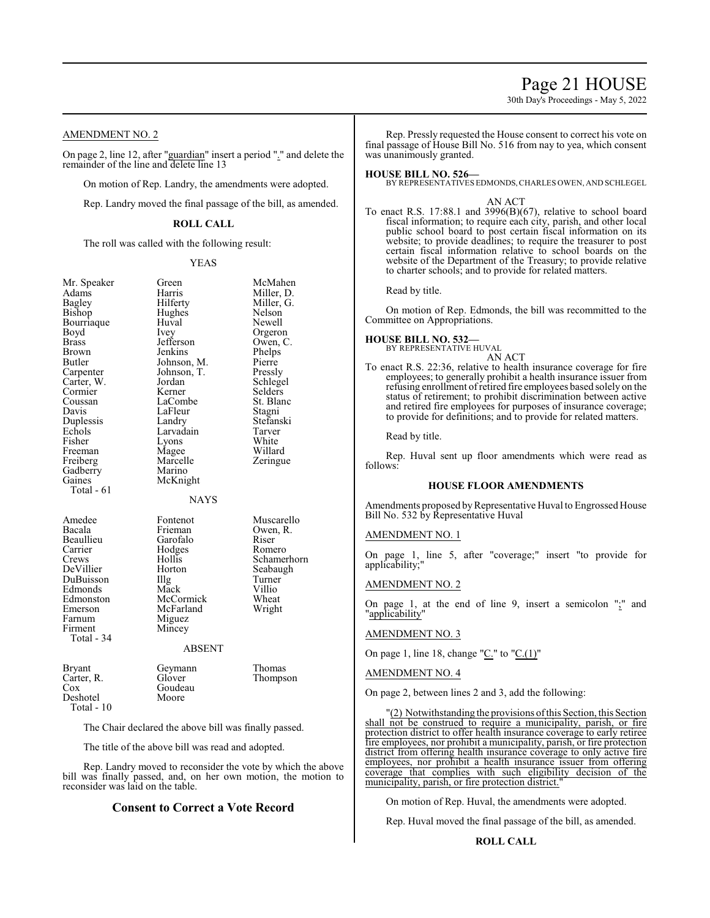# Page 21 HOUSE

30th Day's Proceedings - May 5, 2022

# AMENDMENT NO. 2

On page 2, line 12, after "guardian" insert a period "." and delete the remainder of the line and delete line 13

On motion of Rep. Landry, the amendments were adopted.

Rep. Landry moved the final passage of the bill, as amended.

### **ROLL CALL**

The roll was called with the following result:

#### YEAS

Schamerhorn

| Mr. Speaker<br>Adams<br>Bagley<br>Bishop<br>Bourriaque<br>Boyd<br><b>Brass</b><br>Brown<br>Butler<br>Carpenter<br>Carter, W.<br>Cormier<br>Coussan<br>Davis<br>Duplessis<br>Echols<br>Fisher<br>Freeman<br>Freiberg<br>Gadberry<br>Gaines<br>Total - 61 | Green<br>Harris<br>Hilferty<br>Hughes<br>Huval<br>Ivey<br>Jefferson<br>Jenkins<br>Johnson, M.<br>Johnson, T.<br>Jordan<br>Kerner<br>LaCombe<br>LaFleur<br>Landry<br>Larvadain<br>Lyons<br>Magee<br>Marcelle<br>Marino<br>McKnight<br><b>NAYS</b> | McMahen<br>Miller, D.<br>Miller, G.<br>Nelson<br>Newell<br>Orgeron<br>Owen, C.<br>Phelps<br>Pierre<br>Pressly<br>Schlegel<br>Selders<br>St. Blanc<br>Stagni<br>Stefanski<br>Tarver<br>White<br>Willard<br>Zeringue |
|---------------------------------------------------------------------------------------------------------------------------------------------------------------------------------------------------------------------------------------------------------|--------------------------------------------------------------------------------------------------------------------------------------------------------------------------------------------------------------------------------------------------|--------------------------------------------------------------------------------------------------------------------------------------------------------------------------------------------------------------------|
| Amedee<br>Bacala<br>Beaullieu<br>Carrier<br>Crews<br>DeVillier<br>DuBuisson<br>Edmonds<br>Edmonston<br>Emerson<br>Farnum<br>Firment<br>Total - 34                                                                                                       | Fontenot<br>Frieman<br>Garofalo<br>Hodges<br>Hollis<br>Horton<br>Illg<br>Mack<br>McCormick<br>McFarland<br>Miguez<br>Mincey<br><b>ABSENT</b>                                                                                                     | Muscarello<br>Owen, R.<br>Riser<br>Romero<br>Schamerho:<br>Seabaugh<br>Turner<br>Villio<br>Wheat<br>Wright                                                                                                         |
| <b>Bryant</b><br>Carter, R.<br>Cox<br>Deshotel<br>Total - 10                                                                                                                                                                                            | Geymann<br>Glover<br>Goudeau<br>Moore                                                                                                                                                                                                            | Thomas<br>Thompson                                                                                                                                                                                                 |

The Chair declared the above bill was finally passed.

The title of the above bill was read and adopted.

Rep. Landry moved to reconsider the vote by which the above bill was finally passed, and, on her own motion, the motion to reconsider was laid on the table.

# **Consent to Correct a Vote Record**

Rep. Pressly requested the House consent to correct his vote on final passage of House Bill No. 516 from nay to yea, which consent was unanimously granted.

#### **HOUSE BILL NO. 526—**

BY REPRESENTATIVES EDMONDS,CHARLES OWEN, AND SCHLEGEL

#### AN ACT

To enact R.S. 17:88.1 and 3996(B)(67), relative to school board fiscal information; to require each city, parish, and other local public school board to post certain fiscal information on its website; to provide deadlines; to require the treasurer to post certain fiscal information relative to school boards on the website of the Department of the Treasury; to provide relative to charter schools; and to provide for related matters.

Read by title.

On motion of Rep. Edmonds, the bill was recommitted to the Committee on Appropriations.

#### **HOUSE BILL NO. 532—**

BY REPRESENTATIVE HUVAL AN ACT

To enact R.S. 22:36, relative to health insurance coverage for fire employees; to generally prohibit a health insurance issuer from refusing enrollment ofretired fire employees based solely on the status of retirement; to prohibit discrimination between active and retired fire employees for purposes of insurance coverage; to provide for definitions; and to provide for related matters.

Read by title.

Rep. Huval sent up floor amendments which were read as follows:

#### **HOUSE FLOOR AMENDMENTS**

Amendments proposed by Representative Huval to Engrossed House Bill No. 532 by Representative Huval

### AMENDMENT NO. 1

On page 1, line 5, after "coverage;" insert "to provide for applicability;"

#### AMENDMENT NO. 2

On page 1, at the end of line 9, insert a semicolon  $"\cdot$ ;" and "applicability"

#### AMENDMENT NO. 3

On page 1, line 18, change " $C$ ." to " $C(1)$ "

#### AMENDMENT NO. 4

On page 2, between lines 2 and 3, add the following:

"(2) Notwithstanding the provisions ofthis Section, this Section shall not be construed to require a municipality, parish, or fire protection district to offer health insurance coverage to early retiree fire employees, nor prohibit a municipality, parish, or fire protection district from offering health insurance coverage to only active fire employees, nor prohibit a health insurance issuer from offering coverage that complies with such eligibility decision of the municipality, parish, or fire protection district.

On motion of Rep. Huval, the amendments were adopted.

Rep. Huval moved the final passage of the bill, as amended.

**ROLL CALL**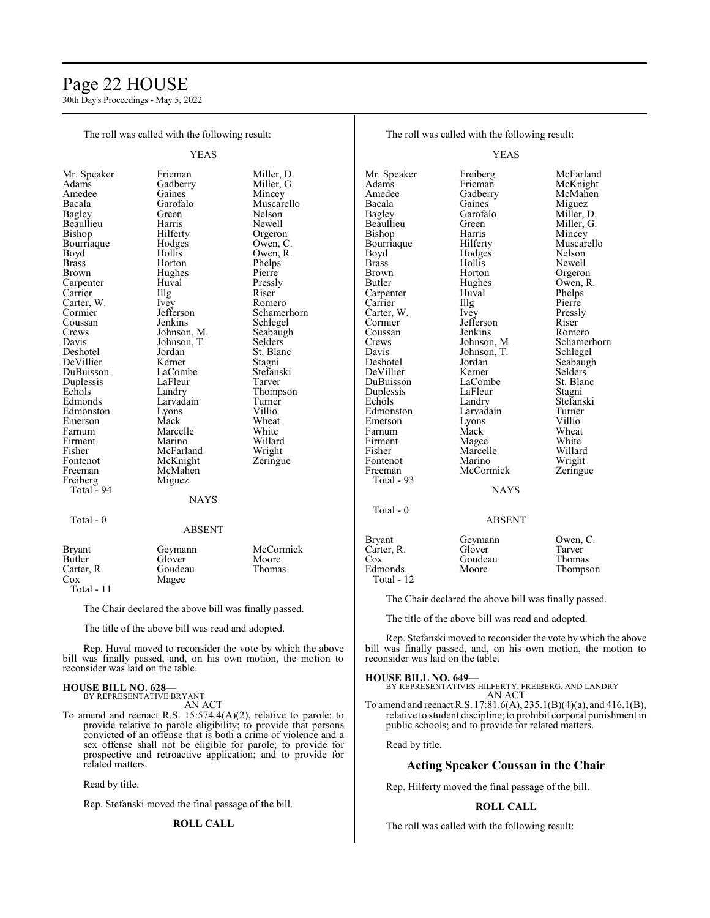# Page 22 HOUSE

30th Day's Proceedings - May 5, 2022

| The roll was called with the following result:                                                                                                                                                                         |                                                                                                                                                                                  |                                                                                                                                                                                      | The roll was called with the following result:                                                                                                                                                    |                                                                                                                                                                                    |                                                                                                                                                                                   |  |
|------------------------------------------------------------------------------------------------------------------------------------------------------------------------------------------------------------------------|----------------------------------------------------------------------------------------------------------------------------------------------------------------------------------|--------------------------------------------------------------------------------------------------------------------------------------------------------------------------------------|---------------------------------------------------------------------------------------------------------------------------------------------------------------------------------------------------|------------------------------------------------------------------------------------------------------------------------------------------------------------------------------------|-----------------------------------------------------------------------------------------------------------------------------------------------------------------------------------|--|
| <b>YEAS</b>                                                                                                                                                                                                            |                                                                                                                                                                                  |                                                                                                                                                                                      |                                                                                                                                                                                                   | <b>YEAS</b>                                                                                                                                                                        |                                                                                                                                                                                   |  |
| Mr. Speaker<br>Adams<br>Amedee<br>Bacala<br><b>Bagley</b><br>Beaullieu<br>Bishop<br>Bourriaque<br>Boyd<br><b>Brass</b><br><b>Brown</b><br>Carpenter<br>Carrier<br>Carter, W.<br>Cormier<br>Coussan                     | Frieman<br>Gadberry<br>Gaines<br>Garofalo<br>Green<br>Harris<br>Hilferty<br>Hodges<br>Hollis<br>Horton<br>Hughes<br>Huval<br>Illg<br>Ivey<br>Jefferson<br>Jenkins                | Miller, D.<br>Miller, G.<br>Mincey<br>Muscarello<br>Nelson<br>Newell<br>Orgeron<br>Owen, C.<br>Owen, R.<br>Phelps<br>Pierre<br>Pressly<br>Riser<br>Romero<br>Schamerhorn<br>Schlegel | Mr. Speaker<br>Adams<br>Amedee<br>Bacala<br>Bagley<br>Beaullieu<br>Bishop<br>Bourriaque<br>Boyd<br><b>Brass</b><br><b>Brown</b><br><b>Butler</b><br>Carpenter<br>Carrier<br>Carter, W.<br>Cormier | Freiberg<br>Frieman<br>Gadberry<br>Gaines<br>Garofalo<br>Green<br>Harris<br>Hilferty<br>Hodges<br>Hollis<br>Horton<br>Hughes<br>Huval<br>Illg<br>Ivey<br>Jefferson                 | McFarland<br>McKnight<br>McMahen<br>Miguez<br>Miller, D.<br>Miller, G.<br>Mincey<br>Muscarello<br>Nelson<br>Newell<br>Orgeron<br>Owen, R.<br>Phelps<br>Pierre<br>Pressly<br>Riser |  |
| Crews<br>Davis<br>Deshotel<br>DeVillier<br>DuBuisson<br>Duplessis<br>Echols<br>Edmonds<br>Edmonston<br>Emerson<br>Farnum<br>Firment<br>Fisher<br>Fontenot<br>Freeman<br>Freiberg<br>Total - 94                         | Johnson, M.<br>Johnson, T.<br>Jordan<br>Kerner<br>LaCombe<br>LaFleur<br>Landry<br>Larvadain<br>Lyons<br>Mack<br>Marcelle<br>Marino<br>McFarland<br>McKnight<br>McMahen<br>Miguez | Seabaugh<br><b>Selders</b><br>St. Blanc<br>Stagni<br>Stefanski<br>Tarver<br>Thompson<br>Turner<br>Villio<br>Wheat<br>White<br>Willard<br>Wright<br>Zeringue                          | Coussan<br>Crews<br>Davis<br>Deshotel<br>DeVillier<br>DuBuisson<br>Duplessis<br>Echols<br>Edmonston<br>Emerson<br>Farnum<br>Firment<br>Fisher<br>Fontenot<br>Freeman<br>Total - 93                | Jenkins<br>Johnson, M.<br>Johnson, T.<br>Jordan<br>Kerner<br>LaCombe<br>LaFleur<br>Landry<br>Larvadain<br>Lyons<br>Mack<br>Magee<br>Marcelle<br>Marino<br>McCormick<br><b>NAYS</b> | Romero<br>Schamerhorn<br>Schlegel<br>Seabaugh<br>Selders<br>St. Blanc<br>Stagni<br>Stefanski<br>Turner<br>Villio<br>Wheat<br>White<br>Willard<br>Wright<br>Zeringue               |  |
| Total - 0                                                                                                                                                                                                              | <b>NAYS</b><br><b>ABSENT</b>                                                                                                                                                     |                                                                                                                                                                                      | Total - 0                                                                                                                                                                                         | <b>ABSENT</b>                                                                                                                                                                      |                                                                                                                                                                                   |  |
| <b>Bryant</b><br>Butler<br>Carter, R.<br>Cox<br>Total - 11                                                                                                                                                             | Geymann<br>Glover<br>Goudeau<br>Magee                                                                                                                                            | McCormick<br>Moore<br>Thomas                                                                                                                                                         | <b>Bryant</b><br>Carter, R.<br>$\cos$<br>Edmonds<br>Total - 12                                                                                                                                    | Geymann<br>Glover<br>Goudeau<br>Moore                                                                                                                                              | Owen, C.<br>Tarver<br>Thomas<br>Thompson                                                                                                                                          |  |
| The Chair declared the above bill was finally passed.                                                                                                                                                                  |                                                                                                                                                                                  |                                                                                                                                                                                      | The Chair declared the above bill was finally passed.<br>The title of the above bill was read and adopted.                                                                                        |                                                                                                                                                                                    |                                                                                                                                                                                   |  |
| The title of the above bill was read and adopted.<br>Rep. Huval moved to reconsider the vote by which the above<br>bill was finally passed, and, on his own motion, the motion to<br>reconsider was laid on the table. |                                                                                                                                                                                  | reconsider was laid on the table.                                                                                                                                                    |                                                                                                                                                                                                   | Rep. Stefanski moved to reconsider the vote by which the above<br>bill was finally passed, and, on his own motion, the motion to                                                   |                                                                                                                                                                                   |  |

#### **HOUSE BILL NO. 628—** BY REPRESENTATIVE BRYANT

AN ACT

To amend and reenact R.S. 15:574.4(A)(2), relative to parole; to provide relative to parole eligibility; to provide that persons convicted of an offense that is both a crime of violence and a sex offense shall not be eligible for parole; to provide for prospective and retroactive application; and to provide for related matters.

Read by title.

Rep. Stefanski moved the final passage of the bill.

# **ROLL CALL**

**HOUSE BILL NO. 649—** BY REPRESENTATIVES HILFERTY, FREIBERG, AND LANDRY AN ACT

To amend and reenactR.S. 17:81.6(A), 235.1(B)(4)(a), and 416.1(B), relative to student discipline; to prohibit corporal punishment in public schools; and to provide for related matters.

Read by title.

# **Acting Speaker Coussan in the Chair**

Rep. Hilferty moved the final passage of the bill.

#### **ROLL CALL**

The roll was called with the following result: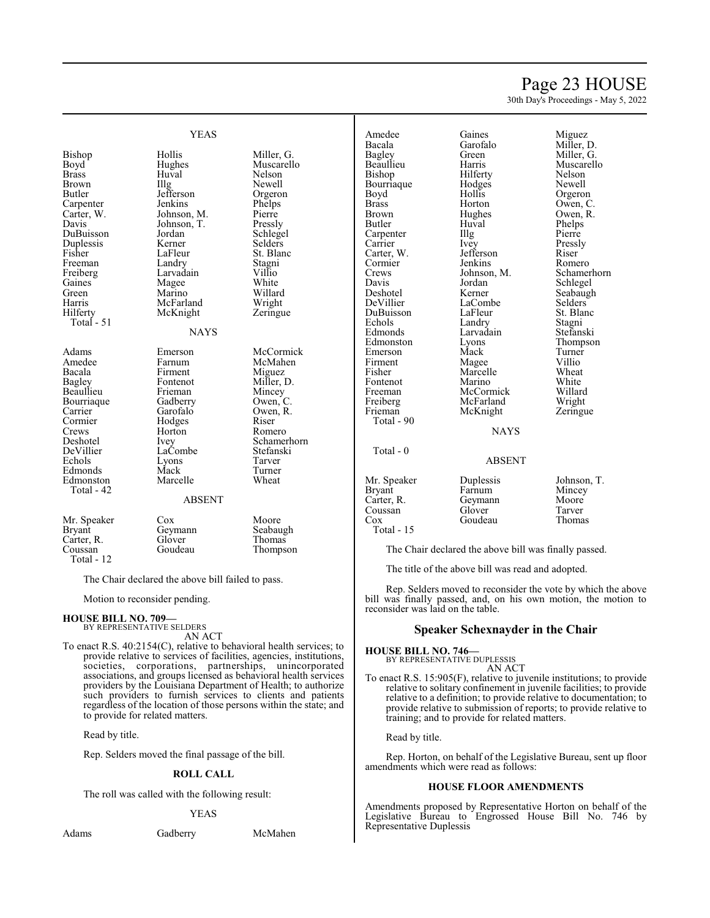# Page 23 HOUSE

30th Day's Proceedings - May 5, 2022

|                                                                                                                                                                               | <b>YEAS</b>                                                                                                                                                                                |                                                                                                                                                                              |
|-------------------------------------------------------------------------------------------------------------------------------------------------------------------------------|--------------------------------------------------------------------------------------------------------------------------------------------------------------------------------------------|------------------------------------------------------------------------------------------------------------------------------------------------------------------------------|
| Bishop<br>Boyd<br>Brass<br>Brown<br>Butler<br>Carpenter<br>Carter, W.<br>Davis<br>DuBuisson<br>Duplessis<br>Fisher<br>Freeman<br>Freiberg<br>Gaines<br>Green<br>Harris        | Hollis<br>Hughes<br>Huval<br>$\prod_{i=1}^{n}$<br>Jefferson<br>Jenkins<br>Johnson, M.<br>Johnson, T.<br>Jordan<br>Kerner<br>LaFleur<br>Landry<br>Larvadain<br>Magee<br>Marino<br>McFarland | Miller, G.<br>Muscarello<br>Nelson<br>Newell<br>Orgeron<br>Phelps<br>Pierre<br>Pressly<br>Schlegel<br>Selders<br>St. Blanc<br>Stagni<br>Villio<br>White<br>Willard<br>Wright |
| Hilferty<br>Total - 51                                                                                                                                                        | McKnight                                                                                                                                                                                   | Zeringue                                                                                                                                                                     |
|                                                                                                                                                                               | <b>NAYS</b>                                                                                                                                                                                |                                                                                                                                                                              |
| Adams<br>Amedee<br>Bacala<br><b>Bagley</b><br>Beaullieu<br>Bourriaque<br>Carrier<br>Cormier<br>Crews<br>Deshotel<br>DeVillier<br>Echols<br>Edmonds<br>Edmonston<br>Total - 42 | Emerson<br>Farnum<br>Firment<br>Fontenot<br>Frieman<br>Gadberry<br>Garofalo<br>Hodges<br>Horton<br>Ivey<br>LaCombe<br>Lyons<br>Mack<br>Marcelle                                            | McCormick<br>McMahen<br>Miguez<br>Miller, D.<br>Mincey<br>Owen, C.<br>Owen, R.<br>Riser<br>Romero<br>Schamerhorn<br>Stefanski<br>Tarver<br>Turner<br>Wheat                   |
|                                                                                                                                                                               | <b>ABSENT</b>                                                                                                                                                                              |                                                                                                                                                                              |
| Mr. Speaker<br><b>Bryant</b><br>Carter, R.<br>Coussan                                                                                                                         | Cox<br>Geymann<br>Glover<br>Goudeau                                                                                                                                                        | Moore<br>Seabaugh<br>Thomas<br>Thompson                                                                                                                                      |

The Chair declared the above bill failed to pass.

Motion to reconsider pending.

# **HOUSE BILL NO. 709—** BY REPRESENTATIVE SELDERS

AN ACT

To enact R.S. 40:2154(C), relative to behavioral health services; to provide relative to services of facilities, agencies, institutions, societies, corporations, partnerships, unincorporated associations, and groups licensed as behavioral health services providers by the Louisiana Department of Health; to authorize such providers to furnish services to clients and patients regardless of the location of those persons within the state; and to provide for related matters.

Read by title.

Rep. Selders moved the final passage of the bill.

#### **ROLL CALL**

The roll was called with the following result:

#### YEAS

Total - 12

Adams Gadberry McMahen

Amedee Gaines Miguez<br>
Bacala Garofalo Miller. Bourriaque Hodge<br>Bovd Hollis Boyd Hollis Orgeron<br>Brass Horton Owen, C Brass Horton Owen, C.<br>Brown Hughes Owen, R. Carpenter IIIg Pierre<br>Carrier Ivey Pressly Carrier Ivey Pressl<br>Carter, W. Jefferson Riser Carter, W. Jefferson Riser<br>Cormier Jenkins Romero Cormier Jenkins<br>Crews Johnson M Davis Jordan Schlegel<br>Deshotel Kerner Seabaugl DeVillier LaCombe<br>
DuBuisson LaFleur DuBuisson LaFleur St. Blanc<br>Echols Landry Stagni Echols Landry Stagni Edmonston Lyons Thomp<br>Emerson Mack Turner Emerson Mack Turner<br>
Firment Magee Villio Firment Magee Villio<br>Fisher Marcelle Wheat Fontenot Marino White<br>
Freeman McCormick Willard Freiberg McFarland<br>Frieman McKnight Total - 90 Total - 0

Marcelle Wheat<br>
Marino White

Bacala Garofalo Miller, D.<br>Bagley Green Miller, G. Bagley Green Miller, G. Beaulieu Harris Muscarello<br>Bishop Hilferty Nelson Hilferty<br>Hodges Newell Brown Hughes Owen, R.<br>Butler Huval Phelps Huval Phelps<br>Illg Pierre Johnson, M. Schamerhorn<br>Jordan Schlegel Kerner Seabaugh<br>LaCombe Selders Edmonds Larvadain Stefanski<br>Edmonston Lyons Thompson McCormick Willard<br>
McFarland Wright Zeringue

**NAYS** 

### ABSENT

Mr. Speaker Duplessis Johnson, T.<br>Bryant Farnum Mincey Mincey<br>Moore Carter, R. Geymann Moore<br>Coussan Glover Tarver Coussan Glover Tarver<br>
Cox Goudeau Thomas Goudeau Total - 15

The Chair declared the above bill was finally passed.

The title of the above bill was read and adopted.

Rep. Selders moved to reconsider the vote by which the above bill was finally passed, and, on his own motion, the motion to reconsider was laid on the table.

### **Speaker Schexnayder in the Chair**

**HOUSE BILL NO. 746—**

BY REPRESENTATIVE DUPLESSIS AN ACT

To enact R.S. 15:905(F), relative to juvenile institutions; to provide relative to solitary confinement in juvenile facilities; to provide relative to a definition; to provide relative to documentation; to provide relative to submission of reports; to provide relative to training; and to provide for related matters.

Read by title.

Rep. Horton, on behalf of the Legislative Bureau, sent up floor amendments which were read as follows:

#### **HOUSE FLOOR AMENDMENTS**

Amendments proposed by Representative Horton on behalf of the Legislative Bureau to Engrossed House Bill No. 746 by Representative Duplessis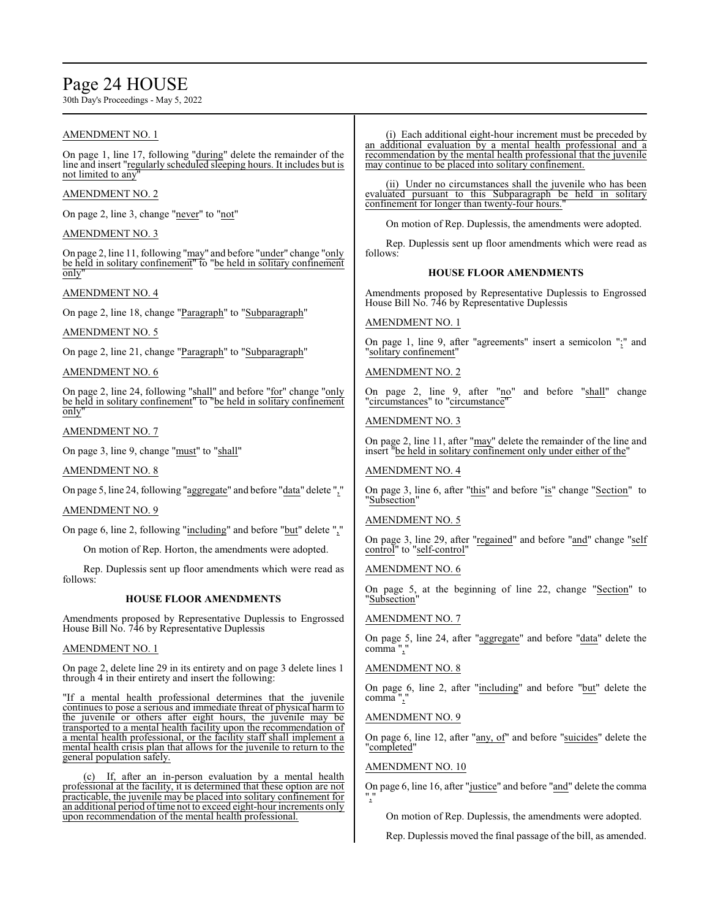# Page 24 HOUSE

30th Day's Proceedings - May 5, 2022

# AMENDMENT NO. 1

On page 1, line 17, following "during" delete the remainder of the line and insert "regularly scheduled sleeping hours. It includes but is not limited to any

### AMENDMENT NO. 2

On page 2, line 3, change "never" to "not"

### AMENDMENT NO. 3

On page 2, line 11, following "may" and before "under" change "only be held in solitary confinement" to "be held in solitary confinement only"

### AMENDMENT NO. 4

On page 2, line 18, change "Paragraph" to "Subparagraph"

### AMENDMENT NO. 5

On page 2, line 21, change "Paragraph" to "Subparagraph"

### AMENDMENT NO. 6

On page 2, line 24, following "shall" and before "for" change "only be held in solitary confinement" to "be held in solitary confinement only"

### AMENDMENT NO. 7

On page 3, line 9, change "must" to "shall"

AMENDMENT NO. 8

On page 5, line 24, following "aggregate" and before "data" delete ","

#### AMENDMENT NO. 9

On page 6, line 2, following "including" and before "but" delete ","

On motion of Rep. Horton, the amendments were adopted.

Rep. Duplessis sent up floor amendments which were read as follows:

#### **HOUSE FLOOR AMENDMENTS**

Amendments proposed by Representative Duplessis to Engrossed House Bill No. 746 by Representative Duplessis

# AMENDMENT NO. 1

On page 2, delete line 29 in its entirety and on page 3 delete lines 1 through 4 in their entirety and insert the following:

"If a mental health professional determines that the juvenile continues to pose a serious and immediate threat of physical harm to the juvenile or others after eight hours, the juvenile may be transported to a mental health facility upon the recommendation of a mental health professional, or the facility staff shall implement a mental health crisis plan that allows for the juvenile to return to the general population safely.

(c) If, after an in-person evaluation by a mental health professional at the facility, it is determined that these option are not practicable, the juvenile may be placed into solitary confinement for an additional period oftime not to exceed eight-hour increments only upon recommendation of the mental health professional.

(i) Each additional eight-hour increment must be preceded by an additional evaluation by a mental health professional and a recommendation by the mental health professional that the juvenile may continue to be placed into solitary confinement.

(ii) Under no circumstances shall the juvenile who has been evaluated pursuant to this Subparagraph be held in solitary confinement for longer than twenty-four hours.

On motion of Rep. Duplessis, the amendments were adopted.

Rep. Duplessis sent up floor amendments which were read as follows:

### **HOUSE FLOOR AMENDMENTS**

Amendments proposed by Representative Duplessis to Engrossed House Bill No. 746 by Representative Duplessis

### AMENDMENT NO. 1

On page 1, line 9, after "agreements" insert a semicolon ";" and "solitary confinement"

### AMENDMENT NO. 2

On page 2, line 9, after "no" and before "shall" change "circumstances" to "circumstance"

#### AMENDMENT NO. 3

On page 2, line 11, after "may" delete the remainder of the line and insert "be held in solitary confinement only under either of the"

### AMENDMENT NO. 4

On page 3, line 6, after "this" and before "is" change "Section" to "Subsection"

# AMENDMENT NO. 5

On page 3, line 29, after "regained" and before "and" change "self control" to "self-control"

### AMENDMENT NO. 6

On page 5, at the beginning of line 22, change "Section" to "Subsection"

# AMENDMENT NO. 7

On page 5, line 24, after "aggregate" and before "data" delete the comma",

# AMENDMENT NO. 8

On page 6, line 2, after "including" and before "but" delete the comma ","

#### AMENDMENT NO. 9

On page 6, line 12, after "any, of" and before "suicides" delete the 'completed"

#### AMENDMENT NO. 10

On page 6, line 16, after "justice" and before "and" delete the comma ","

On motion of Rep. Duplessis, the amendments were adopted.

Rep. Duplessis moved the final passage of the bill, as amended.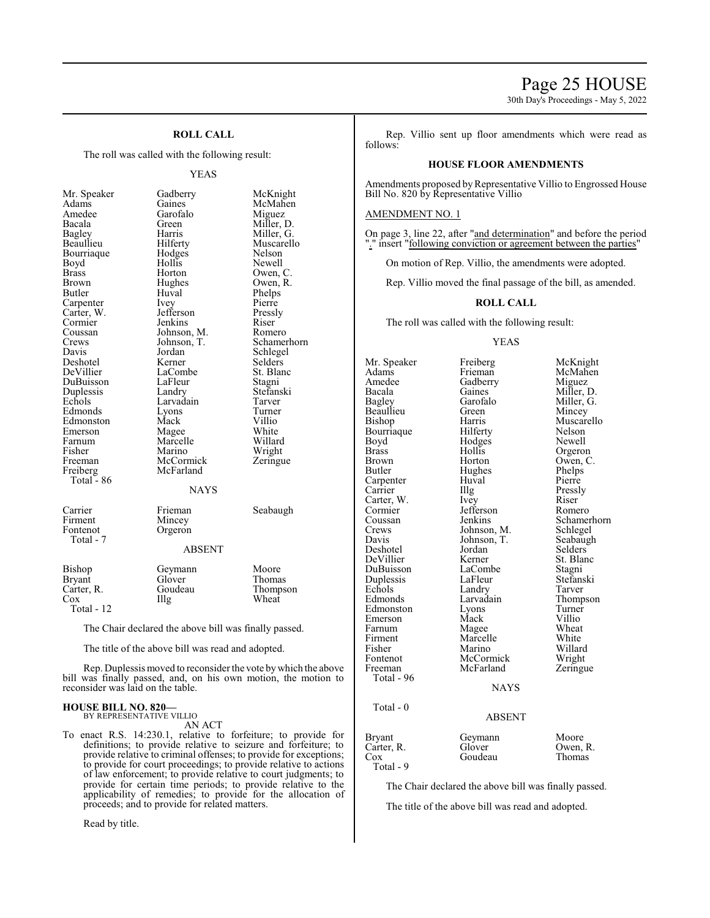# Page 25 HOUSE

30th Day's Proceedings - May 5, 2022

# **ROLL CALL**

The roll was called with the following result:

#### YEAS

| Mr. Speaker   | Gadberry      | McKnight    |
|---------------|---------------|-------------|
| Adams         | Gaines        | McMahen     |
| Amedee        | Garofalo      | Miguez      |
| Bacala        | Green         | Miller, D.  |
| <b>Bagley</b> | Harris        | Miller, G.  |
| Beaullieu     | Hilferty      | Muscarello  |
| Bourriaque    | Hodges        | Nelson      |
| Boyd          | Hollis        | Newell      |
| <b>Brass</b>  | Horton        | Owen, C.    |
| <b>Brown</b>  | Hughes        | Owen, R.    |
| Butler        | Huval         | Phelps      |
| Carpenter     | Ivey          | Pierre      |
| Carter, W.    | Jefferson     | Pressly     |
| Cormier       | Jenkins       | Riser       |
| Coussan       | Johnson, M.   | Romero      |
| Crews         | Johnson, T.   | Schamerhorn |
| Davis         | Jordan        | Schlegel    |
| Deshotel      | Kerner        | Selders     |
| DeVillier     | LaCombe       | St. Blanc   |
| DuBuisson     | LaFleur       | Stagni      |
| Duplessis     | Landry        | Stefanski   |
| Echols        | Larvadain     | Tarver      |
| Edmonds       | Lyons         | Turner      |
| Edmonston     | Mack          | Villio      |
| Emerson       | Magee         | White       |
| Farnum        | Marcelle      | Willard     |
| Fisher        | Marino        | Wright      |
| Freeman       | McCormick     | Zeringue    |
| Freiberg      | McFarland     |             |
| Total - 86    |               |             |
|               | <b>NAYS</b>   |             |
| Carrier       | Frieman       | Seabaugh    |
| Firment       | Mincey        |             |
| Fontenot      | Orgeron       |             |
| Total - 7     |               |             |
|               | <b>ABSENT</b> |             |
| Bishop        | Geymann       | Moore       |
| <b>Bryant</b> | Glover        | Thomas      |
| Carter, R.    | Goudeau       | Thompson    |
| Cox           | Illg          | Wheat       |
| Total - 12    |               |             |

The Chair declared the above bill was finally passed.

The title of the above bill was read and adopted.

Rep. Duplessis moved to reconsider the vote bywhich the above bill was finally passed, and, on his own motion, the motion to reconsider was laid on the table.

#### **HOUSE BILL NO. 820—** BY REPRESENTATIVE VILLIO

AN ACT

To enact R.S. 14:230.1, relative to forfeiture; to provide for definitions; to provide relative to seizure and forfeiture; to provide relative to criminal offenses; to provide for exceptions; to provide for court proceedings; to provide relative to actions of law enforcement; to provide relative to court judgments; to provide for certain time periods; to provide relative to the applicability of remedies; to provide for the allocation of proceeds; and to provide for related matters.

Read by title.

Rep. Villio sent up floor amendments which were read as follows:

#### **HOUSE FLOOR AMENDMENTS**

Amendments proposed byRepresentative Villio to Engrossed House Bill No. 820 by Representative Villio

#### AMENDMENT NO. 1

On page 3, line 22, after "and determination" and before the period " insert "following conviction or agreement between the parties"

On motion of Rep. Villio, the amendments were adopted.

Rep. Villio moved the final passage of the bill, as amended.

#### **ROLL CALL**

The roll was called with the following result:

YEAS

Mr. Speaker Freiberg McKnight<br>Adams Frieman McMahen Adams Frieman McMahen<br>Amedee Gadberry Miguez Amedee Gadberry<br>Bacala Gaines Bacala Gaines Miller, D.<br>Bagley Garofalo Miller, G. Bagley Garofalo Miller, G.<br>Beaullieu Green Mincey Beaullieu Green Mincey<br>Bishop Harris Muscare Harris Muscarello<br>Hilferty Nelson Bourriaque Hilferty Nelson<br>Boyd Hodges Newell Boyd Hodges<br>Brass Hollis Brass Hollis Orgeron<br>Brown Horton Owen, C Brown Horton Owen, C.<br>Butler Hughes Phelps Phelps Hughes Phelps<br>Huval Pierre Carpenter Huv<br>Carrier Hllg Carter, W. Ivey Riser Cormier Jefferson<br>Coussan Jenkins Coussan Jenkins Schamerhorn<br>Crews Johnson, M. Schlegel Crews Johnson, M. Schlegel<br>Davis Johnson, T. Seabaugh Johnson, T. Seabaug<br>Jordan Selders Deshotel Jordan Selders DeVillier Kerner St. Blanch<br>DuBuisson LaCombe Stagni DuBuisson LaCombe Stagni Duplessis LaFleur Stefans<br>Echols Landry Tarver Echols Landry<br>Edmonds Larvadain Larvadain Thompson<br>
Lyons Turner Edmonston Lyons Turner<br>Emerson Mack Villio Emerson Mack Villio<br>
Farnum Magee Wheat Farnum Magee Wheat<br>
Firment Marcelle White Firment Marcelle White<br>
Fisher Marino Willard Fisher Marino Willard<br>Fontenot McCormick Wright Fontenot McCormick Wright<br>
Freeman McFarland Zeringue McFarland Total - 96 **NAYS**  Total - 0 ABSENT Bryant Geymann Moore<br>Carter, R. Glover Owen, R. Carter, R. Glover Owen, R<br>Cox Goudeau Thomas Goudeau Total - 9

Pressly

The Chair declared the above bill was finally passed.

The title of the above bill was read and adopted.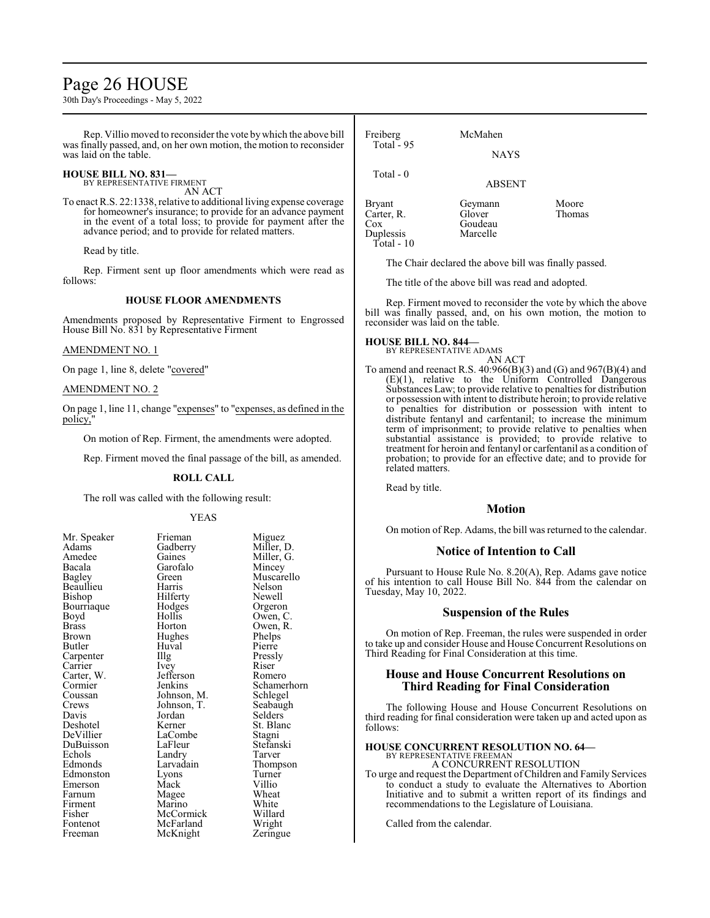# Page 26 HOUSE

30th Day's Proceedings - May 5, 2022

Rep. Villio moved to reconsider the vote bywhich the above bill was finally passed, and, on her own motion, the motion to reconsider was laid on the table.

### **HOUSE BILL NO. 831—**

BY REPRESENTATIVE FIRMENT AN ACT

To enact R.S. 22:1338, relative to additional living expense coverage for homeowner's insurance; to provide for an advance payment in the event of a total loss; to provide for payment after the advance period; and to provide for related matters.

Read by title.

Rep. Firment sent up floor amendments which were read as follows:

### **HOUSE FLOOR AMENDMENTS**

Amendments proposed by Representative Firment to Engrossed House Bill No. 831 by Representative Firment

### AMENDMENT NO. 1

On page 1, line 8, delete "covered"

# AMENDMENT NO. 2

On page 1, line 11, change "expenses" to "expenses, as defined in the policy,

On motion of Rep. Firment, the amendments were adopted.

Rep. Firment moved the final passage of the bill, as amended.

#### **ROLL CALL**

The roll was called with the following result:

#### YEAS

| Mr. Speaker   | Frieman     | Miguez      |
|---------------|-------------|-------------|
| Adams         | Gadberry    | Miller, D.  |
| Amedee        | Gaines      | Miller, G.  |
| Bacala        | Garofalo    | Mincey      |
| <b>Bagley</b> | Green)      | Muscarello  |
| Beaullieu     | Harris      | Nelson      |
| Bishop        | Hilferty    | Newell      |
| Bourriaque    | Hodges      | Orgeron     |
| Boyd          | Hollis      | Owen, C.    |
| <b>Brass</b>  | Horton      | Owen, R.    |
| Brown         | Hughes      | Phelps      |
| Butler        | Huval       | Pierre      |
| Carpenter     | Illg        | Pressly     |
| Carrier       | Ivey        | Riser       |
| Carter, W.    | Jefferson   | Romero      |
| Cormier       | Jenkins     | Schamerhorn |
| Coussan       | Johnson, M. | Schlegel    |
| Crews         | Johnson, T. | Seabaugh    |
| Davis         | Jordan      | Selders     |
| Deshotel      | Kerner      | St. Blanc   |
| DeVillier     | LaCombe     | Stagni      |
| DuBuisson     | LaFleur     | Stefanski   |
| Echols        | Landry      | Tarver      |
| Edmonds       | Larvadain   | Thompson    |
| Edmonston     | Lyons       | Turner      |
| Emerson       | Mack        | Villio      |
| Farnum        | Magee       | Wheat       |
| Firment       | Marino      | White       |
| Fisher        | McCormick   | Willard     |
| Fontenot      | McFarland   | Wright      |
| Freeman       | McKnight    | Zeringue    |

| Freiberg<br>Total $-95$                                            | McMahen<br><b>NAYS</b>                   |                        |
|--------------------------------------------------------------------|------------------------------------------|------------------------|
| Total $-0$                                                         | <b>ABSENT</b>                            |                        |
| <b>Bryant</b><br>Carter, R.<br>$\cos$<br>Duplessis<br>$Total - 10$ | Geymann<br>Glover<br>Goudeau<br>Marcelle | Moore<br><b>Thomas</b> |

The Chair declared the above bill was finally passed.

The title of the above bill was read and adopted.

Rep. Firment moved to reconsider the vote by which the above bill was finally passed, and, on his own motion, the motion to reconsider was laid on the table.

#### **HOUSE BILL NO. 844—**

BY REPRESENTATIVE ADAMS

AN ACT To amend and reenact R.S. 40:966(B)(3) and (G) and 967(B)(4) and  $(E)(1)$ , relative to the Uniform Controlled Dangerous Substances Law; to provide relative to penalties for distribution or possession with intent to distribute heroin; to provide relative to penalties for distribution or possession with intent to distribute fentanyl and carfentanil; to increase the minimum term of imprisonment; to provide relative to penalties when substantial assistance is provided; to provide relative to treatment for heroin and fentanyl or carfentanil as a condition of probation; to provide for an effective date; and to provide for related matters.

Read by title.

# **Motion**

On motion of Rep. Adams, the bill was returned to the calendar.

#### **Notice of Intention to Call**

Pursuant to House Rule No. 8.20(A), Rep. Adams gave notice of his intention to call House Bill No. 844 from the calendar on Tuesday, May 10, 2022.

### **Suspension of the Rules**

On motion of Rep. Freeman, the rules were suspended in order to take up and consider House and House Concurrent Resolutions on Third Reading for Final Consideration at this time.

# **House and House Concurrent Resolutions on Third Reading for Final Consideration**

The following House and House Concurrent Resolutions on third reading for final consideration were taken up and acted upon as follows:

#### **HOUSE CONCURRENT RESOLUTION NO. 64—** BY REPRESENTATIVE FREEMAN

A CONCURRENT RESOLUTION

To urge and request the Department of Children and Family Services to conduct a study to evaluate the Alternatives to Abortion Initiative and to submit a written report of its findings and recommendations to the Legislature of Louisiana.

Called from the calendar.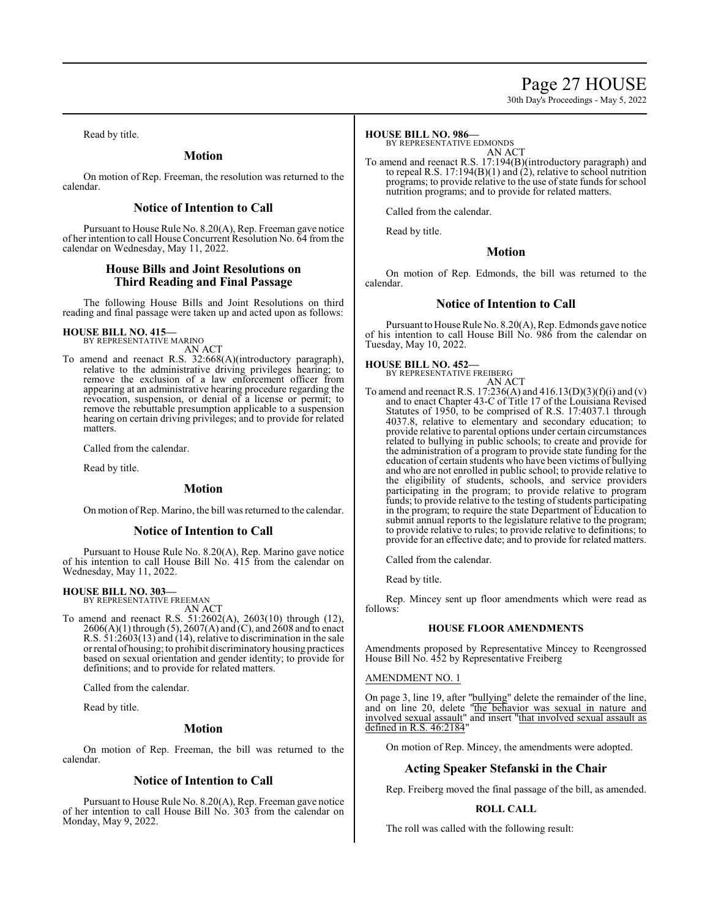# Page 27 HOUSE

30th Day's Proceedings - May 5, 2022

Read by title.

# **Motion**

On motion of Rep. Freeman, the resolution was returned to the calendar.

# **Notice of Intention to Call**

Pursuant to House Rule No. 8.20(A), Rep. Freeman gave notice of her intention to call House Concurrent Resolution No. 64 from the calendar on Wednesday, May 11, 2022.

# **House Bills and Joint Resolutions on Third Reading and Final Passage**

The following House Bills and Joint Resolutions on third reading and final passage were taken up and acted upon as follows:

# **HOUSE BILL NO. 415—** BY REPRESENTATIVE MARINO

AN ACT

To amend and reenact R.S. 32:668(A)(introductory paragraph), relative to the administrative driving privileges hearing; to remove the exclusion of a law enforcement officer from appearing at an administrative hearing procedure regarding the revocation, suspension, or denial of a license or permit; to remove the rebuttable presumption applicable to a suspension hearing on certain driving privileges; and to provide for related matters.

Called from the calendar.

Read by title.

# **Motion**

On motion ofRep. Marino, the bill was returned to the calendar.

# **Notice of Intention to Call**

Pursuant to House Rule No. 8.20(A), Rep. Marino gave notice of his intention to call House Bill No. 415 from the calendar on Wednesday, May 11, 2022.

# **HOUSE BILL NO. 303—**

BY REPRESENTATIVE FREEMAN AN ACT

To amend and reenact R.S. 51:2602(A), 2603(10) through (12), 2606(A)(1) through (5), 2607(A) and (C), and 2608 and to enact R.S. 51:2603(13) and (14), relative to discrimination in the sale orrental ofhousing; to prohibit discriminatory housing practices based on sexual orientation and gender identity; to provide for definitions; and to provide for related matters.

Called from the calendar.

Read by title.

#### **Motion**

On motion of Rep. Freeman, the bill was returned to the calendar.

# **Notice of Intention to Call**

Pursuant to House Rule No. 8.20(A), Rep. Freeman gave notice of her intention to call House Bill No. 303 from the calendar on Monday, May 9, 2022.

#### **HOUSE BILL NO. 986—**

BY REPRESENTATIVE EDMONDS

AN ACT

To amend and reenact R.S. 17:194(B)(introductory paragraph) and to repeal R.S. 17:194(B)(1) and  $(2)$ , relative to school nutrition programs; to provide relative to the use of state funds for school nutrition programs; and to provide for related matters.

Called from the calendar.

Read by title.

# **Motion**

On motion of Rep. Edmonds, the bill was returned to the calendar.

# **Notice of Intention to Call**

Pursuant to House Rule No. 8.20(A), Rep. Edmonds gave notice of his intention to call House Bill No. 986 from the calendar on Tuesday, May 10, 2022.

**HOUSE BILL NO. 452—** BY REPRESENTATIVE FREIBERG

AN ACT

To amend and reenact R.S. 17:236(A) and 416.13(D)(3)(f)(i) and (v) and to enact Chapter 43-C of Title 17 of the Louisiana Revised Statutes of 1950, to be comprised of R.S. 17:4037.1 through 4037.8, relative to elementary and secondary education; to provide relative to parental options under certain circumstances related to bullying in public schools; to create and provide for the administration of a program to provide state funding for the education of certain students who have been victims of bullying and who are not enrolled in public school; to provide relative to the eligibility of students, schools, and service providers participating in the program; to provide relative to program funds; to provide relative to the testing of students participating in the program; to require the state Department of Education to submit annual reports to the legislature relative to the program; to provide relative to rules; to provide relative to definitions; to provide for an effective date; and to provide for related matters.

Called from the calendar.

Read by title.

Rep. Mincey sent up floor amendments which were read as follows:

#### **HOUSE FLOOR AMENDMENTS**

Amendments proposed by Representative Mincey to Reengrossed House Bill No. 452 by Representative Freiberg

#### AMENDMENT NO. 1

On page 3, line 19, after "bullying" delete the remainder of the line, and on line 20, delete "the behavior was sexual in nature and involved sexual assault" and insert "that involved sexual assault as defined in R.S. 46:2184"

On motion of Rep. Mincey, the amendments were adopted.

# **Acting Speaker Stefanski in the Chair**

Rep. Freiberg moved the final passage of the bill, as amended.

# **ROLL CALL**

The roll was called with the following result: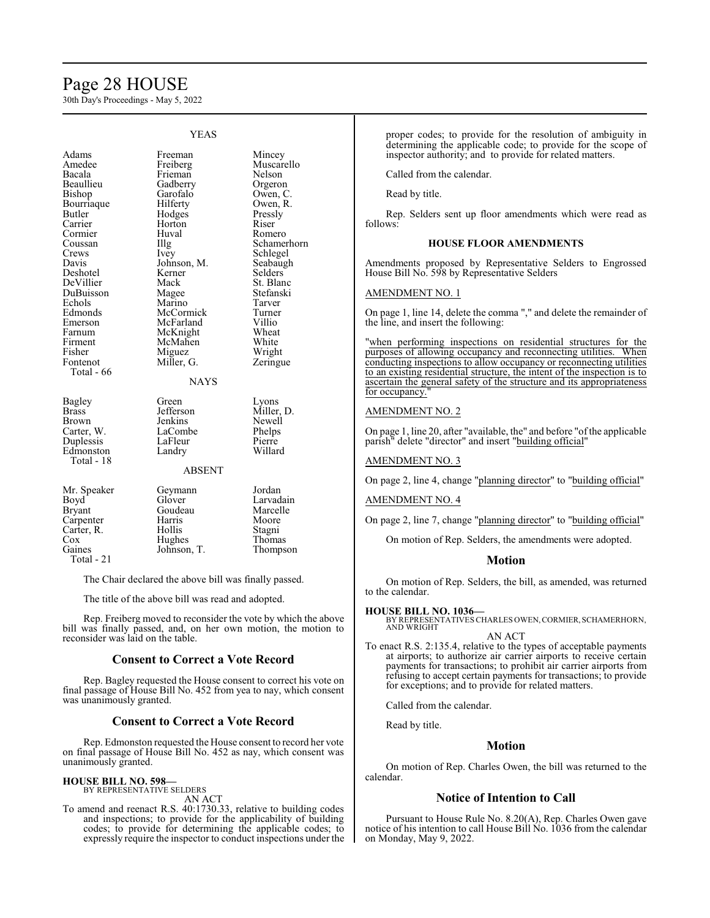# Page 28 HOUSE

30th Day's Proceedings - May 5, 2022

|                                                                                                                                                                                                                                              | YEAS                                                                                                                                                                                                                                         |                                                                                                                                                                                                                                                   |
|----------------------------------------------------------------------------------------------------------------------------------------------------------------------------------------------------------------------------------------------|----------------------------------------------------------------------------------------------------------------------------------------------------------------------------------------------------------------------------------------------|---------------------------------------------------------------------------------------------------------------------------------------------------------------------------------------------------------------------------------------------------|
| Adams<br>Amedee<br>Bacala<br>Beaullieu<br>Bishop<br>Bourriaque<br>Butler<br>Carrier<br>Cormier<br>Coussan<br>Crews<br>Davis<br>Deshotel<br>DeVillier<br>DuBuisson<br>Echols<br>Edmonds<br>Emerson<br>Farnum<br>Firment<br>Fisher<br>Fontenot | Freeman<br>Freiberg<br>Frieman<br>Gadberry<br>Garofalo<br>Hilferty<br>Hodges<br>Horton<br>Huval<br>Illg<br>Ivey<br>Johnson, M.<br>Kerner<br>Mack<br>Magee<br>Marino<br>McCormick<br>McFarland<br>McKnight<br>McMahen<br>Miguez<br>Miller, G. | Mincey<br>Muscarello<br>Nelson<br>Orgeron<br>Owen, C.<br>Owen, R.<br>Pressly<br>Riser<br>Romero<br>Schamerhorn<br>Schlegel<br>Seabaugh<br>Selders<br>St. Blanc<br>Stefanski<br>Tarver<br>Turner<br>Villio<br>Wheat<br>White<br>Wright<br>Zeringue |
| Total - 66                                                                                                                                                                                                                                   | <b>NAYS</b>                                                                                                                                                                                                                                  |                                                                                                                                                                                                                                                   |
| Bagley<br>Brass<br>Brown<br>Carter, W.<br>Duplessis<br>Edmonston<br>Total - 18                                                                                                                                                               | Green<br>Jefferson<br>Jenkins<br>LaCombe<br>LaFleur<br>Landry<br><b>ABSENT</b>                                                                                                                                                               | Lyons<br>Miller, D.<br>Newell<br>Phelps<br>Pierre<br>Willard                                                                                                                                                                                      |
| Mr. Speaker<br>Boyd<br>Bryant<br>Carpenter<br>Carter, R.<br>Cox<br>Gaines<br>Total - 21                                                                                                                                                      | Geymann<br>Glover<br>Goudeau<br>Harris<br>Hollis<br>Hughes<br>Johnson, T.                                                                                                                                                                    | Jordan<br>Larvadain<br>Marcelle<br>Moore<br>Stagni<br>Thomas<br>Thompson                                                                                                                                                                          |

The Chair declared the above bill was finally passed.

The title of the above bill was read and adopted.

Rep. Freiberg moved to reconsider the vote by which the above bill was finally passed, and, on her own motion, the motion to reconsider was laid on the table.

# **Consent to Correct a Vote Record**

Rep. Bagley requested the House consent to correct his vote on final passage of House Bill No. 452 from yea to nay, which consent was unanimously granted.

### **Consent to Correct a Vote Record**

Rep. Edmonston requested the House consent to record her vote on final passage of House Bill No. 452 as nay, which consent was unanimously granted.

#### **HOUSE BILL NO. 598—** BY REPRESENTATIVE SELDERS

AN ACT

To amend and reenact R.S. 40:1730.33, relative to building codes and inspections; to provide for the applicability of building codes; to provide for determining the applicable codes; to expressly require the inspector to conduct inspections under the

proper codes; to provide for the resolution of ambiguity in determining the applicable code; to provide for the scope of inspector authority; and to provide for related matters.

Called from the calendar.

Read by title.

Rep. Selders sent up floor amendments which were read as follows:

### **HOUSE FLOOR AMENDMENTS**

Amendments proposed by Representative Selders to Engrossed House Bill No. 598 by Representative Selders

#### AMENDMENT NO. 1

On page 1, line 14, delete the comma "," and delete the remainder of the line, and insert the following:

when performing inspections on residential structures for the purposes of allowing occupancy and reconnecting utilities. When conducting inspections to allow occupancy or reconnecting utilities to an existing residential structure, the intent of the inspection is to ascertain the general safety of the structure and its appropriateness for occupancy.

#### AMENDMENT NO. 2

On page 1, line 20, after "available, the" and before "ofthe applicable parish<sup>"</sup> delete "director" and insert "building official"

#### AMENDMENT NO. 3

On page 2, line 4, change "planning director" to "building official"

#### AMENDMENT NO. 4

On page 2, line 7, change "planning director" to "building official"

On motion of Rep. Selders, the amendments were adopted.

#### **Motion**

On motion of Rep. Selders, the bill, as amended, was returned to the calendar.

### **HOUSE BILL NO. 1036—**

BY REPRESENTATIVES CHARLES OWEN, CORMIER, SCHAMERHORN,<br>AND WRIGHT AN ACT

To enact R.S. 2:135.4, relative to the types of acceptable payments at airports; to authorize air carrier airports to receive certain payments for transactions; to prohibit air carrier airports from refusing to accept certain payments for transactions; to provide for exceptions; and to provide for related matters.

Called from the calendar.

Read by title.

# **Motion**

On motion of Rep. Charles Owen, the bill was returned to the calendar.

#### **Notice of Intention to Call**

Pursuant to House Rule No. 8.20(A), Rep. Charles Owen gave notice of his intention to call House Bill No. 1036 from the calendar on Monday, May 9, 2022.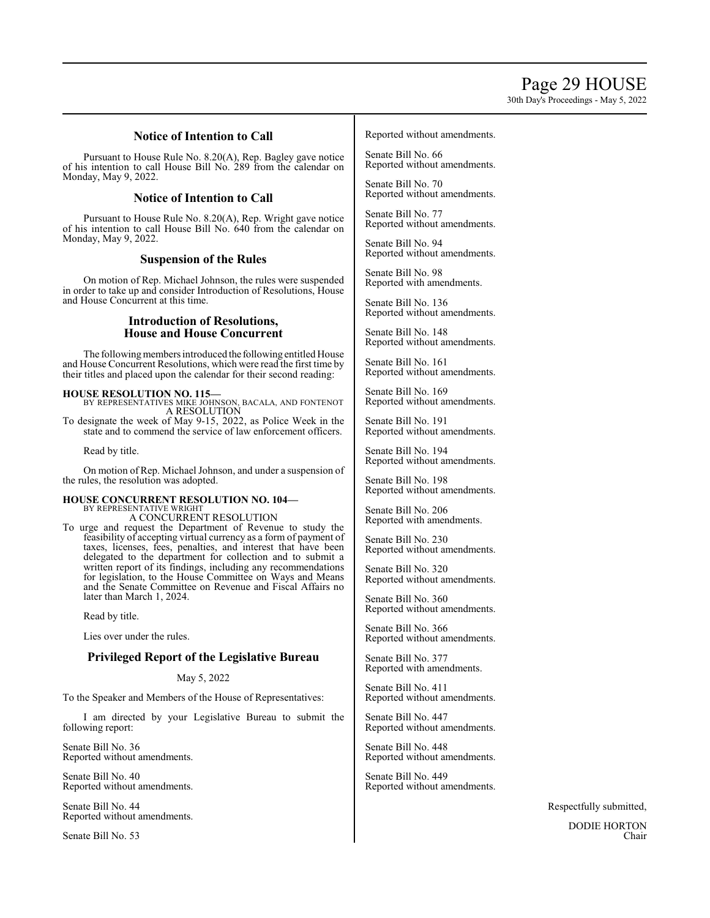30th Day's Proceedings - May 5, 2022

# **Notice of Intention to Call**

Pursuant to House Rule No. 8.20(A), Rep. Bagley gave notice of his intention to call House Bill No. 289 from the calendar on Monday, May 9, 2022.

# **Notice of Intention to Call**

Pursuant to House Rule No. 8.20(A), Rep. Wright gave notice of his intention to call House Bill No. 640 from the calendar on Monday, May 9, 2022.

# **Suspension of the Rules**

On motion of Rep. Michael Johnson, the rules were suspended in order to take up and consider Introduction of Resolutions, House and House Concurrent at this time.

# **Introduction of Resolutions, House and House Concurrent**

The following members introduced the following entitled House and House Concurrent Resolutions, which were read the first time by their titles and placed upon the calendar for their second reading:

**HOUSE RESOLUTION NO. 115—** BY REPRESENTATIVES MIKE JOHNSON, BACALA, AND FONTENOT A RESOLUTION

To designate the week of May 9-15, 2022, as Police Week in the state and to commend the service of law enforcement officers.

Read by title.

On motion of Rep. Michael Johnson, and under a suspension of the rules, the resolution was adopted.

# **HOUSE CONCURRENT RESOLUTION NO. 104—** BY REPRESENTATIVE WRIGHT

A CONCURRENT RESOLUTION

To urge and request the Department of Revenue to study the feasibility of accepting virtual currency as a form of payment of taxes, licenses, fees, penalties, and interest that have been delegated to the department for collection and to submit a written report of its findings, including any recommendations for legislation, to the House Committee on Ways and Means and the Senate Committee on Revenue and Fiscal Affairs no later than March 1, 2024.

Read by title.

Lies over under the rules.

# **Privileged Report of the Legislative Bureau**

# May 5, 2022

To the Speaker and Members of the House of Representatives:

I am directed by your Legislative Bureau to submit the following report:

Senate Bill No. 36 Reported without amendments.

Senate Bill No. 40 Reported without amendments.

Senate Bill No. 44 Reported without amendments.

Senate Bill No. 53

#### Reported without amendments.

Senate Bill No. 66 Reported without amendments.

Senate Bill No. 70 Reported without amendments.

Senate Bill No. 77 Reported without amendments.

Senate Bill No. 94 Reported without amendments.

Senate Bill No. 98 Reported with amendments.

Senate Bill No. 136 Reported without amendments.

Senate Bill No. 148 Reported without amendments.

Senate Bill No. 161 Reported without amendments.

Senate Bill No. 169 Reported without amendments.

Senate Bill No. 191 Reported without amendments.

Senate Bill No. 194 Reported without amendments.

Senate Bill No. 198 Reported without amendments.

Senate Bill No. 206 Reported with amendments.

Senate Bill No. 230 Reported without amendments.

Senate Bill No. 320 Reported without amendments.

Senate Bill No. 360 Reported without amendments.

Senate Bill No. 366 Reported without amendments.

Senate Bill No. 377 Reported with amendments.

Senate Bill No. 411 Reported without amendments.

Senate Bill No. 447 Reported without amendments.

Senate Bill No. 448 Reported without amendments.

Senate Bill No. 449 Reported without amendments.

Respectfully submitted,

DODIE HORTON Chair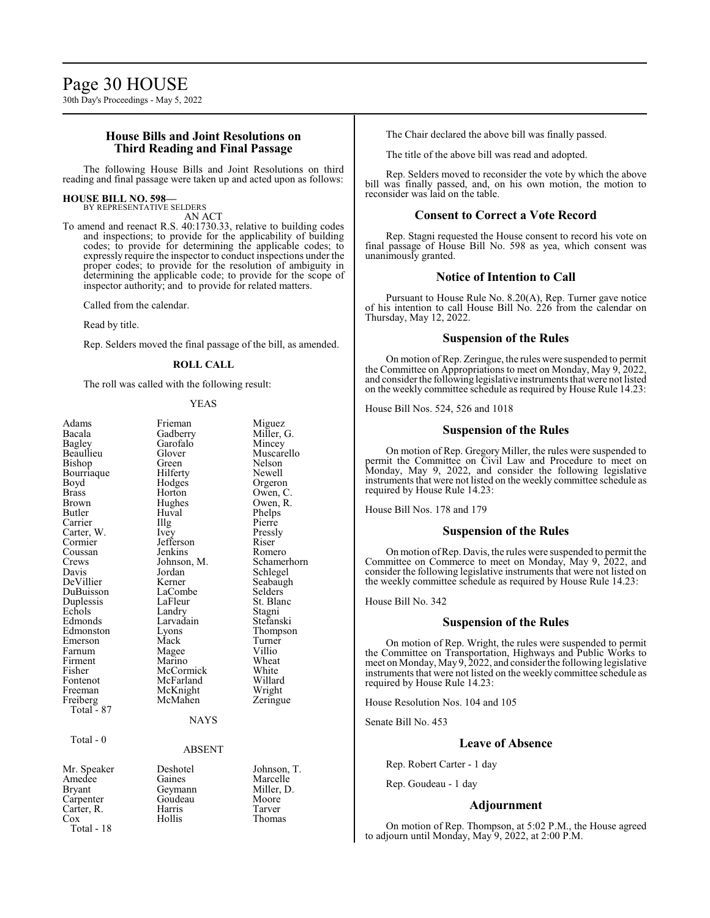# **House Bills and Joint Resolutions on Third Reading and Final Passage**

The following House Bills and Joint Resolutions on third reading and final passage were taken up and acted upon as follows:

#### **HOUSE BILL NO. 598—** BY REPRESENTATIVE SELDERS

AN ACT

To amend and reenact R.S. 40:1730.33, relative to building codes and inspections; to provide for the applicability of building codes; to provide for determining the applicable codes; to expressly require the inspector to conduct inspections under the proper codes; to provide for the resolution of ambiguity in determining the applicable code; to provide for the scope of inspector authority; and to provide for related matters.

Called from the calendar.

Read by title.

Rep. Selders moved the final passage of the bill, as amended.

#### **ROLL CALL**

The roll was called with the following result:

YEAS

| Adams<br>Bacala<br>Bagley<br>Beaullieu<br>Bishop<br>Bourriaque<br>Boyd<br><b>Brass</b><br>Brown<br>Butler<br>Carrier<br>Carter, W.<br>Cormier<br>Coussan<br>Crews<br>Davis<br>DeVillier<br>DuBuisson<br>Duplessis<br>Echols<br>Edmonds<br>Edmonston<br>Emerson<br>Farnum<br>Firment<br>Fisher<br>Fontenot<br>Freeman<br>Freiberg<br>Total - 87<br>Total - 0 | Frieman<br>Gadberry<br>Garofalo<br>Glover<br>Green<br>Hilferty<br>Hodges<br>Horton<br>Hughes<br>Huval<br>Illg<br>Ivey<br>Jefferson<br>Jenkins<br>Johnson, M.<br>Jordan<br>Kerner<br>LaCombe<br>LaFleur<br>Landry<br>Larvadain<br>Lyons<br>Mack<br>Magee<br>Marino<br>McCormick<br>McFarland<br>McKnight<br>McMahen<br><b>NAYS</b> | Miguez<br>Miller, G.<br>Mincey<br>Muscarello<br>Nelson<br>Newell<br>Orgeron<br>Owen, C.<br>Owen, R.<br>Phelps<br>Pierre<br>Pressly<br>Riser<br>Romero<br>Schamerhorn<br>Schlegel<br>Seabaugh<br>Selders<br>St. Blanc<br>Stagni<br>Stefanski<br>Thompson<br>Turner<br>Villio<br>Wheat<br>White<br>Willard<br>Wright<br>Zeringue |
|-------------------------------------------------------------------------------------------------------------------------------------------------------------------------------------------------------------------------------------------------------------------------------------------------------------------------------------------------------------|-----------------------------------------------------------------------------------------------------------------------------------------------------------------------------------------------------------------------------------------------------------------------------------------------------------------------------------|--------------------------------------------------------------------------------------------------------------------------------------------------------------------------------------------------------------------------------------------------------------------------------------------------------------------------------|
|                                                                                                                                                                                                                                                                                                                                                             | <b>ABSENT</b>                                                                                                                                                                                                                                                                                                                     |                                                                                                                                                                                                                                                                                                                                |
| Mr. Speaker<br>Amedee<br>Bryant<br>Carpenter<br>Carter, R.<br>Cox<br>Total - 18                                                                                                                                                                                                                                                                             | Deshotel<br>Gaines<br>Geymann<br>Goudeau<br>Harris<br>Hollis                                                                                                                                                                                                                                                                      | Johnson, T.<br>Marcelle<br>Miller, D.<br>Moore<br>Tarver<br>Thomas                                                                                                                                                                                                                                                             |

The Chair declared the above bill was finally passed.

The title of the above bill was read and adopted.

Rep. Selders moved to reconsider the vote by which the above bill was finally passed, and, on his own motion, the motion to reconsider was laid on the table.

#### **Consent to Correct a Vote Record**

Rep. Stagni requested the House consent to record his vote on final passage of House Bill No. 598 as yea, which consent was unanimously granted.

### **Notice of Intention to Call**

Pursuant to House Rule No. 8.20(A), Rep. Turner gave notice of his intention to call House Bill No. 226 from the calendar on Thursday, May 12, 2022.

### **Suspension of the Rules**

On motion of Rep. Zeringue, the rules were suspended to permit the Committee on Appropriations to meet on Monday, May 9, 2022, and consider the following legislative instruments that were not listed on the weekly committee schedule as required by House Rule 14.23:

House Bill Nos. 524, 526 and 1018

#### **Suspension of the Rules**

On motion of Rep. Gregory Miller, the rules were suspended to permit the Committee on Civil Law and Procedure to meet on Monday, May 9, 2022, and consider the following legislative instruments that were not listed on the weekly committee schedule as required by House Rule 14.23:

House Bill Nos. 178 and 179

#### **Suspension of the Rules**

On motion ofRep. Davis, the rules were suspended to permit the Committee on Commerce to meet on Monday, May 9, 2022, and consider the following legislative instruments that were not listed on the weekly committee schedule as required by House Rule 14.23:

House Bill No. 342

### **Suspension of the Rules**

On motion of Rep. Wright, the rules were suspended to permit the Committee on Transportation, Highways and Public Works to meet on Monday, May 9, 2022, and consider the following legislative instruments that were not listed on the weekly committee schedule as required by House Rule 14.23:

House Resolution Nos. 104 and 105

Senate Bill No. 453

#### **Leave of Absence**

Rep. Robert Carter - 1 day

Rep. Goudeau - 1 day

#### **Adjournment**

On motion of Rep. Thompson, at 5:02 P.M., the House agreed to adjourn until Monday, May 9, 2022, at 2:00 P.M.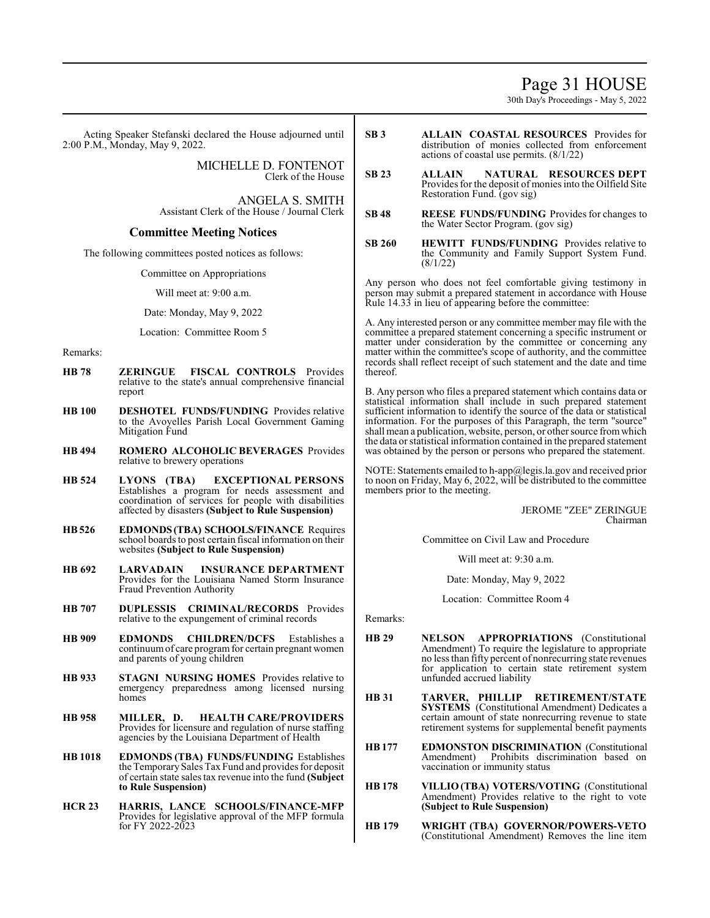# Page 31 HOUSE

30th Day's Proceedings - May 5, 2022

Acting Speaker Stefanski declared the House adjourned until 2:00 P.M., Monday, May 9, 2022.

> MICHELLE D. FONTENOT Clerk of the House

ANGELA S. SMITH Assistant Clerk of the House / Journal Clerk

# **Committee Meeting Notices**

The following committees posted notices as follows:

Committee on Appropriations

Will meet at: 9:00 a.m.

Date: Monday, May 9, 2022

Location: Committee Room 5

Remarks:

- **HB 78 ZERINGUE FISCAL CONTROLS** Provides relative to the state's annual comprehensive financial report
- **HB 100 DESHOTEL FUNDS/FUNDING** Provides relative to the Avoyelles Parish Local Government Gaming Mitigation Fund
- **HB 494 ROMERO ALCOHOLIC BEVERAGES** Provides relative to brewery operations
- **HB 524 LYONS (TBA) EXCEPTIONAL PERSONS**  Establishes a program for needs assessment and coordination of services for people with disabilities affected by disasters **(Subject to Rule Suspension)**
- **HB526 EDMONDS(TBA) SCHOOLS/FINANCE** Requires school boards to post certain fiscal information on their websites **(Subject to Rule Suspension)**
- **HB 692 LARVADAIN INSURANCE DEPARTMENT**  Provides for the Louisiana Named Storm Insurance Fraud Prevention Authority
- **HB 707 DUPLESSIS CRIMINAL/RECORDS** Provides relative to the expungement of criminal records
- **HB 909 EDMONDS CHILDREN/DCFS** Establishes a continuum of care program for certain pregnant women and parents of young children
- **HB 933 STAGNI NURSING HOMES** Provides relative to emergency preparedness among licensed nursing homes
- **HB 958 MILLER, D. HEALTH CARE/PROVIDERS**  Provides for licensure and regulation of nurse staffing agencies by the Louisiana Department of Health
- **HB 1018 EDMONDS (TBA) FUNDS/FUNDING** Establishes the TemporarySales Tax Fund and provides for deposit of certain state sales tax revenue into the fund **(Subject to Rule Suspension)**
- **HCR 23 HARRIS, LANCE SCHOOLS/FINANCE-MFP**  Provides for legislative approval of the MFP formula for FY 2022-2023
- **SB 3 ALLAIN COASTAL RESOURCES** Provides for distribution of monies collected from enforcement actions of coastal use permits. (8/1/22)
- **SB 23 ALLAIN NATURAL RESOURCES DEPT**  Provides for the deposit of monies into the Oilfield Site Restoration Fund. (gov sig)
- **SB 48 REESE FUNDS/FUNDING** Provides for changes to the Water Sector Program. (gov sig)
- **SB 260 HEWITT FUNDS/FUNDING** Provides relative to the Community and Family Support System Fund. (8/1/22)

Any person who does not feel comfortable giving testimony in person may submit a prepared statement in accordance with House Rule 14.33 in lieu of appearing before the committee:

A. Any interested person or any committee member may file with the committee a prepared statement concerning a specific instrument or matter under consideration by the committee or concerning any matter within the committee's scope of authority, and the committee records shall reflect receipt of such statement and the date and time thereof.

B. Any person who files a prepared statement which contains data or statistical information shall include in such prepared statement sufficient information to identify the source of the data or statistical information. For the purposes of this Paragraph, the term "source" shall mean a publication, website, person, or other source fromwhich the data or statistical information contained in the prepared statement was obtained by the person or persons who prepared the statement.

[OTE: Statements emailed to h-app@legis.la.gov and received prior to noon on Friday, May 6, 2022, will be distributed to the committee members prior to the meeting.

> JEROME "ZEE" ZERINGUE Chairman

Committee on Civil Law and Procedure

Will meet at: 9:30 a.m.

Date: Monday, May 9, 2022

Location: Committee Room 4

Remarks:

- **HB 29 NELSON APPROPRIATIONS** (Constitutional Amendment) To require the legislature to appropriate no less than fifty percent of nonrecurring state revenues for application to certain state retirement system unfunded accrued liability
- **HB 31 TARVER, PHILLIP RETIREMENT/STATE SYSTEMS** (Constitutional Amendment) Dedicates a certain amount of state nonrecurring revenue to state retirement systems for supplemental benefit payments
- **HB177 EDMONSTON DISCRIMINATION** (Constitutional Prohibits discrimination based on vaccination or immunity status
- **HB 178 VILLIO (TBA) VOTERS/VOTING** (Constitutional Amendment) Provides relative to the right to vote **(Subject to Rule Suspension)**
- **HB 179 WRIGHT (TBA) GOVERNOR/POWERS-VETO**  (Constitutional Amendment) Removes the line item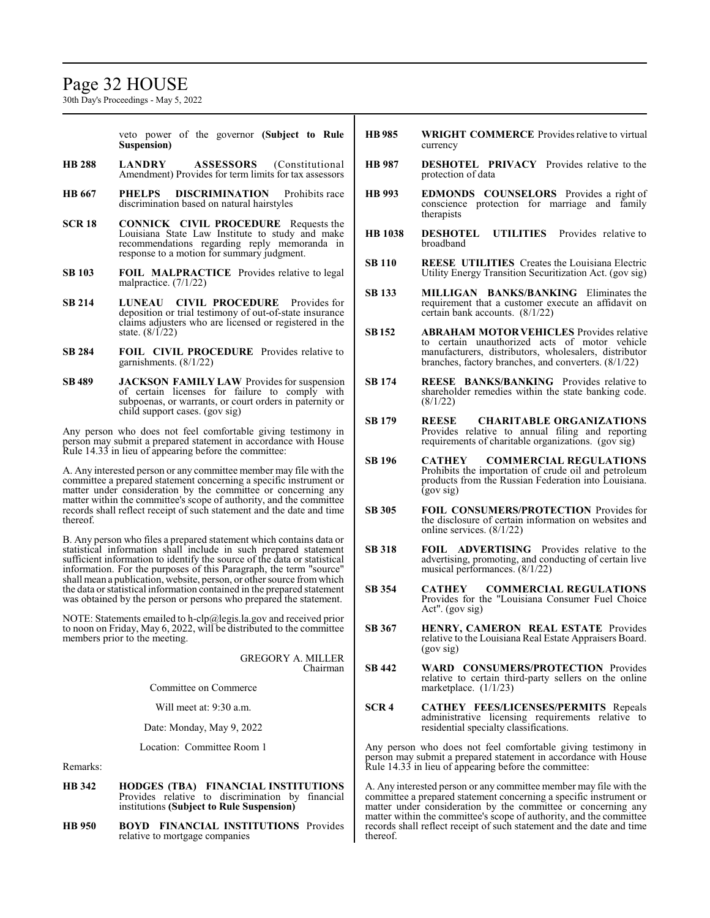# Page 32 HOUSE

30th Day's Proceedings - May 5, 2022

veto power of the governor **(Subject to Rule Suspension)**

- **HB 288 LANDRY ASSESSORS** (Constitutional Amendment) Provides for term limits for tax assessors
- **HB 667 PHELPS DISCRIMINATION** Prohibits race discrimination based on natural hairstyles
- **SCR 18 CONNICK CIVIL PROCEDURE** Requests the Louisiana State Law Institute to study and make recommendations regarding reply memoranda in response to a motion for summary judgment.
- **SB 103 FOIL MALPRACTICE** Provides relative to legal malpractice. (7/1/22)
- **SB 214 LUNEAU CIVIL PROCEDURE** Provides for deposition or trial testimony of out-of-state insurance claims adjusters who are licensed or registered in the state. (8/1/22)
- **SB 284 FOIL CIVIL PROCEDURE** Provides relative to garnishments. (8/1/22)
- **SB 489 JACKSON FAMILY LAW** Provides for suspension of certain licenses for failure to comply with subpoenas, or warrants, or court orders in paternity or child support cases. (gov sig)

Any person who does not feel comfortable giving testimony in person may submit a prepared statement in accordance with House Rule 14.33 in lieu of appearing before the committee:

A. Any interested person or any committee member may file with the committee a prepared statement concerning a specific instrument or matter under consideration by the committee or concerning any matter within the committee's scope of authority, and the committee records shall reflect receipt of such statement and the date and time thereof.

B. Any person who files a prepared statement which contains data or statistical information shall include in such prepared statement sufficient information to identify the source of the data or statistical information. For the purposes of this Paragraph, the term "source" shall mean a publication, website, person, or other source fromwhich the data or statistical information contained in the prepared statement was obtained by the person or persons who prepared the statement.

NOTE: Statements emailed to h-clp@legis.la.gov and received prior to noon on Friday, May 6, 2022, will be distributed to the committee members prior to the meeting.

|                         | <b>GREGORY A. MILLER</b><br>Chairman |
|-------------------------|--------------------------------------|
| Committee on Commerce   |                                      |
| Will meet at: 9:30 a.m. |                                      |
|                         |                                      |

Date: Monday, May 9, 2022

Location: Committee Room 1

Remarks:

- **HB 342 HODGES (TBA) FINANCIAL INSTITUTIONS**  Provides relative to discrimination by financial institutions **(Subject to Rule Suspension)**
- **HB 950 BOYD FINANCIAL INSTITUTIONS** Provides relative to mortgage companies
- **HB 985 WRIGHT COMMERCE** Provides relative to virtual currency
- **HB 987 DESHOTEL PRIVACY** Provides relative to the protection of data
- **HB 993 EDMONDS COUNSELORS** Provides a right of conscience protection for marriage and family therapists
- **HB 1038 DESHOTEL UTILITIES** Provides relative to broadband
- **SB 110 REESE UTILITIES** Creates the Louisiana Electric Utility Energy Transition Securitization Act. (gov sig)
- **SB 133 MILLIGAN BANKS/BANKING** Eliminates the requirement that a customer execute an affidavit on certain bank accounts. (8/1/22)
- **SB152 ABRAHAM MOTOR VEHICLES** Provides relative to certain unauthorized acts of motor vehicle manufacturers, distributors, wholesalers, distributor branches, factory branches, and converters. (8/1/22)
- **SB 174 REESE BANKS/BANKING** Provides relative to shareholder remedies within the state banking code. (8/1/22)
- **SB 179 REESE CHARITABLE ORGANIZATIONS**  Provides relative to annual filing and reporting requirements of charitable organizations. (gov sig)
- **SB 196 CATHEY COMMERCIAL REGULATIONS**  Prohibits the importation of crude oil and petroleum products from the Russian Federation into Louisiana. (gov sig)
- **SB 305 FOIL CONSUMERS/PROTECTION** Provides for the disclosure of certain information on websites and online services. (8/1/22)
- **SB 318 FOIL ADVERTISING** Provides relative to the advertising, promoting, and conducting of certain live musical performances. (8/1/22)
- **SB 354 CATHEY COMMERCIAL REGULATIONS**  Provides for the "Louisiana Consumer Fuel Choice Act". (gov sig)
- **SB 367 HENRY, CAMERON REAL ESTATE** Provides relative to the Louisiana Real Estate Appraisers Board. (gov sig)
- **SB 442 WARD CONSUMERS/PROTECTION** Provides relative to certain third-party sellers on the online marketplace. (1/1/23)
- **SCR 4 CATHEY FEES/LICENSES/PERMITS** Repeals administrative licensing requirements relative to residential specialty classifications.

Any person who does not feel comfortable giving testimony in person may submit a prepared statement in accordance with House Rule 14.33 in lieu of appearing before the committee:

A. Any interested person or any committee member may file with the committee a prepared statement concerning a specific instrument or matter under consideration by the committee or concerning any matter within the committee's scope of authority, and the committee records shall reflect receipt of such statement and the date and time thereof.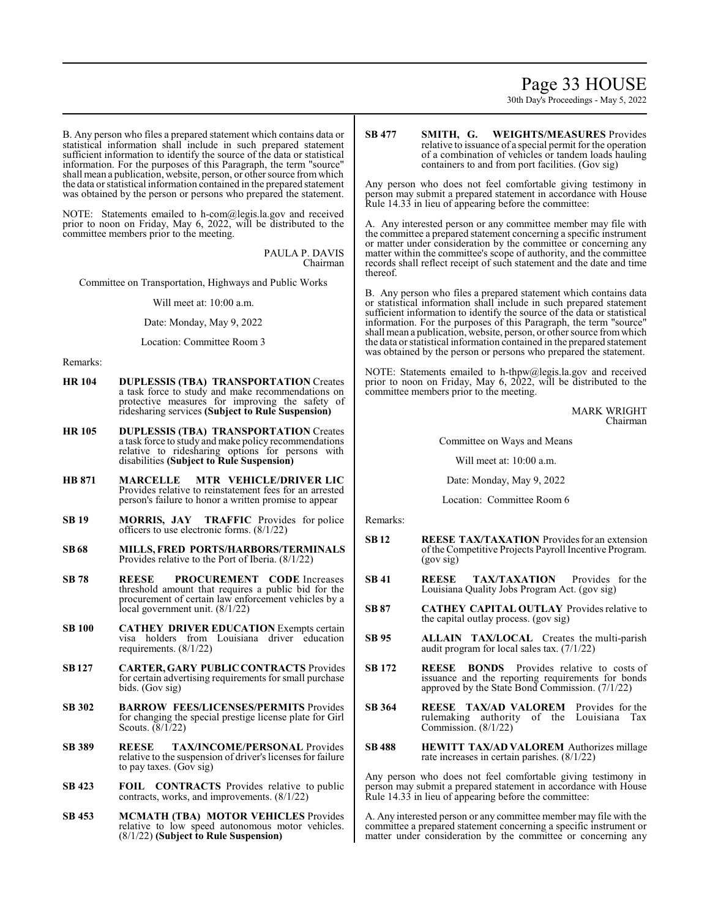# Page 33 HOUSE

30th Day's Proceedings - May 5, 2022

B. Any person who files a prepared statement which contains data or statistical information shall include in such prepared statement sufficient information to identify the source of the data or statistical information. For the purposes of this Paragraph, the term "source" shall mean a publication, website, person, or other source from which the data or statistical information contained in the prepared statement was obtained by the person or persons who prepared the statement.

NOTE: Statements emailed to h-com@legis.la.gov and received prior to noon on Friday, May 6, 2022, will be distributed to the committee members prior to the meeting.

> PAULA P. DAVIS Chairman

Committee on Transportation, Highways and Public Works

Will meet at: 10:00 a.m.

Date: Monday, May 9, 2022

Location: Committee Room 3

Remarks:

- **HR 104 DUPLESSIS (TBA) TRANSPORTATION** Creates a task force to study and make recommendations on protective measures for improving the safety of ridesharing services **(Subject to Rule Suspension)**
- **HR 105 DUPLESSIS (TBA) TRANSPORTATION** Creates a task force to study and make policy recommendations relative to ridesharing options for persons with disabilities **(Subject to Rule Suspension)**
- **HB 871 MARCELLE MTR VEHICLE/DRIVER LIC** Provides relative to reinstatement fees for an arrested person's failure to honor a written promise to appear
- **SB 19 MORRIS, JAY TRAFFIC** Provides for police officers to use electronic forms. (8/1/22)
- **SB 68 MILLS, FRED PORTS/HARBORS/TERMINALS** Provides relative to the Port of Iberia. (8/1/22)
- **SB 78 REESE PROCUREMENT CODE** Increases threshold amount that requires a public bid for the procurement of certain law enforcement vehicles by a local government unit. (8/1/22)
- **SB 100 CATHEY DRIVER EDUCATION** Exempts certain visa holders from Louisiana driver education requirements. (8/1/22)
- **SB127 CARTER, GARY PUBLICCONTRACTS** Provides for certain advertising requirements for small purchase bids. (Gov sig)
- **SB 302 BARROW FEES/LICENSES/PERMITS** Provides for changing the special prestige license plate for Girl Scouts. (8/1/22)
- **SB 389 REESE TAX/INCOME/PERSONAL** Provides relative to the suspension of driver's licenses for failure to pay taxes. (Gov sig)
- **SB 423 FOIL CONTRACTS** Provides relative to public contracts, works, and improvements. (8/1/22)
- **SB 453 MCMATH (TBA) MOTOR VEHICLES** Provides relative to low speed autonomous motor vehicles. (8/1/22) **(Subject to Rule Suspension)**

**SB 477 SMITH, G. WEIGHTS/MEASURES** Provides relative to issuance of a special permit for the operation of a combination of vehicles or tandem loads hauling containers to and from port facilities. (Gov sig)

Any person who does not feel comfortable giving testimony in person may submit a prepared statement in accordance with House Rule 14.33 in lieu of appearing before the committee:

A. Any interested person or any committee member may file with the committee a prepared statement concerning a specific instrument or matter under consideration by the committee or concerning any matter within the committee's scope of authority, and the committee records shall reflect receipt of such statement and the date and time thereof.

B. Any person who files a prepared statement which contains data or statistical information shall include in such prepared statement sufficient information to identify the source of the data or statistical information. For the purposes of this Paragraph, the term "source" shall mean a publication, website, person, or other source fromwhich the data or statistical information contained in the prepared statement was obtained by the person or persons who prepared the statement.

NOTE: Statements emailed to h-thpw@legis.la.gov and received prior to noon on Friday, May 6, 2022, will be distributed to the committee members prior to the meeting.

> MARK WRIGHT Chairman

Committee on Ways and Means

Will meet at: 10:00 a.m.

Date: Monday, May 9, 2022

Location: Committee Room 6

Remarks:

- **SB 12 REESE TAX/TAXATION** Provides for an extension ofthe Competitive Projects Payroll Incentive Program. (gov sig)
- **SB 41 REESE TAX/TAXATION** Provides for the Louisiana Quality Jobs Program Act. (gov sig)
- **SB 87 CATHEY CAPITAL OUTLAY** Provides relative to the capital outlay process. (gov sig)
- **SB 95 ALLAIN TAX/LOCAL** Creates the multi-parish audit program for local sales tax. (7/1/22)
- **SB 172 REESE BONDS** Provides relative to costs of issuance and the reporting requirements for bonds approved by the State Bond Commission. (7/1/22)
- **SB 364 REESE TAX/AD VALOREM** Provides for the rulemaking authority of the Louisiana Tax Commission. (8/1/22)
- **SB 488 HEWITT TAX/AD VALOREM** Authorizes millage rate increases in certain parishes. (8/1/22)

Any person who does not feel comfortable giving testimony in person may submit a prepared statement in accordance with House Rule 14.33 in lieu of appearing before the committee:

A. Any interested person or any committee member may file with the committee a prepared statement concerning a specific instrument or matter under consideration by the committee or concerning any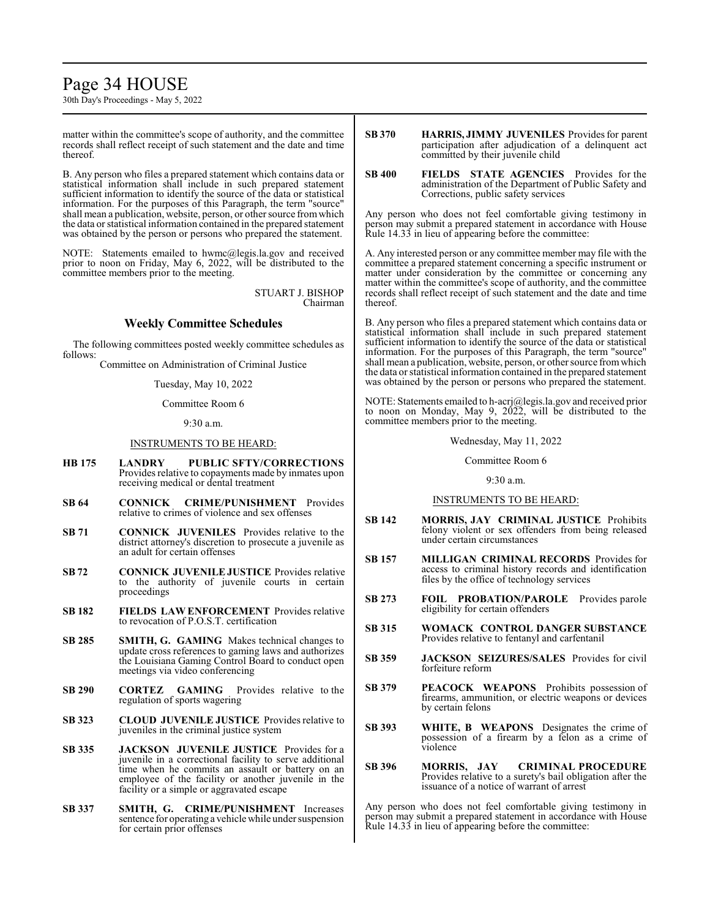# Page 34 HOUSE

30th Day's Proceedings - May 5, 2022

matter within the committee's scope of authority, and the committee records shall reflect receipt of such statement and the date and time thereof.

B. Any person who files a prepared statement which contains data or statistical information shall include in such prepared statement sufficient information to identify the source of the data or statistical information. For the purposes of this Paragraph, the term "source" shall mean a publication, website, person, or other source fromwhich the data or statistical information contained in the prepared statement was obtained by the person or persons who prepared the statement.

NOTE: Statements emailed to hwmc@legis.la.gov and received prior to noon on Friday, May 6, 2022, will be distributed to the committee members prior to the meeting.

> STUART J. BISHOP Chairman

# **Weekly Committee Schedules**

The following committees posted weekly committee schedules as follows:

Committee on Administration of Criminal Justice

Tuesday, May 10, 2022

Committee Room 6

 $9.30 a m$ 

# INSTRUMENTS TO BE HEARD:

- **HB 175 LANDRY PUBLIC SFTY/CORRECTIONS** Provides relative to copayments made by inmates upon receiving medical or dental treatment
- **SB 64 CONNICK CRIME/PUNISHMENT** Provides relative to crimes of violence and sex offenses
- **SB 71 CONNICK JUVENILES** Provides relative to the district attorney's discretion to prosecute a juvenile as an adult for certain offenses
- **SB 72 CONNICK JUVENILE JUSTICE** Provides relative to the authority of juvenile courts in certain proceedings
- **SB 182 FIELDS LAW ENFORCEMENT** Provides relative to revocation of P.O.S.T. certification
- **SB 285 SMITH, G. GAMING** Makes technical changes to update cross references to gaming laws and authorizes the Louisiana Gaming Control Board to conduct open meetings via video conferencing
- **SB 290 CORTEZ GAMING** Provides relative to the regulation of sports wagering
- **SB 323 CLOUD JUVENILE JUSTICE** Provides relative to juveniles in the criminal justice system
- **SB 335 JACKSON JUVENILE JUSTICE** Provides for a juvenile in a correctional facility to serve additional time when he commits an assault or battery on an employee of the facility or another juvenile in the facility or a simple or aggravated escape
- **SB 337 SMITH, G. CRIME/PUNISHMENT** Increases sentence for operating a vehicle while under suspension for certain prior offenses
- **SB 370 HARRIS, JIMMY JUVENILES** Provides for parent participation after adjudication of a delinquent act committed by their juvenile child
- **SB 400 FIELDS STATE AGENCIES** Provides for the administration of the Department of Public Safety and Corrections, public safety services

Any person who does not feel comfortable giving testimony in person may submit a prepared statement in accordance with House Rule 14.33 in lieu of appearing before the committee:

A. Any interested person or any committee member may file with the committee a prepared statement concerning a specific instrument or matter under consideration by the committee or concerning any matter within the committee's scope of authority, and the committee records shall reflect receipt of such statement and the date and time thereof.

B. Any person who files a prepared statement which contains data or statistical information shall include in such prepared statement sufficient information to identify the source of the data or statistical information. For the purposes of this Paragraph, the term "source" shall mean a publication, website, person, or other source from which the data or statistical information contained in the prepared statement was obtained by the person or persons who prepared the statement.

NOTE: Statements emailed to h-acrj@legis.la.gov and received prior to noon on Monday, May 9, 2022, will be distributed to the committee members prior to the meeting.

Wednesday, May 11, 2022

Committee Room 6

#### 9:30 a.m.

#### INSTRUMENTS TO BE HEARD:

- **SB 142 MORRIS, JAY CRIMINAL JUSTICE** Prohibits felony violent or sex offenders from being released under certain circumstances
- **SB 157 MILLIGAN CRIMINAL RECORDS** Provides for access to criminal history records and identification files by the office of technology services
- **SB 273 FOIL PROBATION/PAROLE** Provides parole eligibility for certain offenders
- **SB 315 WOMACK CONTROL DANGER SUBSTANCE** Provides relative to fentanyl and carfentanil
- **SB 359 JACKSON SEIZURES/SALES** Provides for civil forfeiture reform
- **SB 379 PEACOCK WEAPONS** Prohibits possession of firearms, ammunition, or electric weapons or devices by certain felons
- **SB 393 WHITE, B WEAPONS** Designates the crime of possession of a firearm by a felon as a crime of violence
- **SB 396 MORRIS, JAY CRIMINAL PROCEDURE** Provides relative to a surety's bail obligation after the issuance of a notice of warrant of arrest

Any person who does not feel comfortable giving testimony in person may submit a prepared statement in accordance with House Rule 14.33 in lieu of appearing before the committee: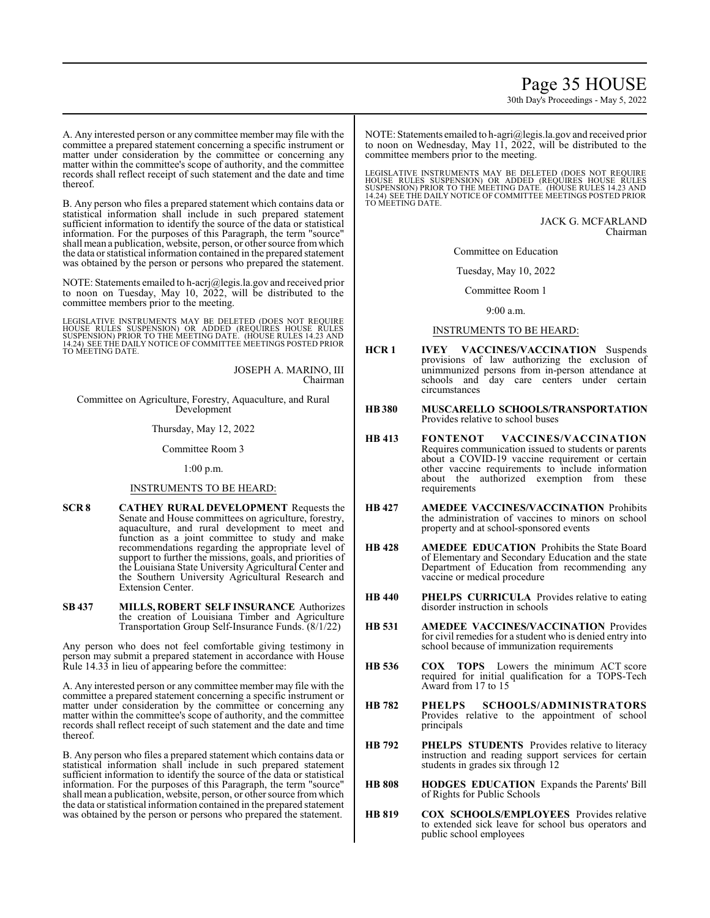# Page 35 HOUSE

30th Day's Proceedings - May 5, 2022

A. Any interested person or any committee member may file with the committee a prepared statement concerning a specific instrument or matter under consideration by the committee or concerning any matter within the committee's scope of authority, and the committee records shall reflect receipt of such statement and the date and time thereof.

B. Any person who files a prepared statement which contains data or statistical information shall include in such prepared statement sufficient information to identify the source of the data or statistical information. For the purposes of this Paragraph, the term "source" shall mean a publication, website, person, or other source fromwhich the data or statistical information contained in the prepared statement was obtained by the person or persons who prepared the statement.

NOTE: Statements emailed to h-acrj@legis.la.gov and received prior to noon on Tuesday, May 10, 2022, will be distributed to the committee members prior to the meeting.

LEGISLATIVE INSTRUMENTS MAY BE DELETED (DOES NOT REQUIRE<br>HOUSE RULES SUSPENSION) OR ADDED (REQUIRES HOUSE RULES<br>SUSPENSION) PRIOR TO THE MEETING DATE. (HOUSE RULES 14.23 AND<br>14.24) SEETHE DAILY NOTICE OF COMMITTEE MEETINGS

JOSEPH A. MARINO, III Chairman

Committee on Agriculture, Forestry, Aquaculture, and Rural Development

Thursday, May 12, 2022

Committee Room 3

1:00 p.m.

#### INSTRUMENTS TO BE HEARD:

- **SCR 8 CATHEY RURAL DEVELOPMENT** Requests the Senate and House committees on agriculture, forestry, aquaculture, and rural development to meet and function as a joint committee to study and make recommendations regarding the appropriate level of support to further the missions, goals, and priorities of the Louisiana State University Agricultural Center and the Southern University Agricultural Research and Extension Center.
- **SB 437 MILLS, ROBERT SELF INSURANCE** Authorizes the creation of Louisiana Timber and Agriculture Transportation Group Self-Insurance Funds. (8/1/22)

Any person who does not feel comfortable giving testimony in person may submit a prepared statement in accordance with House Rule 14.33 in lieu of appearing before the committee:

A. Any interested person or any committee member may file with the committee a prepared statement concerning a specific instrument or matter under consideration by the committee or concerning any matter within the committee's scope of authority, and the committee records shall reflect receipt of such statement and the date and time thereof.

B. Any person who files a prepared statement which contains data or statistical information shall include in such prepared statement sufficient information to identify the source of the data or statistical information. For the purposes of this Paragraph, the term "source" shall mean a publication, website, person, or other source fromwhich the data or statistical information contained in the prepared statement was obtained by the person or persons who prepared the statement.

NOTE: Statements emailed to h-agri@legis.la.gov and received prior to noon on Wednesday, May 11, 2022, will be distributed to the committee members prior to the meeting.

LEGISLATIVE INSTRUMENTS MAY BE DELETED (DOES NOT REQUIRE<br>HOUSE RULES SUSPENSION) OR ADDED (REQUIRES HOUSE RULES<br>SUSPENSION) PRIOR TO THE MEETING DATE. (HOUSE RULES 14.23 AND<br>14.24) SEE THE DAILY NOTICE OF COMMITTEE MEETING TO MEETING DATE.

> JACK G. MCFARLAND Chairman

Committee on Education

Tuesday, May 10, 2022

Committee Room 1

 $9.00 a m$ 

#### INSTRUMENTS TO BE HEARD:

- **HCR 1 IVEY VACCINES/VACCINATION** Suspends provisions of law authorizing the exclusion of unimmunized persons from in-person attendance at schools and day care centers under certain circumstances
- **HB380 MUSCARELLO SCHOOLS/TRANSPORTATION** Provides relative to school buses
- **HB 413 FONTENOT VACCINES/VACCINATION** Requires communication issued to students or parents about a COVID-19 vaccine requirement or certain other vaccine requirements to include information about the authorized exemption from these requirements
- **HB 427 AMEDEE VACCINES/VACCINATION** Prohibits the administration of vaccines to minors on school property and at school-sponsored events
- **HB 428 AMEDEE EDUCATION** Prohibits the State Board of Elementary and Secondary Education and the state Department of Education from recommending any vaccine or medical procedure
- **HB 440 PHELPS CURRICULA** Provides relative to eating disorder instruction in schools
- **HB 531 AMEDEE VACCINES/VACCINATION** Provides for civil remedies for a student who is denied entry into school because of immunization requirements
- **HB 536 COX TOPS** Lowers the minimum ACT score required for initial qualification for a TOPS-Tech Award from 17 to 15
- **HB 782 PHELPS SCHOOLS/ADMINISTRATORS** Provides relative to the appointment of school principals
- **HB 792 PHELPS STUDENTS** Provides relative to literacy instruction and reading support services for certain students in grades six through 12
- **HB 808 HODGES EDUCATION** Expands the Parents' Bill of Rights for Public Schools
- **HB 819 COX SCHOOLS/EMPLOYEES** Provides relative to extended sick leave for school bus operators and public school employees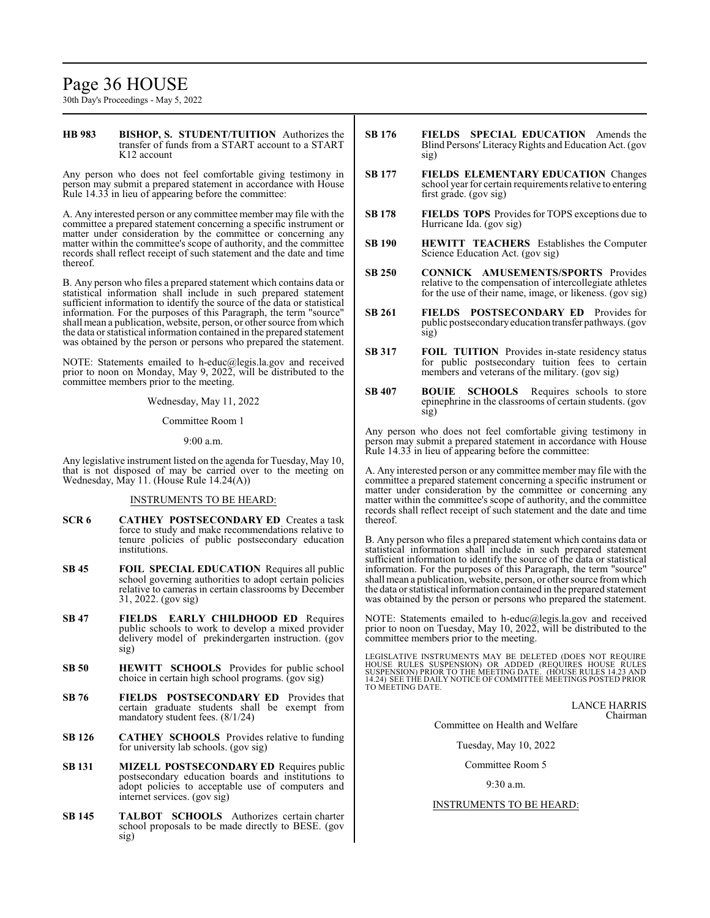# Page 36 HOUSE

30th Day's Proceedings - May 5, 2022

#### **HB 983 BISHOP, S. STUDENT/TUITION** Authorizes the transfer of funds from a START account to a START K12 account

Any person who does not feel comfortable giving testimony in person may submit a prepared statement in accordance with House Rule 14.33 in lieu of appearing before the committee:

A. Any interested person or any committee member may file with the committee a prepared statement concerning a specific instrument or matter under consideration by the committee or concerning any matter within the committee's scope of authority, and the committee records shall reflect receipt of such statement and the date and time thereof.

B. Any person who files a prepared statement which contains data or statistical information shall include in such prepared statement sufficient information to identify the source of the data or statistical information. For the purposes of this Paragraph, the term "source" shall mean a publication, website, person, or other source fromwhich the data or statistical information contained in the prepared statement was obtained by the person or persons who prepared the statement.

NOTE: Statements emailed to h-educ@legis.la.gov and received prior to noon on Monday, May 9, 2022, will be distributed to the committee members prior to the meeting.

Wednesday, May 11, 2022

Committee Room 1

9:00 a.m.

Any legislative instrument listed on the agenda for Tuesday, May 10, that is not disposed of may be carried over to the meeting on Wednesday, May 11. (House Rule 14.24(A))

#### INSTRUMENTS TO BE HEARD:

- **SCR 6 CATHEY POSTSECONDARY ED** Creates a task force to study and make recommendations relative to tenure policies of public postsecondary education institutions.
- **SB 45 FOIL SPECIAL EDUCATION** Requires all public school governing authorities to adopt certain policies relative to cameras in certain classrooms by December 31, 2022. (gov sig)
- **SB 47 FIELDS EARLY CHILDHOOD ED** Requires public schools to work to develop a mixed provider delivery model of prekindergarten instruction. (gov sig)
- **SB 50 HEWITT SCHOOLS** Provides for public school choice in certain high school programs. (gov sig)
- **SB 76 FIELDS POSTSECONDARY ED** Provides that certain graduate students shall be exempt from mandatory student fees. (8/1/24)
- **SB 126 CATHEY SCHOOLS** Provides relative to funding for university lab schools. (gov sig)
- **SB 131 MIZELL POSTSECONDARY ED** Requires public postsecondary education boards and institutions to adopt policies to acceptable use of computers and internet services. (gov sig)
- **SB 145 TALBOT SCHOOLS** Authorizes certain charter school proposals to be made directly to BESE. (gov sig)
- **SB 176 FIELDS SPECIAL EDUCATION** Amends the Blind Persons' Literacy Rights and Education Act. (gov sig)
- **SB 177 FIELDS ELEMENTARY EDUCATION** Changes school year for certain requirements relative to entering first grade. (gov sig)
- **SB 178 FIELDS TOPS** Provides for TOPS exceptions due to Hurricane Ida. (gov sig)
- **SB 190 HEWITT TEACHERS** Establishes the Computer Science Education Act. (gov sig)
- **SB 250 CONNICK AMUSEMENTS/SPORTS** Provides relative to the compensation of intercollegiate athletes for the use of their name, image, or likeness. (gov sig)
- **SB 261 FIELDS POSTSECONDARY ED** Provides for public postsecondaryeducation transfer pathways. (gov sig)
- **SB 317 FOIL TUITION** Provides in-state residency status for public postsecondary tuition fees to certain members and veterans of the military. (gov sig)
- **SB 407 BOUIE SCHOOLS** Requires schools to store epinephrine in the classrooms of certain students. (gov sig)

Any person who does not feel comfortable giving testimony in person may submit a prepared statement in accordance with House Rule 14.33 in lieu of appearing before the committee:

A. Any interested person or any committee member may file with the committee a prepared statement concerning a specific instrument or matter under consideration by the committee or concerning any matter within the committee's scope of authority, and the committee records shall reflect receipt of such statement and the date and time thereof.

B. Any person who files a prepared statement which contains data or statistical information shall include in such prepared statement sufficient information to identify the source of the data or statistical information. For the purposes of this Paragraph, the term "source" shall mean a publication, website, person, or other source fromwhich the data or statistical information contained in the prepared statement was obtained by the person or persons who prepared the statement.

NOTE: Statements emailed to h-educ@legis.la.gov and received prior to noon on Tuesday, May 10, 2022, will be distributed to the committee members prior to the meeting.

LEGISLATIVE INSTRUMENTS MAY BE DELETED (DOES NOT REQUIRE<br>HOUSE RULES SUSPENSION) OR ADDED (REQUIRES HOUSE RULES<br>SUSPENSION) PRIOR TO THE MEETING DATE. (HOUSE RULES 14.23 AND<br>14.24) SEE THE DAILY NOTICE OF COMMITTEE MEETING

LANCE HARRIS Chairman

Committee on Health and Welfare

Tuesday, May 10, 2022

#### Committee Room 5

#### 9:30 a.m.

#### INSTRUMENTS TO BE HEARD: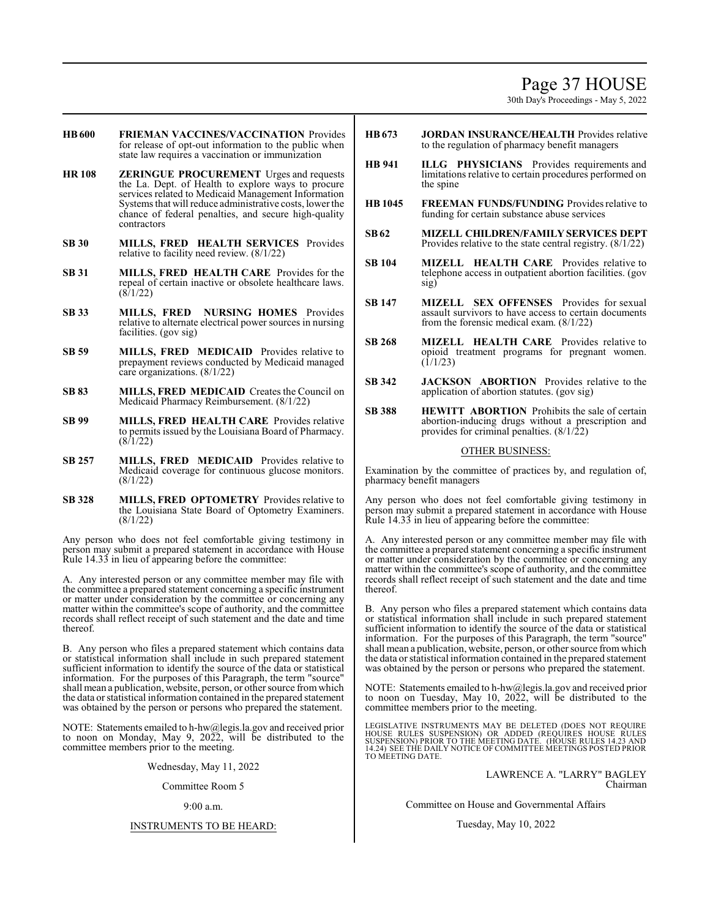# Page 37 HOUSE

30th Day's Proceedings - May 5, 2022

- **HB600 FRIEMAN VACCINES/VACCINATION** Provides for release of opt-out information to the public when state law requires a vaccination or immunization
- **HR 108 ZERINGUE PROCUREMENT** Urges and requests the La. Dept. of Health to explore ways to procure services related to Medicaid Management Information Systems that will reduce administrative costs, lower the chance of federal penalties, and secure high-quality contractors
- **SB 30 MILLS, FRED HEALTH SERVICES** Provides relative to facility need review. (8/1/22)
- **SB 31 MILLS, FRED HEALTH CARE** Provides for the repeal of certain inactive or obsolete healthcare laws.  $(8/1/22)$
- **SB 33 MILLS, FRED NURSING HOMES** Provides relative to alternate electrical power sources in nursing facilities. (gov sig)
- **SB 59 MILLS, FRED MEDICAID** Provides relative to prepayment reviews conducted by Medicaid managed care organizations. (8/1/22)
- **SB 83 MILLS, FRED MEDICAID** Creates the Council on Medicaid Pharmacy Reimbursement. (8/1/22)
- **SB 99 MILLS, FRED HEALTH CARE** Provides relative to permits issued by the Louisiana Board of Pharmacy.  $(8/1/22)$
- **SB 257 MILLS, FRED MEDICAID** Provides relative to Medicaid coverage for continuous glucose monitors. (8/1/22)
- **SB 328 MILLS, FRED OPTOMETRY** Provides relative to the Louisiana State Board of Optometry Examiners. (8/1/22)

Any person who does not feel comfortable giving testimony in person may submit a prepared statement in accordance with House Rule 14.33 in lieu of appearing before the committee:

A. Any interested person or any committee member may file with the committee a prepared statement concerning a specific instrument or matter under consideration by the committee or concerning any matter within the committee's scope of authority, and the committee records shall reflect receipt of such statement and the date and time thereof.

B. Any person who files a prepared statement which contains data or statistical information shall include in such prepared statement sufficient information to identify the source of the data or statistical information. For the purposes of this Paragraph, the term "source" shall mean a publication, website, person, or other source fromwhich the data or statistical information contained in the prepared statement was obtained by the person or persons who prepared the statement.

NOTE: Statements emailed to h-hw@legis.la.gov and received prior to noon on Monday, May 9, 2022, will be distributed to the committee members prior to the meeting.

Wednesday, May 11, 2022

#### Committee Room 5

#### 9:00 a.m.

#### INSTRUMENTS TO BE HEARD:

- **HB673 JORDAN INSURANCE/HEALTH** Provides relative to the regulation of pharmacy benefit managers
- **HB 941 ILLG PHYSICIANS** Provides requirements and limitations relative to certain procedures performed on the spine
- **HB 1045 FREEMAN FUNDS/FUNDING** Provides relative to funding for certain substance abuse services
- **SB62 MIZELL CHILDREN/FAMILYSERVICES DEPT** Provides relative to the state central registry. (8/1/22)
- **SB 104 MIZELL HEALTH CARE** Provides relative to telephone access in outpatient abortion facilities. (gov sig)
- **SB 147 MIZELL SEX OFFENSES** Provides for sexual assault survivors to have access to certain documents from the forensic medical exam. (8/1/22)
- **SB 268 MIZELL HEALTH CARE** Provides relative to opioid treatment programs for pregnant women.  $(1/1/23)$
- **SB 342 JACKSON ABORTION** Provides relative to the application of abortion statutes. (gov sig)
- **SB 388 HEWITT ABORTION** Prohibits the sale of certain abortion-inducing drugs without a prescription and provides for criminal penalties.  $(8/1/22)$

#### OTHER BUSINESS:

Examination by the committee of practices by, and regulation of, pharmacy benefit managers

Any person who does not feel comfortable giving testimony in person may submit a prepared statement in accordance with House Rule 14.33 in lieu of appearing before the committee:

A. Any interested person or any committee member may file with the committee a prepared statement concerning a specific instrument or matter under consideration by the committee or concerning any matter within the committee's scope of authority, and the committee records shall reflect receipt of such statement and the date and time thereof.

B. Any person who files a prepared statement which contains data or statistical information shall include in such prepared statement sufficient information to identify the source of the data or statistical information. For the purposes of this Paragraph, the term "source" shall mean a publication, website, person, or other source fromwhich the data or statistical information contained in the prepared statement was obtained by the person or persons who prepared the statement.

NOTE: Statements emailed to h-hw@legis.la.gov and received prior to noon on Tuesday, May 10, 2022, will be distributed to the committee members prior to the meeting.

LEGISLATIVE INSTRUMENTS MAY BE DELETED (DOES NOT REQUIRE<br>HOUSE RULES SUSPENSION) OR ADDED (REQUIRES HOUSE RULES<br>SUSPENSION) PRIOR TO THE MEETING DATE. (HOUSE RULES 14.23 AND<br>14.24) SEE THE DAILY NOTICE OF COMMITTEE MEETING

LAWRENCE A. "LARRY" BAGLEY Chairman

Committee on House and Governmental Affairs

Tuesday, May 10, 2022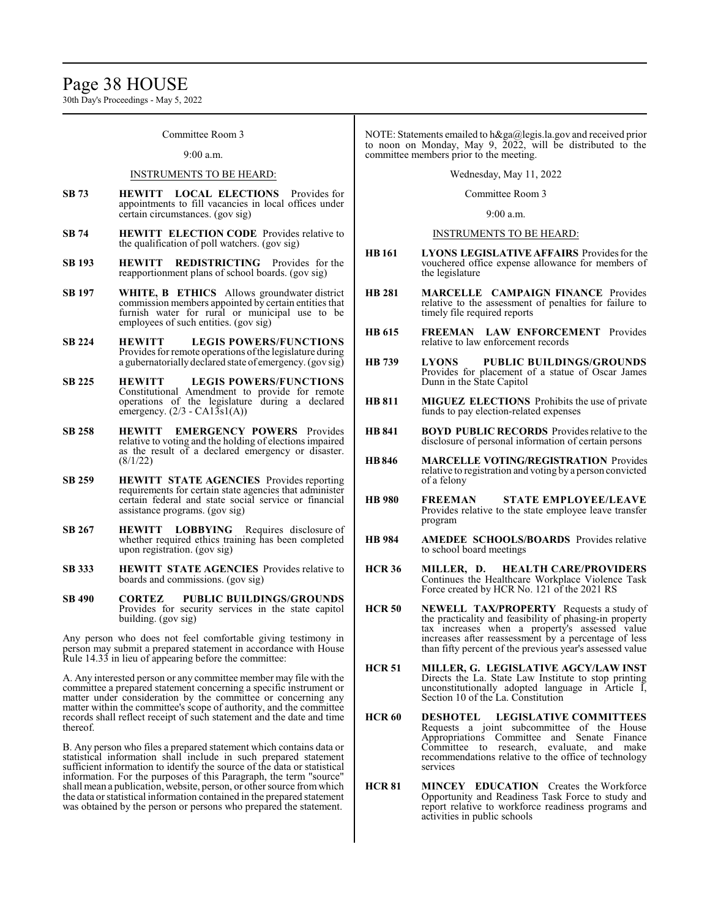30th Day's Proceedings - May 5, 2022

Committee Room 3

#### 9:00 a.m.

#### INSTRUMENTS TO BE HEARD:

- **SB 73 HEWITT LOCAL ELECTIONS** Provides for appointments to fill vacancies in local offices under certain circumstances. (gov sig)
- **SB 74 HEWITT ELECTION CODE** Provides relative to the qualification of poll watchers. (gov sig)
- **SB 193 HEWITT REDISTRICTING** Provides for the reapportionment plans of school boards. (gov sig)
- **SB 197 WHITE, B ETHICS** Allows groundwater district commission members appointed by certain entities that furnish water for rural or municipal use to be employees of such entities. (gov sig)
- **SB 224 HEWITT LEGIS POWERS/FUNCTIONS** Provides for remote operations of the legislature during a gubernatorially declared state of emergency. (gov sig)
- **SB 225 HEWITT LEGIS POWERS/FUNCTIONS** Constitutional Amendment to provide for remote operations of the legislature during a declared emergency.  $(2/3 - CA1\overline{3}sl(A))$
- **SB 258 HEWITT EMERGENCY POWERS** Provides relative to voting and the holding of elections impaired as the result of a declared emergency or disaster. (8/1/22)
- **SB 259 HEWITT STATE AGENCIES** Provides reporting requirements for certain state agencies that administer certain federal and state social service or financial assistance programs. (gov sig)
- **SB 267 HEWITT LOBBYING** Requires disclosure of whether required ethics training has been completed upon registration. (gov sig)
- **SB 333 HEWITT STATE AGENCIES** Provides relative to boards and commissions. (gov sig)
- **SB 490 CORTEZ PUBLIC BUILDINGS/GROUNDS** Provides for security services in the state capitol building. (gov sig)

Any person who does not feel comfortable giving testimony in person may submit a prepared statement in accordance with House Rule 14.33 in lieu of appearing before the committee:

A. Any interested person or any committee member may file with the committee a prepared statement concerning a specific instrument or matter under consideration by the committee or concerning any matter within the committee's scope of authority, and the committee records shall reflect receipt of such statement and the date and time thereof.

B. Any person who files a prepared statement which contains data or statistical information shall include in such prepared statement sufficient information to identify the source of the data or statistical information. For the purposes of this Paragraph, the term "source" shall mean a publication, website, person, or other source fromwhich the data or statistical information contained in the prepared statement was obtained by the person or persons who prepared the statement.

NOTE: Statements emailed to h&ga@legis.la.gov and received prior to noon on Monday, May 9, 2022, will be distributed to the committee members prior to the meeting.

Wednesday, May 11, 2022

Committee Room 3

9:00 a.m.

INSTRUMENTS TO BE HEARD:

- **HB 161 LYONS LEGISLATIVE AFFAIRS** Provides for the vouchered office expense allowance for members of the legislature
- **HB 281 MARCELLE CAMPAIGN FINANCE** Provides relative to the assessment of penalties for failure to timely file required reports
- **HB 615 FREEMAN LAW ENFORCEMENT** Provides relative to law enforcement records
- **HB 739 LYONS PUBLIC BUILDINGS/GROUNDS** Provides for placement of a statue of Oscar James Dunn in the State Capitol
- **HB 811 MIGUEZ ELECTIONS** Prohibits the use of private funds to pay election-related expenses
- **HB 841 BOYD PUBLIC RECORDS** Provides relative to the disclosure of personal information of certain persons
- **HB846 MARCELLE VOTING/REGISTRATION** Provides relative to registration and voting by a person convicted of a felony
- **HB 980 FREEMAN STATE EMPLOYEE/LEAVE** Provides relative to the state employee leave transfer program
- **HB 984 AMEDEE SCHOOLS/BOARDS** Provides relative to school board meetings
- **HCR 36 MILLER, D. HEALTH CARE/PROVIDERS** Continues the Healthcare Workplace Violence Task Force created by HCR No. 121 of the 2021 RS
- **HCR 50 NEWELL TAX/PROPERTY** Requests a study of the practicality and feasibility of phasing-in property tax increases when a property's assessed value increases after reassessment by a percentage of less than fifty percent of the previous year's assessed value
- **HCR 51 MILLER, G. LEGISLATIVE AGCY/LAW INST** Directs the La. State Law Institute to stop printing unconstitutionally adopted language in Article I, Section 10 of the La. Constitution
- **HCR 60 DESHOTEL LEGISLATIVE COMMITTEES** Requests a joint subcommittee of the House Appropriations Committee and Senate Finance Committee to research, evaluate, and make recommendations relative to the office of technology services
- **HCR 81 MINCEY EDUCATION** Creates the Workforce Opportunity and Readiness Task Force to study and report relative to workforce readiness programs and activities in public schools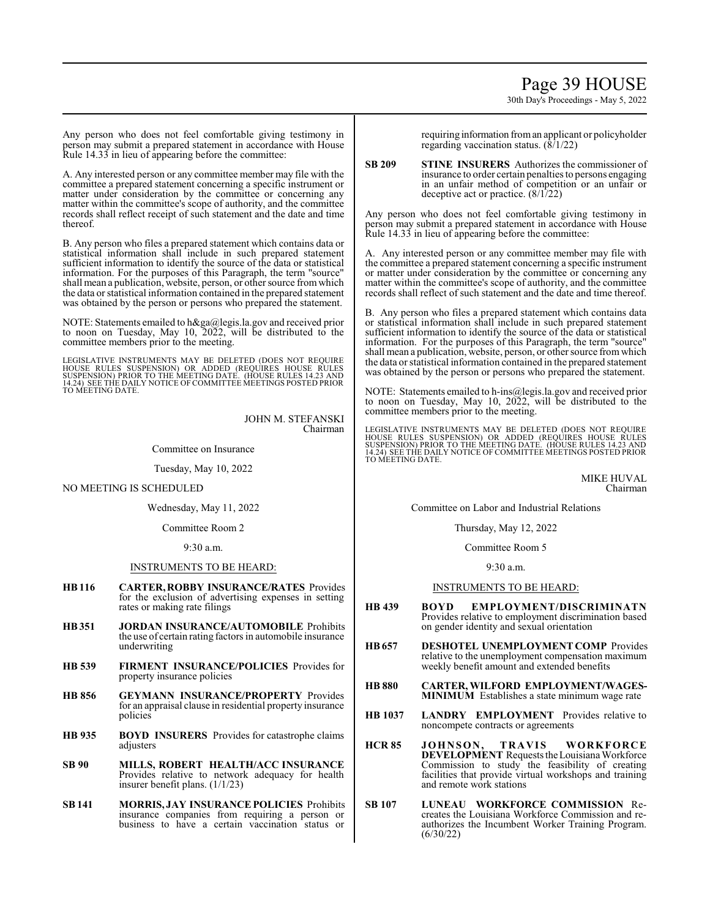# Page 39 HOUSE

30th Day's Proceedings - May 5, 2022

Any person who does not feel comfortable giving testimony in person may submit a prepared statement in accordance with House Rule 14.33 in lieu of appearing before the committee:

A. Any interested person or any committee member may file with the committee a prepared statement concerning a specific instrument or matter under consideration by the committee or concerning any matter within the committee's scope of authority, and the committee records shall reflect receipt of such statement and the date and time thereof.

B. Any person who files a prepared statement which contains data or statistical information shall include in such prepared statement sufficient information to identify the source of the data or statistical information. For the purposes of this Paragraph, the term "source" shall mean a publication, website, person, or other source fromwhich the data or statistical information contained in the prepared statement was obtained by the person or persons who prepared the statement.

NOTE: Statements emailed to h&ga@legis.la.gov and received prior to noon on Tuesday, May 10, 2022, will be distributed to the committee members prior to the meeting.

LEGISLATIVE INSTRUMENTS MAY BE DELETED (DOES NOT REQUIRE<br>HOUSE RULES SUSPENSION) OR ADDED (REQUIRES HOUSE RULES<br>SUSPENSION) PRIOR TO THE MEETING DATE. (HOUSE RULES 14.23 AND<br>14.24) SEE THE DAILY NOTICE OF COMMITTEE MEETING TO MEETING DATE.

> JOHN M. STEFANSKI Chairman

Committee on Insurance

Tuesday, May 10, 2022

NO MEETING IS SCHEDULED

Wednesday, May 11, 2022

Committee Room 2

9:30 a.m.

#### INSTRUMENTS TO BE HEARD:

- **HB116 CARTER, ROBBY INSURANCE/RATES** Provides for the exclusion of advertising expenses in setting rates or making rate filings
- **HB351 JORDAN INSURANCE/AUTOMOBILE** Prohibits the use of certain rating factors in automobile insurance underwriting
- **HB 539 FIRMENT INSURANCE/POLICIES** Provides for property insurance policies
- **HB 856 GEYMANN INSURANCE/PROPERTY** Provides for an appraisal clause in residential property insurance policies
- **HB 935 BOYD INSURERS** Provides for catastrophe claims adjusters
- **SB 90 MILLS, ROBERT HEALTH/ACC INSURANCE** Provides relative to network adequacy for health insurer benefit plans. (1/1/23)
- **SB 141 MORRIS, JAY INSURANCE POLICIES** Prohibits insurance companies from requiring a person or business to have a certain vaccination status or

requiring information froman applicant or policyholder regarding vaccination status. (8/1/22)

**SB 209 STINE INSURERS** Authorizes the commissioner of insurance to order certain penalties to persons engaging in an unfair method of competition or an unfair or deceptive act or practice. (8/1/22)

Any person who does not feel comfortable giving testimony in person may submit a prepared statement in accordance with House Rule 14.33 in lieu of appearing before the committee:

A. Any interested person or any committee member may file with the committee a prepared statement concerning a specific instrument or matter under consideration by the committee or concerning any matter within the committee's scope of authority, and the committee records shall reflect of such statement and the date and time thereof.

B. Any person who files a prepared statement which contains data or statistical information shall include in such prepared statement sufficient information to identify the source of the data or statistical information. For the purposes of this Paragraph, the term "source" shall mean a publication, website, person, or other source fromwhich the data or statistical information contained in the prepared statement was obtained by the person or persons who prepared the statement.

NOTE: Statements emailed to h-ins@legis.la.gov and received prior to noon on Tuesday, May 10, 2022, will be distributed to the committee members prior to the meeting.

LEGISLATIVE INSTRUMENTS MAY BE DELETED (DOES NOT REQUIRE<br>HOUSE RULES SUSPENSION) OR ADDED (REQUIRES HOUSE RULES<br>SUSPENSION) PRIOR TO THE MEETING DATE. (HOUSE RULES 14.23 AND<br>14.24) SEE THE DAILY NOTICE OF COMMITTEE MEETING

MIKE HUVAL Chairman

Committee on Labor and Industrial Relations

Thursday, May 12, 2022

Committee Room 5

9:30 a.m.

#### INSTRUMENTS TO BE HEARD:

- **HB 439 BOYD EMPLOYMENT/DISCRIMINATN** Provides relative to employment discrimination based on gender identity and sexual orientation
- **HB657 DESHOTEL UNEMPLOYMENT COMP** Provides relative to the unemployment compensation maximum weekly benefit amount and extended benefits
- **HB 880 CARTER, WILFORD EMPLOYMENT/WAGES-MINIMUM** Establishes a state minimum wage rate
- **HB 1037 LANDRY EMPLOYMENT** Provides relative to noncompete contracts or agreements
- **HCR 85 JOHNSON, TRAVIS WORKFORCE DEVELOPMENT** Requests the Louisiana Workforce Commission to study the feasibility of creating facilities that provide virtual workshops and training and remote work stations
- **SB 107 LUNEAU WORKFORCE COMMISSION** Recreates the Louisiana Workforce Commission and reauthorizes the Incumbent Worker Training Program. (6/30/22)